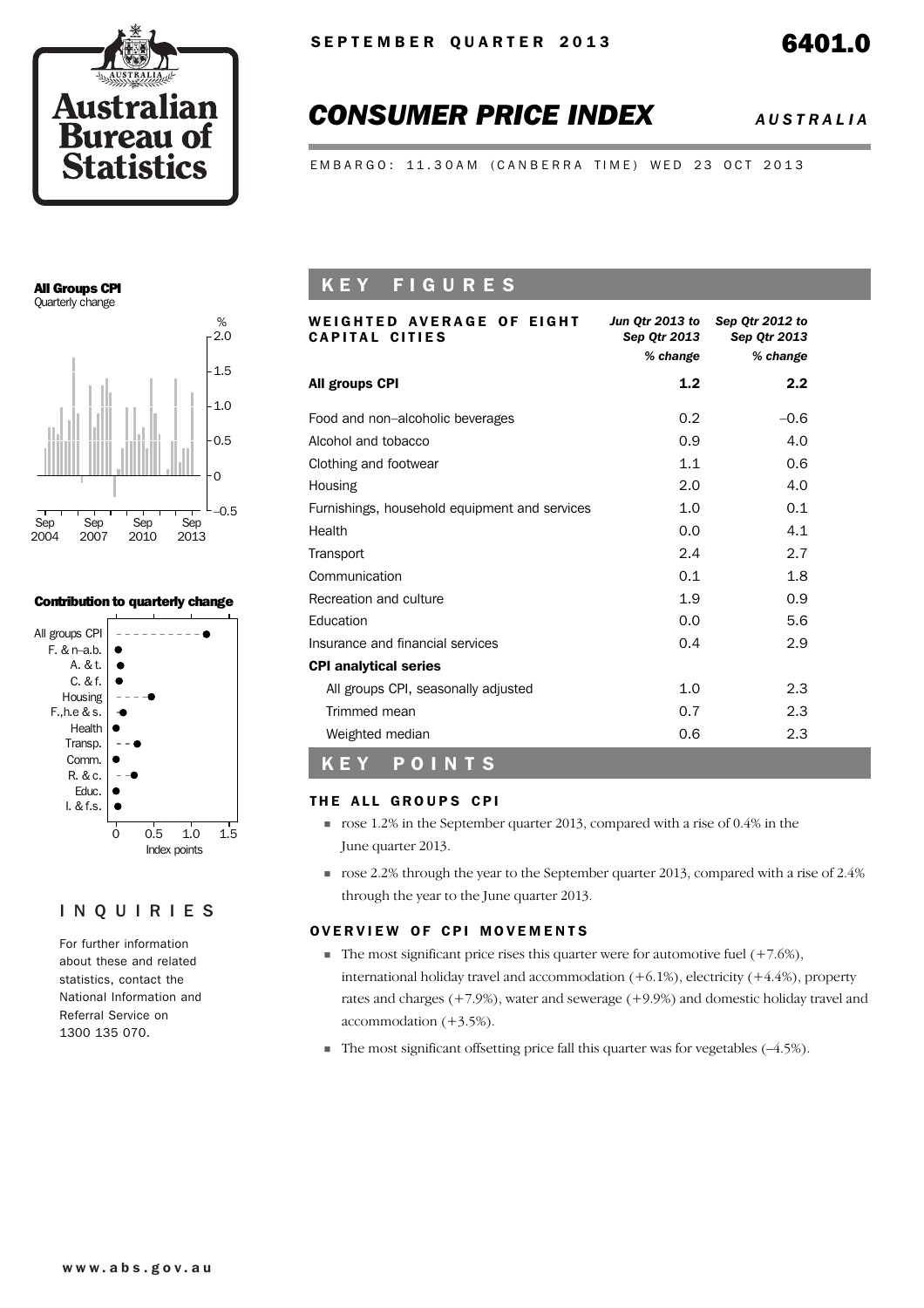

# *CONSUMER PRICE INDEX AUSTRALIA*

EMBARGO: 11.30AM (CANBERRA TIME) WED 23 OCT 2013

### All Groups CPI Quarterly change



### Contribution to quarterly change



## INQUIRIES

For further information about these and related statistics, contact the National Information and Referral Service on 1300 135 070.

# K E Y F I G U R E S

| WEIGHTED AVERAGE OF EIGHT<br>CAPITAL CITIES   | Sep Qtr 2013<br>% change | Jun Qtr 2013 to Sep Qtr 2012 to<br>Sep Otr 2013<br>% change |  |
|-----------------------------------------------|--------------------------|-------------------------------------------------------------|--|
| All groups CPI                                | 1.2                      | 2.2                                                         |  |
| Food and non-alcoholic beverages              | 0.2                      | $-0.6$                                                      |  |
| Alcohol and tobacco                           | 0.9                      | 4.0                                                         |  |
| Clothing and footwear                         | 1.1                      | 0.6                                                         |  |
| Housing                                       | 2.0                      | 4.0                                                         |  |
| Furnishings, household equipment and services | 1.0                      | 0.1                                                         |  |
| Health                                        | 0.0                      | 4.1                                                         |  |
| Transport                                     | 2.4                      | 2.7                                                         |  |
| Communication                                 | 0.1                      | 1.8                                                         |  |
| Recreation and culture                        | 1.9                      | 0.9                                                         |  |
| Education                                     | 0.0                      | 5.6                                                         |  |
| Insurance and financial services              | 0.4                      | 2.9                                                         |  |
| <b>CPI analytical series</b>                  |                          |                                                             |  |
| All groups CPI, seasonally adjusted           | 1.0                      | 2.3                                                         |  |
| Trimmed mean                                  | 0.7                      | 2.3                                                         |  |
| Weighted median                               | 0.6                      | 2.3                                                         |  |
| POINTS<br>KEY                                 |                          |                                                             |  |

### THE ALL GROUPS CPI

- ! rose 1.2% in the September quarter 2013, compared with a rise of 0.4% in the June quarter 2013.
- ! rose 2.2% through the year to the September quarter 2013, compared with a rise of 2.4% through the year to the June quarter 2013.

## OVERVIEW OF CPI MOVEMENTS

- $\blacksquare$  The most significant price rises this quarter were for automotive fuel (+7.6%), international holiday travel and accommodation  $(+6.1\%)$ , electricity  $(+4.4\%)$ , property rates and charges (+7.9%), water and sewerage (+9.9%) and domestic holiday travel and accommodation (+3.5%).
- $\blacksquare$  The most significant offsetting price fall this quarter was for vegetables (-4.5%).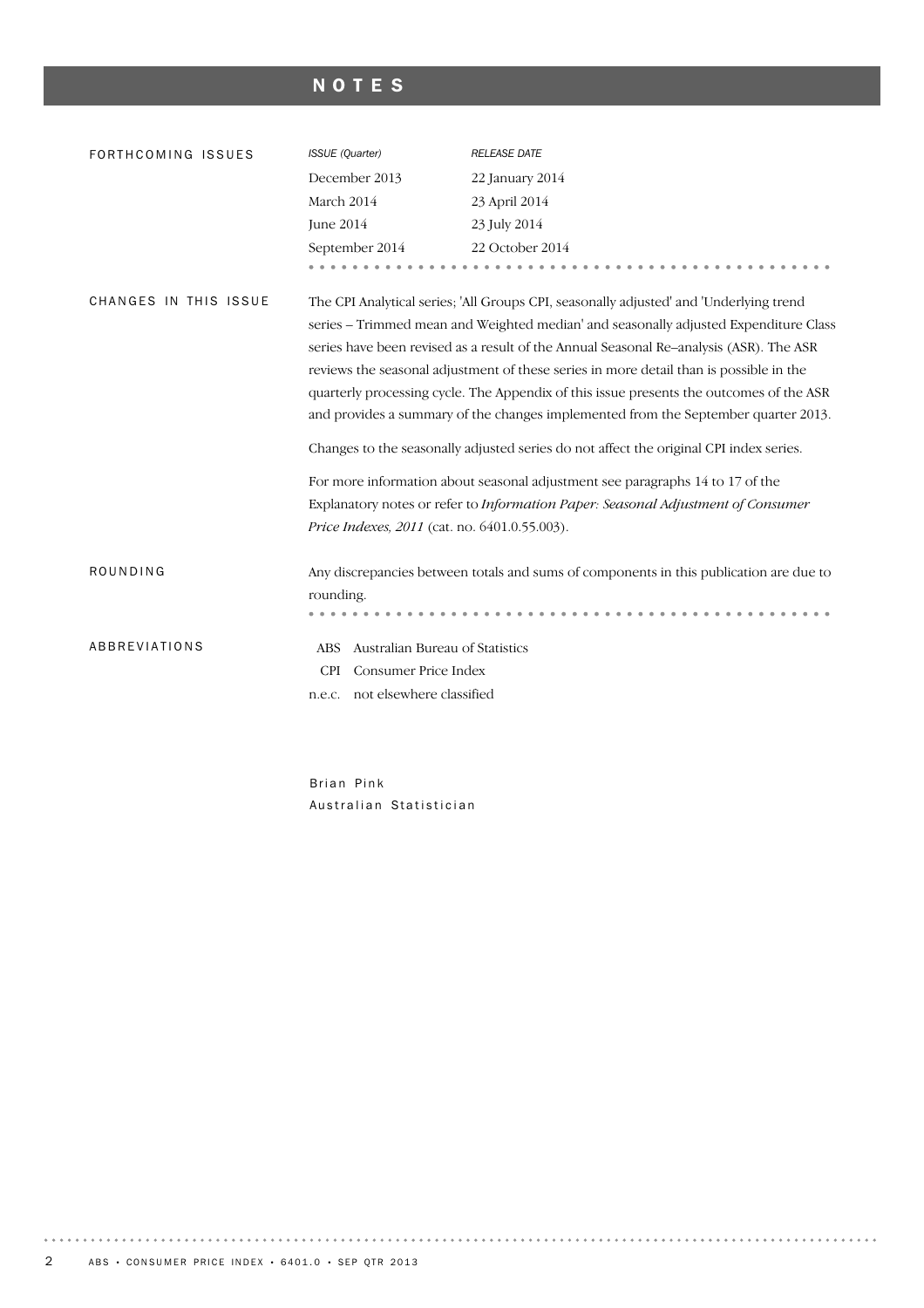# NOTES

| FORTHCOMING ISSUES    | ISSUE (Quarter)                                                                                                                                                                                                                                                                                                                                                                                                                                                                                                                                                                                                                               | <b>RELEASE DATE</b>                                                                    |  |  |  |
|-----------------------|-----------------------------------------------------------------------------------------------------------------------------------------------------------------------------------------------------------------------------------------------------------------------------------------------------------------------------------------------------------------------------------------------------------------------------------------------------------------------------------------------------------------------------------------------------------------------------------------------------------------------------------------------|----------------------------------------------------------------------------------------|--|--|--|
|                       | December 2013                                                                                                                                                                                                                                                                                                                                                                                                                                                                                                                                                                                                                                 | 22 January 2014                                                                        |  |  |  |
|                       | March 2014                                                                                                                                                                                                                                                                                                                                                                                                                                                                                                                                                                                                                                    | 23 April 2014                                                                          |  |  |  |
|                       | June 2014                                                                                                                                                                                                                                                                                                                                                                                                                                                                                                                                                                                                                                     | 23 July 2014                                                                           |  |  |  |
|                       | September 2014                                                                                                                                                                                                                                                                                                                                                                                                                                                                                                                                                                                                                                | 22 October 2014                                                                        |  |  |  |
|                       |                                                                                                                                                                                                                                                                                                                                                                                                                                                                                                                                                                                                                                               |                                                                                        |  |  |  |
| CHANGES IN THIS ISSUE | The CPI Analytical series; 'All Groups CPI, seasonally adjusted' and 'Underlying trend<br>series – Trimmed mean and Weighted median' and seasonally adjusted Expenditure Class<br>series have been revised as a result of the Annual Seasonal Re-analysis (ASR). The ASR<br>reviews the seasonal adjustment of these series in more detail than is possible in the<br>quarterly processing cycle. The Appendix of this issue presents the outcomes of the ASR<br>and provides a summary of the changes implemented from the September quarter 2013.<br>Changes to the seasonally adjusted series do not affect the original CPI index series. |                                                                                        |  |  |  |
|                       |                                                                                                                                                                                                                                                                                                                                                                                                                                                                                                                                                                                                                                               | For more information about seasonal adjustment see paragraphs 14 to 17 of the          |  |  |  |
|                       |                                                                                                                                                                                                                                                                                                                                                                                                                                                                                                                                                                                                                                               | Explanatory notes or refer to Information Paper: Seasonal Adjustment of Consumer       |  |  |  |
|                       | Price Indexes, 2011 (cat. no. 6401.0.55.003).                                                                                                                                                                                                                                                                                                                                                                                                                                                                                                                                                                                                 |                                                                                        |  |  |  |
| ROUNDING              | rounding.                                                                                                                                                                                                                                                                                                                                                                                                                                                                                                                                                                                                                                     | Any discrepancies between totals and sums of components in this publication are due to |  |  |  |
| ABBREVIATIONS         | Australian Bureau of Statistics<br><b>ABS</b>                                                                                                                                                                                                                                                                                                                                                                                                                                                                                                                                                                                                 |                                                                                        |  |  |  |
|                       | Consumer Price Index<br><b>CPI</b>                                                                                                                                                                                                                                                                                                                                                                                                                                                                                                                                                                                                            |                                                                                        |  |  |  |
|                       | n.e.c. not elsewhere classified                                                                                                                                                                                                                                                                                                                                                                                                                                                                                                                                                                                                               |                                                                                        |  |  |  |
|                       |                                                                                                                                                                                                                                                                                                                                                                                                                                                                                                                                                                                                                                               |                                                                                        |  |  |  |

Brian Pink Australian Statistician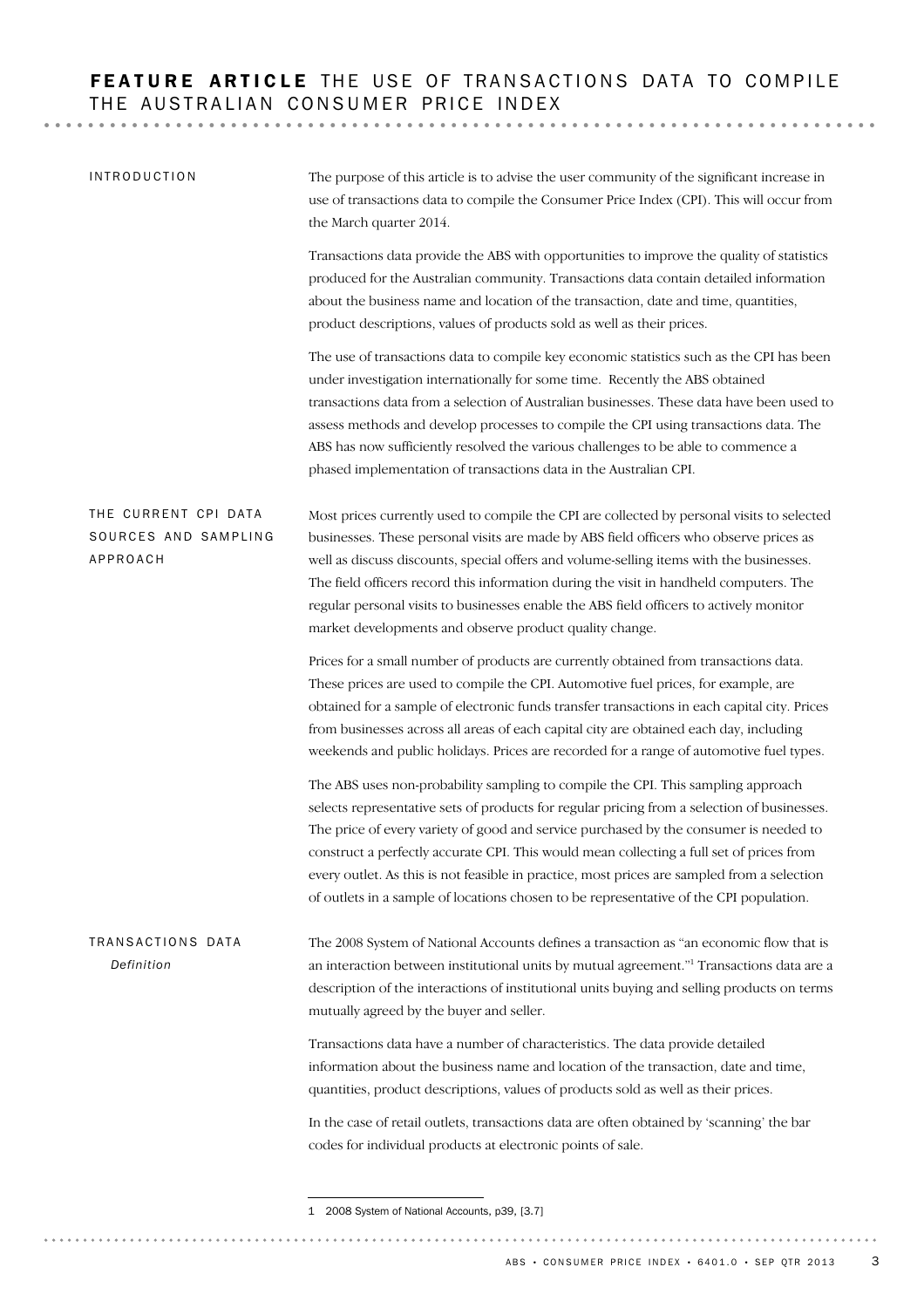# FEATURE ARTICLE THE USE OF TRANSACTIONS DATA TO COMPILE THE AUSTRALIAN CONSUMER PRICE INDEX

| <b>INTRODUCTION</b>                                      | The purpose of this article is to advise the user community of the significant increase in<br>use of transactions data to compile the Consumer Price Index (CPI). This will occur from<br>the March quarter 2014.                                                                                                                                                                                                                                                                                                                                             |
|----------------------------------------------------------|---------------------------------------------------------------------------------------------------------------------------------------------------------------------------------------------------------------------------------------------------------------------------------------------------------------------------------------------------------------------------------------------------------------------------------------------------------------------------------------------------------------------------------------------------------------|
|                                                          | Transactions data provide the ABS with opportunities to improve the quality of statistics<br>produced for the Australian community. Transactions data contain detailed information<br>about the business name and location of the transaction, date and time, quantities,<br>product descriptions, values of products sold as well as their prices.                                                                                                                                                                                                           |
|                                                          | The use of transactions data to compile key economic statistics such as the CPI has been<br>under investigation internationally for some time. Recently the ABS obtained<br>transactions data from a selection of Australian businesses. These data have been used to<br>assess methods and develop processes to compile the CPI using transactions data. The<br>ABS has now sufficiently resolved the various challenges to be able to commence a<br>phased implementation of transactions data in the Australian CPI.                                       |
| THE CURRENT CPI DATA<br>SOURCES AND SAMPLING<br>APPROACH | Most prices currently used to compile the CPI are collected by personal visits to selected<br>businesses. These personal visits are made by ABS field officers who observe prices as<br>well as discuss discounts, special offers and volume-selling items with the businesses.<br>The field officers record this information during the visit in handheld computers. The<br>regular personal visits to businesses enable the ABS field officers to actively monitor<br>market developments and observe product quality change.                               |
|                                                          | Prices for a small number of products are currently obtained from transactions data.<br>These prices are used to compile the CPI. Automotive fuel prices, for example, are<br>obtained for a sample of electronic funds transfer transactions in each capital city. Prices<br>from businesses across all areas of each capital city are obtained each day, including<br>weekends and public holidays. Prices are recorded for a range of automotive fuel types.                                                                                               |
|                                                          | The ABS uses non-probability sampling to compile the CPI. This sampling approach<br>selects representative sets of products for regular pricing from a selection of businesses.<br>The price of every variety of good and service purchased by the consumer is needed to<br>construct a perfectly accurate CPI. This would mean collecting a full set of prices from<br>every outlet. As this is not feasible in practice, most prices are sampled from a selection<br>of outlets in a sample of locations chosen to be representative of the CPI population. |
| TRANSACTIONS DATA<br>Definition                          | The 2008 System of National Accounts defines a transaction as "an economic flow that is<br>an interaction between institutional units by mutual agreement." <sup>1</sup> Transactions data are a<br>description of the interactions of institutional units buying and selling products on terms<br>mutually agreed by the buyer and seller.                                                                                                                                                                                                                   |
|                                                          | Transactions data have a number of characteristics. The data provide detailed<br>information about the business name and location of the transaction, date and time,<br>quantities, product descriptions, values of products sold as well as their prices.                                                                                                                                                                                                                                                                                                    |
|                                                          | In the case of retail outlets, transactions data are often obtained by 'scanning' the bar<br>codes for individual products at electronic points of sale.                                                                                                                                                                                                                                                                                                                                                                                                      |

<sup>1 2008</sup> System of National Accounts, p39, [3.7]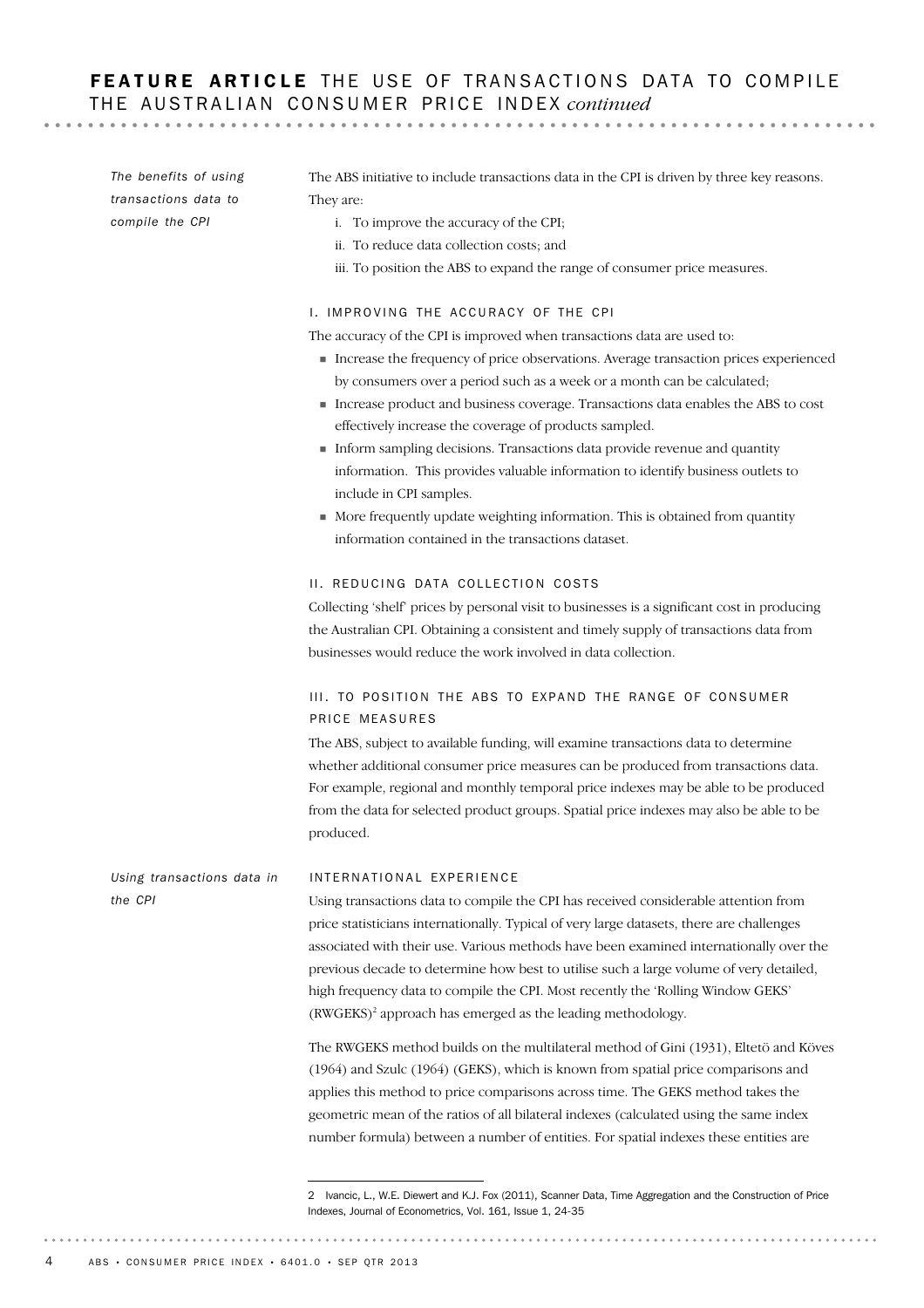# FEATURE ARTICLE THE USE OF TRANSACTIONS DATA TO COMPILE THE AUSTRALIAN CONSUMER PRICE INDEX continued

. . . . . . . . . . . . .

INTERNATIONAL EXPERIENCE Using transactions data to compile the CPI has received considerable attention from price statisticians internationally. Typical of very large datasets, there are challenges associated with their use. Various methods have been examined internationally over the previous decade to determine how best to utilise such a large volume of very detailed, high frequency data to compile the CPI. Most recently the 'Rolling Window GEKS' (RWGEKS)<sup>2</sup> approach has emerged as the leading methodology. The RWGEKS method builds on the multilateral method of Gini (1931), Eltetö and Köves (1964) and Szulc (1964) (GEKS), which is known from spatial price comparisons and applies this method to price comparisons across time. The GEKS method takes the geometric mean of the ratios of all bilateral indexes (calculated using the same index number formula) between a number of entities. For spatial indexes these entities are *Using transactions data in the CPI* The ABS initiative to include transactions data in the CPI is driven by three key reasons. They are: i. To improve the accuracy of the CPI; ii. To reduce data collection costs; and iii. To position the ABS to expand the range of consumer price measures. I. IMPROVING THE ACCURACY OF THE CPI The accuracy of the CPI is improved when transactions data are used to: ! Increase the frequency of price observations. Average transaction prices experienced by consumers over a period such as a week or a month can be calculated; ! Increase product and business coverage. Transactions data enables the ABS to cost effectively increase the coverage of products sampled. ! Inform sampling decisions. Transactions data provide revenue and quantity information. This provides valuable information to identify business outlets to include in CPI samples. ! More frequently update weighting information. This is obtained from quantity information contained in the transactions dataset. II. REDUCING DATA COLLECTION COSTS Collecting 'shelf' prices by personal visit to businesses is a significant cost in producing the Australian CPI. Obtaining a consistent and timely supply of transactions data from businesses would reduce the work involved in data collection. III. TO POSITION THE ABS TO EXPAND THE RANGE OF CONSUMER PRICE MEASURES The ABS, subject to available funding, will examine transactions data to determine whether additional consumer price measures can be produced from transactions data. For example, regional and monthly temporal price indexes may be able to be produced from the data for selected product groups. Spatial price indexes may also be able to be produced. *The benefits of using transactions data to compile the CPI*

<sup>2</sup> Ivancic, L., W.E. Diewert and K.J. Fox (2011), Scanner Data, Time Aggregation and the Construction of Price Indexes, Journal of Econometrics, Vol. 161, Issue 1, 24-35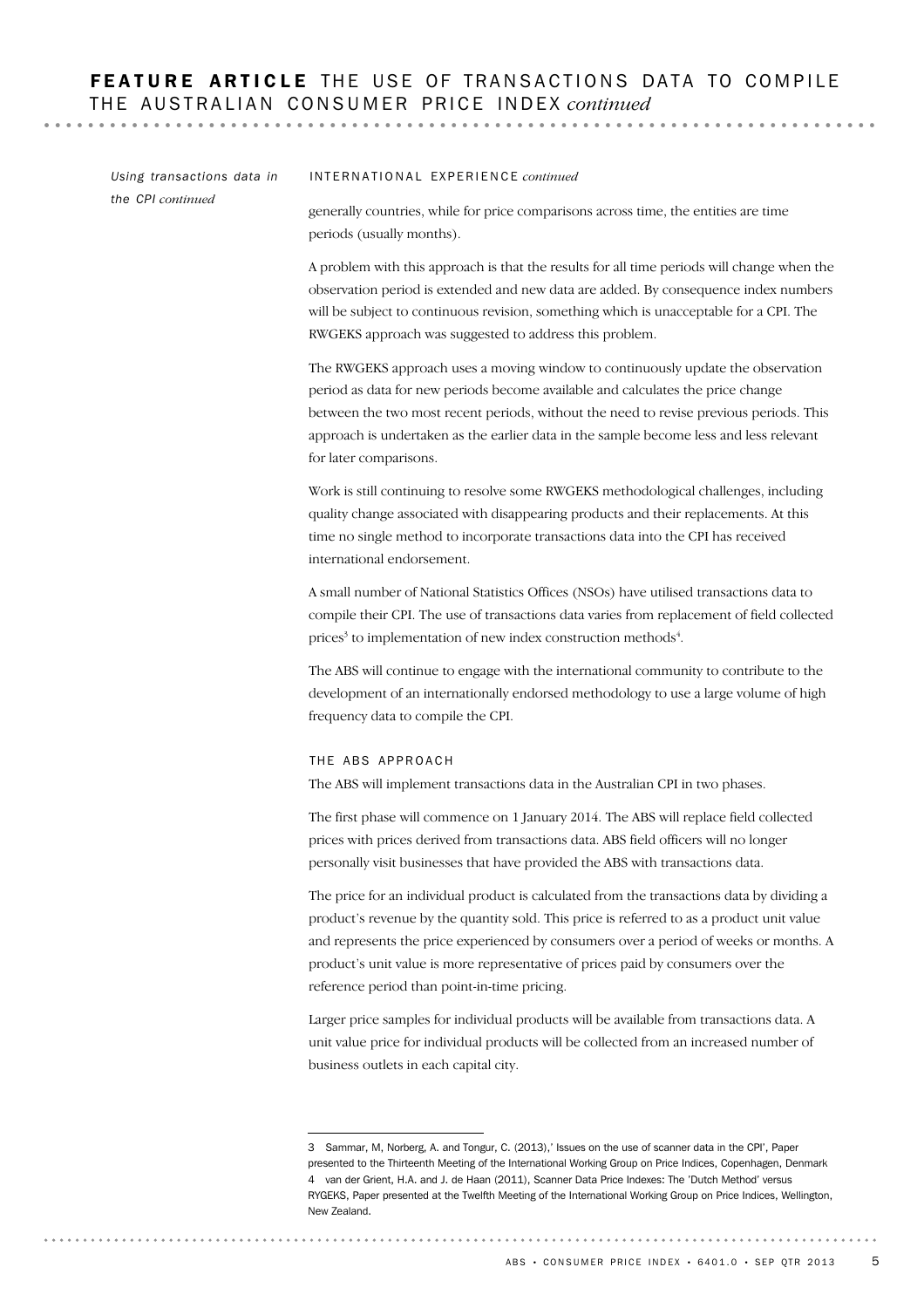| the CPI continued<br>generally countries, while for price comparisons across time, the entities are time<br>periods (usually months).<br>A problem with this approach is that the results for all time periods will change when the<br>observation period is extended and new data are added. By consequence index numbers<br>will be subject to continuous revision, something which is unacceptable for a CPI. The<br>RWGEKS approach was suggested to address this problem.<br>The RWGEKS approach uses a moving window to continuously update the observation<br>period as data for new periods become available and calculates the price change<br>between the two most recent periods, without the need to revise previous periods. This<br>approach is undertaken as the earlier data in the sample become less and less relevant<br>for later comparisons.<br>Work is still continuing to resolve some RWGEKS methodological challenges, including<br>quality change associated with disappearing products and their replacements. At this<br>time no single method to incorporate transactions data into the CPI has received<br>international endorsement.<br>A small number of National Statistics Offices (NSOs) have utilised transactions data to<br>compile their CPI. The use of transactions data varies from replacement of field collected<br>prices <sup>3</sup> to implementation of new index construction methods <sup>4</sup> .<br>The ABS will continue to engage with the international community to contribute to the<br>development of an internationally endorsed methodology to use a large volume of high<br>frequency data to compile the CPI.<br>THE ABS APPROACH<br>The ABS will implement transactions data in the Australian CPI in two phases.<br>The first phase will commence on 1 January 2014. The ABS will replace field collected<br>prices with prices derived from transactions data. ABS field officers will no longer<br>personally visit businesses that have provided the ABS with transactions data.<br>The price for an individual product is calculated from the transactions data by dividing a<br>product's revenue by the quantity sold. This price is referred to as a product unit value<br>and represents the price experienced by consumers over a period of weeks or months. A<br>product's unit value is more representative of prices paid by consumers over the<br>reference period than point-in-time pricing.<br>Larger price samples for individual products will be available from transactions data. A<br>unit value price for individual products will be collected from an increased number of<br>business outlets in each capital city.<br>3 Sammar, M, Norberg, A. and Tongur, C. (2013),' Issues on the use of scanner data in the CPI', Paper<br>presented to the Thirteenth Meeting of the International Working Group on Price Indices, Copenhagen, Denmark<br>4 van der Grient, H.A. and J. de Haan (2011), Scanner Data Price Indexes: The 'Dutch Method' versus<br>RYGEKS, Paper presented at the Twelfth Meeting of the International Working Group on Price Indices, Wellington,<br>New Zealand.<br>ABS • CONSUMER PRICE INDEX • 6401.0 • SEP QTR 2013 | Using transactions data in | INTERNATIONAL EXPERIENCE continued |  |  |  |  |
|-----------------------------------------------------------------------------------------------------------------------------------------------------------------------------------------------------------------------------------------------------------------------------------------------------------------------------------------------------------------------------------------------------------------------------------------------------------------------------------------------------------------------------------------------------------------------------------------------------------------------------------------------------------------------------------------------------------------------------------------------------------------------------------------------------------------------------------------------------------------------------------------------------------------------------------------------------------------------------------------------------------------------------------------------------------------------------------------------------------------------------------------------------------------------------------------------------------------------------------------------------------------------------------------------------------------------------------------------------------------------------------------------------------------------------------------------------------------------------------------------------------------------------------------------------------------------------------------------------------------------------------------------------------------------------------------------------------------------------------------------------------------------------------------------------------------------------------------------------------------------------------------------------------------------------------------------------------------------------------------------------------------------------------------------------------------------------------------------------------------------------------------------------------------------------------------------------------------------------------------------------------------------------------------------------------------------------------------------------------------------------------------------------------------------------------------------------------------------------------------------------------------------------------------------------------------------------------------------------------------------------------------------------------------------------------------------------------------------------------------------------------------------------------------------------------------------------------------------------------------------------------------------------------------------------------------------------------------------------------------------------------------------------------------------------------------------------------------------------------------------------------------------------------------------------------------------------------------------------------------|----------------------------|------------------------------------|--|--|--|--|
|                                                                                                                                                                                                                                                                                                                                                                                                                                                                                                                                                                                                                                                                                                                                                                                                                                                                                                                                                                                                                                                                                                                                                                                                                                                                                                                                                                                                                                                                                                                                                                                                                                                                                                                                                                                                                                                                                                                                                                                                                                                                                                                                                                                                                                                                                                                                                                                                                                                                                                                                                                                                                                                                                                                                                                                                                                                                                                                                                                                                                                                                                                                                                                                                                                         |                            |                                    |  |  |  |  |
|                                                                                                                                                                                                                                                                                                                                                                                                                                                                                                                                                                                                                                                                                                                                                                                                                                                                                                                                                                                                                                                                                                                                                                                                                                                                                                                                                                                                                                                                                                                                                                                                                                                                                                                                                                                                                                                                                                                                                                                                                                                                                                                                                                                                                                                                                                                                                                                                                                                                                                                                                                                                                                                                                                                                                                                                                                                                                                                                                                                                                                                                                                                                                                                                                                         |                            |                                    |  |  |  |  |
|                                                                                                                                                                                                                                                                                                                                                                                                                                                                                                                                                                                                                                                                                                                                                                                                                                                                                                                                                                                                                                                                                                                                                                                                                                                                                                                                                                                                                                                                                                                                                                                                                                                                                                                                                                                                                                                                                                                                                                                                                                                                                                                                                                                                                                                                                                                                                                                                                                                                                                                                                                                                                                                                                                                                                                                                                                                                                                                                                                                                                                                                                                                                                                                                                                         |                            |                                    |  |  |  |  |
|                                                                                                                                                                                                                                                                                                                                                                                                                                                                                                                                                                                                                                                                                                                                                                                                                                                                                                                                                                                                                                                                                                                                                                                                                                                                                                                                                                                                                                                                                                                                                                                                                                                                                                                                                                                                                                                                                                                                                                                                                                                                                                                                                                                                                                                                                                                                                                                                                                                                                                                                                                                                                                                                                                                                                                                                                                                                                                                                                                                                                                                                                                                                                                                                                                         |                            |                                    |  |  |  |  |
|                                                                                                                                                                                                                                                                                                                                                                                                                                                                                                                                                                                                                                                                                                                                                                                                                                                                                                                                                                                                                                                                                                                                                                                                                                                                                                                                                                                                                                                                                                                                                                                                                                                                                                                                                                                                                                                                                                                                                                                                                                                                                                                                                                                                                                                                                                                                                                                                                                                                                                                                                                                                                                                                                                                                                                                                                                                                                                                                                                                                                                                                                                                                                                                                                                         |                            |                                    |  |  |  |  |
|                                                                                                                                                                                                                                                                                                                                                                                                                                                                                                                                                                                                                                                                                                                                                                                                                                                                                                                                                                                                                                                                                                                                                                                                                                                                                                                                                                                                                                                                                                                                                                                                                                                                                                                                                                                                                                                                                                                                                                                                                                                                                                                                                                                                                                                                                                                                                                                                                                                                                                                                                                                                                                                                                                                                                                                                                                                                                                                                                                                                                                                                                                                                                                                                                                         |                            |                                    |  |  |  |  |
|                                                                                                                                                                                                                                                                                                                                                                                                                                                                                                                                                                                                                                                                                                                                                                                                                                                                                                                                                                                                                                                                                                                                                                                                                                                                                                                                                                                                                                                                                                                                                                                                                                                                                                                                                                                                                                                                                                                                                                                                                                                                                                                                                                                                                                                                                                                                                                                                                                                                                                                                                                                                                                                                                                                                                                                                                                                                                                                                                                                                                                                                                                                                                                                                                                         |                            |                                    |  |  |  |  |
|                                                                                                                                                                                                                                                                                                                                                                                                                                                                                                                                                                                                                                                                                                                                                                                                                                                                                                                                                                                                                                                                                                                                                                                                                                                                                                                                                                                                                                                                                                                                                                                                                                                                                                                                                                                                                                                                                                                                                                                                                                                                                                                                                                                                                                                                                                                                                                                                                                                                                                                                                                                                                                                                                                                                                                                                                                                                                                                                                                                                                                                                                                                                                                                                                                         |                            |                                    |  |  |  |  |
|                                                                                                                                                                                                                                                                                                                                                                                                                                                                                                                                                                                                                                                                                                                                                                                                                                                                                                                                                                                                                                                                                                                                                                                                                                                                                                                                                                                                                                                                                                                                                                                                                                                                                                                                                                                                                                                                                                                                                                                                                                                                                                                                                                                                                                                                                                                                                                                                                                                                                                                                                                                                                                                                                                                                                                                                                                                                                                                                                                                                                                                                                                                                                                                                                                         |                            |                                    |  |  |  |  |
|                                                                                                                                                                                                                                                                                                                                                                                                                                                                                                                                                                                                                                                                                                                                                                                                                                                                                                                                                                                                                                                                                                                                                                                                                                                                                                                                                                                                                                                                                                                                                                                                                                                                                                                                                                                                                                                                                                                                                                                                                                                                                                                                                                                                                                                                                                                                                                                                                                                                                                                                                                                                                                                                                                                                                                                                                                                                                                                                                                                                                                                                                                                                                                                                                                         |                            |                                    |  |  |  |  |
|                                                                                                                                                                                                                                                                                                                                                                                                                                                                                                                                                                                                                                                                                                                                                                                                                                                                                                                                                                                                                                                                                                                                                                                                                                                                                                                                                                                                                                                                                                                                                                                                                                                                                                                                                                                                                                                                                                                                                                                                                                                                                                                                                                                                                                                                                                                                                                                                                                                                                                                                                                                                                                                                                                                                                                                                                                                                                                                                                                                                                                                                                                                                                                                                                                         |                            |                                    |  |  |  |  |
|                                                                                                                                                                                                                                                                                                                                                                                                                                                                                                                                                                                                                                                                                                                                                                                                                                                                                                                                                                                                                                                                                                                                                                                                                                                                                                                                                                                                                                                                                                                                                                                                                                                                                                                                                                                                                                                                                                                                                                                                                                                                                                                                                                                                                                                                                                                                                                                                                                                                                                                                                                                                                                                                                                                                                                                                                                                                                                                                                                                                                                                                                                                                                                                                                                         |                            |                                    |  |  |  |  |
|                                                                                                                                                                                                                                                                                                                                                                                                                                                                                                                                                                                                                                                                                                                                                                                                                                                                                                                                                                                                                                                                                                                                                                                                                                                                                                                                                                                                                                                                                                                                                                                                                                                                                                                                                                                                                                                                                                                                                                                                                                                                                                                                                                                                                                                                                                                                                                                                                                                                                                                                                                                                                                                                                                                                                                                                                                                                                                                                                                                                                                                                                                                                                                                                                                         |                            |                                    |  |  |  |  |
|                                                                                                                                                                                                                                                                                                                                                                                                                                                                                                                                                                                                                                                                                                                                                                                                                                                                                                                                                                                                                                                                                                                                                                                                                                                                                                                                                                                                                                                                                                                                                                                                                                                                                                                                                                                                                                                                                                                                                                                                                                                                                                                                                                                                                                                                                                                                                                                                                                                                                                                                                                                                                                                                                                                                                                                                                                                                                                                                                                                                                                                                                                                                                                                                                                         |                            | 5                                  |  |  |  |  |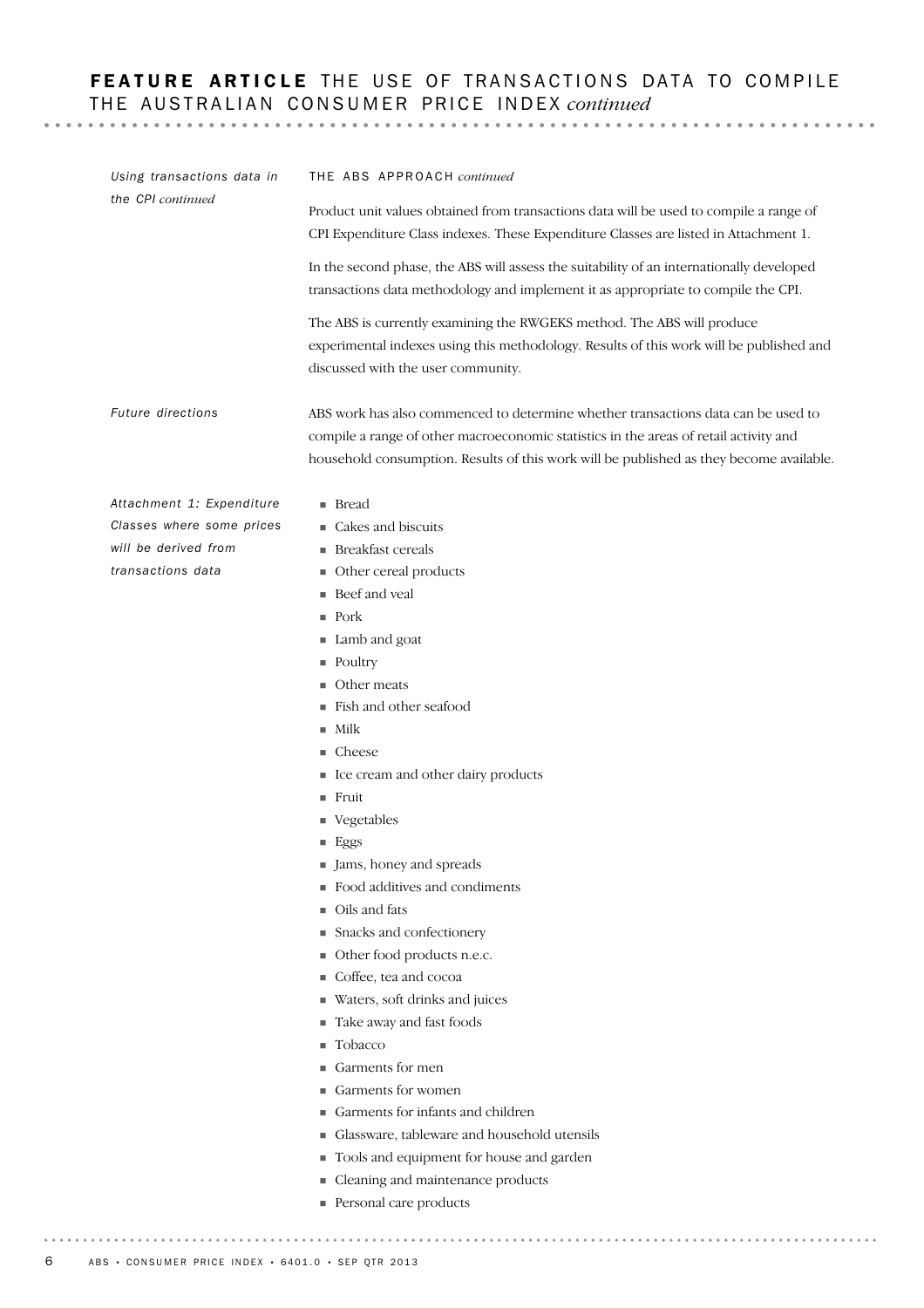# FEATURE ARTICLE THE USE OF TRANSACTIONS DATA TO COMPILE THE AUSTRALIAN CONSUMER PRICE INDEX *continued*

. . . . . . . . . . . . . . . .

. . . . . . . . . . . . . . .

! Bread **Cakes and biscuits Breakfast cereals • Other cereal products Beef** and yeal ! Pork ■ Lamb and goat ■ Poultry ■ Other meats ! Fish and other seafood  $\blacksquare$  Milk ■ Cheese **In Ice cream and other dairy products** ! Fruit ■ Vegetables ■ Eggs If Jams, honey and spreads ! Food additives and condiments ■ Oils and fats **Exercise Snacks and confectionery** ! Other food products n.e.c. ! Coffee, tea and cocoa ! Waters, soft drinks and juices ! Take away and fast foods **Tobacco** ! Garments for men ! Garments for women ! Garments for infants and children ! Glassware, tableware and household utensils ! Tools and equipment for house and garden *Attachment 1: Expenditure Classes where some prices will be derived from transactions data* ABS work has also commenced to determine whether transactions data can be used to compile a range of other macroeconomic statistics in the areas of retail activity and household consumption. Results of this work will be published as they become available. *Future directions* THE ABS APPROACH *continued* Product unit values obtained from transactions data will be used to compile a range of CPI Expenditure Class indexes. These Expenditure Classes are listed in Attachment 1. In the second phase, the ABS will assess the suitability of an internationally developed transactions data methodology and implement it as appropriate to compile the CPI. The ABS is currently examining the RWGEKS method. The ABS will produce experimental indexes using this methodology. Results of this work will be published and discussed with the user community. *Using transactions data in the CPI continued*

- **Exercise 2** Cleaning and maintenance products
- **Personal care products**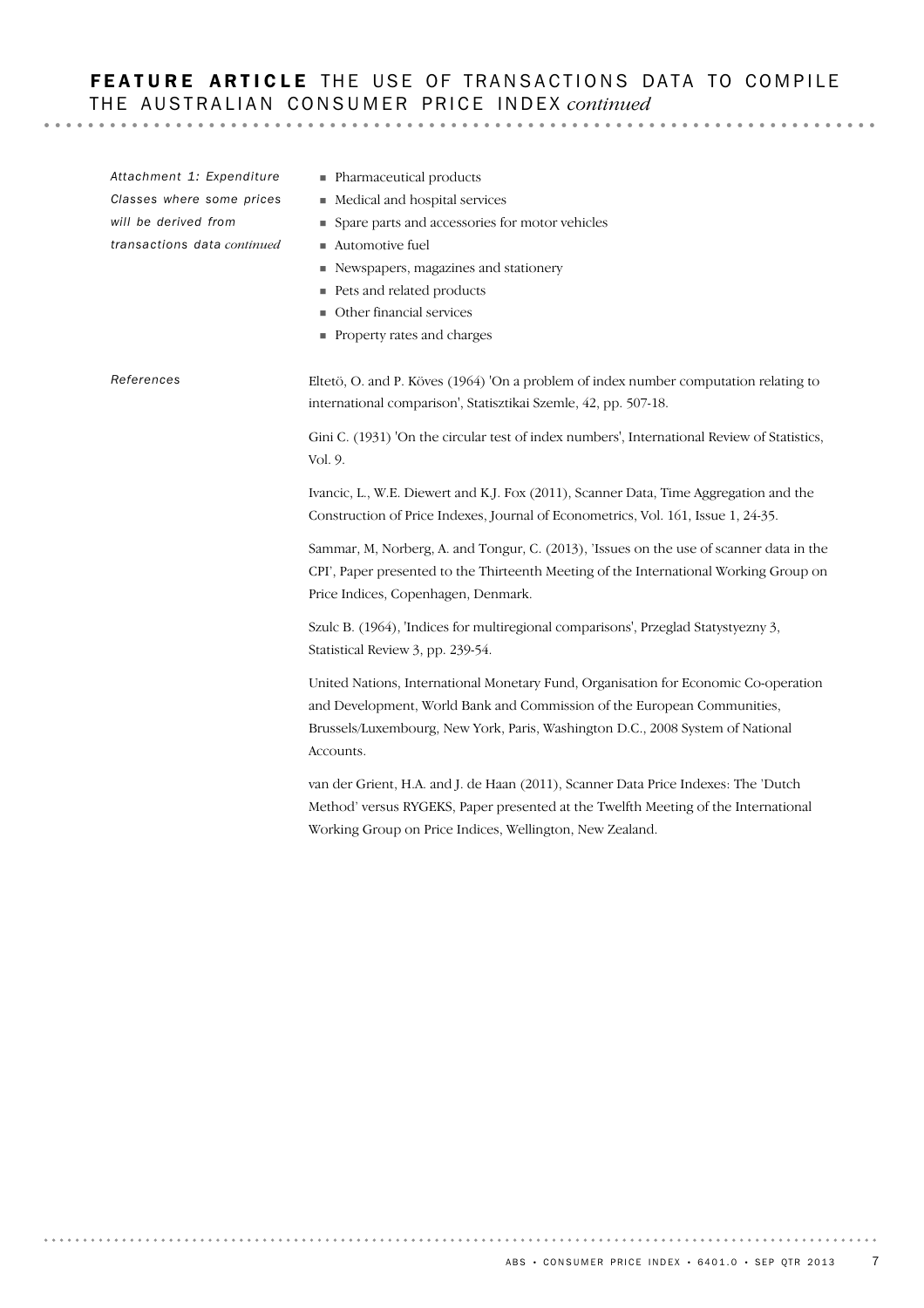# FEATURE ARTICLE THE USE OF TRANSACTIONS DATA TO COMPILE THE AUSTRALIAN CONSUMER PRICE INDEX *continued*

Eltetö, O. and P. Köves (1964) 'On a problem of index number computation relating to international comparison', Statisztikai Szemle, 42, pp. 507-18. Gini C. (1931) 'On the circular test of index numbers', International Review of Statistics, Vol. 9. Ivancic, L., W.E. Diewert and K.J. Fox (2011), Scanner Data, Time Aggregation and the Construction of Price Indexes, Journal of Econometrics, Vol. 161, Issue 1, 24-35. Sammar, M, Norberg, A. and Tongur, C. (2013), 'Issues on the use of scanner data in the CPI', Paper presented to the Thirteenth Meeting of the International Working Group on Price Indices, Copenhagen, Denmark. Szulc B. (1964), 'Indices for multiregional comparisons', Przeglad Statystyezny 3, Statistical Review 3, pp. 239-54. United Nations, International Monetary Fund, Organisation for Economic Co-operation and Development, World Bank and Commission of the European Communities, Brussels/Luxembourg, New York, Paris, Washington D.C., 2008 System of National Accounts. van der Grient, H.A. and J. de Haan (2011), Scanner Data Price Indexes: The 'Dutch Method' versus RYGEKS, Paper presented at the Twelfth Meeting of the International Working Group on Price Indices, Wellington, New Zealand. *References* ! Pharmaceutical products ! Medical and hospital services ! Spare parts and accessories for motor vehicles ■ Automotive fuel ! Newspapers, magazines and stationery ■ Pets and related products **II** Other financial services ! Property rates and charges *Attachment 1: Expenditure Classes where some prices will be derived from transactions data continued*

. . . . . . . . . . . . . . .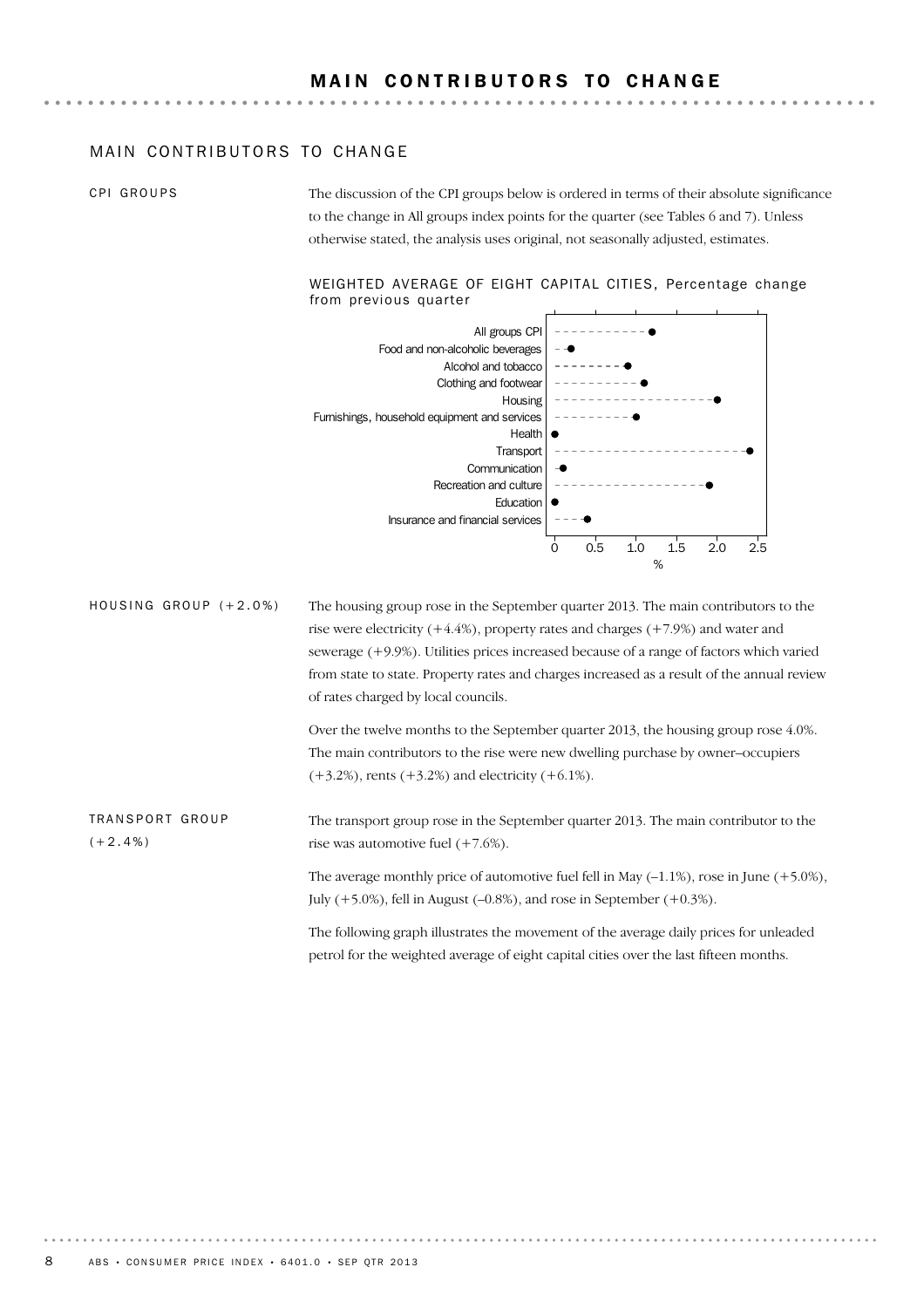### MAIN CONTRIBUTORS TO CHANGE

CPI GROUPS

The discussion of the CPI groups below is ordered in terms of their absolute significance to the change in All groups index points for the quarter (see Tables 6 and 7). Unless otherwise stated, the analysis uses original, not seasonally adjusted, estimates.

### WEIGHTED AVERAGE OF EIGHT CAPITAL CITIES, Percentage change from previous quarter



The housing group rose in the September quarter 2013. The main contributors to the rise were electricity (+4.4%), property rates and charges (+7.9%) and water and sewerage (+9.9%). Utilities prices increased because of a range of factors which varied from state to state. Property rates and charges increased as a result of the annual review of rates charged by local councils. HOUSING GROUP  $(+2.0\%)$ 

> Over the twelve months to the September quarter 2013, the housing group rose 4.0%. The main contributors to the rise were new dwelling purchase by owner–occupiers  $(+3.2\%)$ , rents  $(+3.2\%)$  and electricity  $(+6.1\%)$ .

TRANSPORT GROUP  $(+2.4\%)$ 

The transport group rose in the September quarter 2013. The main contributor to the rise was automotive fuel (+7.6%). The average monthly price of automotive fuel fell in May  $(-1.1\%)$ , rose in June  $(+5.0\%)$ ,

July  $(+5.0\%)$ , fell in August  $(-0.8\%)$ , and rose in September  $(+0.3\%)$ .

The following graph illustrates the movement of the average daily prices for unleaded petrol for the weighted average of eight capital cities over the last fifteen months.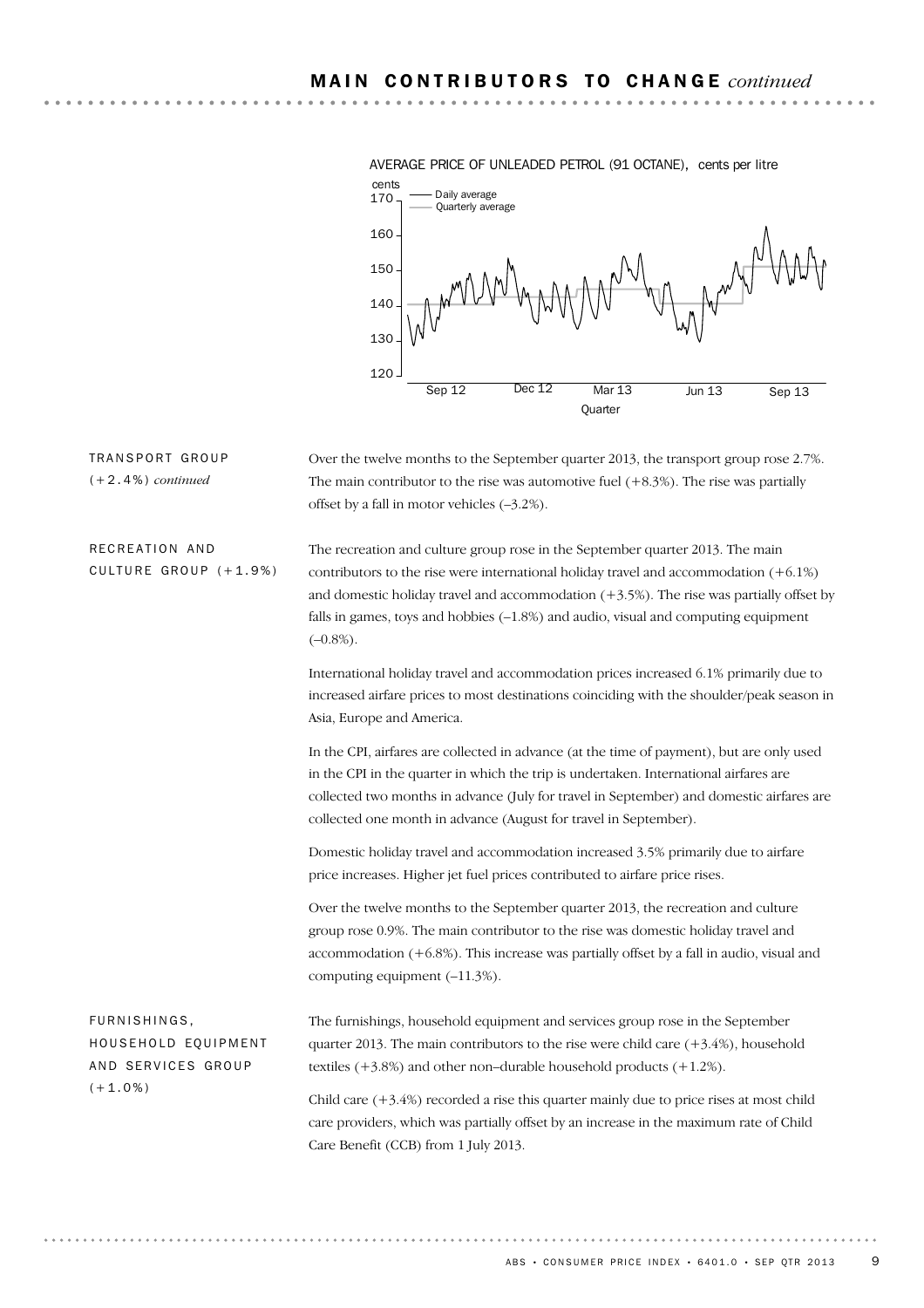

AVERAGE PRICE OF UNLEADED PETROL (91 OCTANE), cents per litre

Over the twelve months to the September quarter 2013, the transport group rose 2.7%. The main contributor to the rise was automotive fuel  $(+8.3%)$ . The rise was partially offset by a fall in motor vehicles (–3.2%).

The recreation and culture group rose in the September quarter 2013. The main contributors to the rise were international holiday travel and accommodation  $(+6.1\%)$ and domestic holiday travel and accommodation  $(+3.5%)$ . The rise was partially offset by falls in games, toys and hobbies  $(-1.8%)$  and audio, visual and computing equipment  $(-0.8\%)$ . RECREATION AND CULTURE GROUP  $(+1.9%)$ 

TRANSPORT GROUP (+2.4%) *continued*

> International holiday travel and accommodation prices increased 6.1% primarily due to increased airfare prices to most destinations coinciding with the shoulder/peak season in Asia, Europe and America.

> In the CPI, airfares are collected in advance (at the time of payment), but are only used in the CPI in the quarter in which the trip is undertaken. International airfares are collected two months in advance (July for travel in September) and domestic airfares are collected one month in advance (August for travel in September).

Domestic holiday travel and accommodation increased 3.5% primarily due to airfare price increases. Higher jet fuel prices contributed to airfare price rises.

Over the twelve months to the September quarter 2013, the recreation and culture group rose 0.9%. The main contributor to the rise was domestic holiday travel and accommodation  $(+6.8%)$ . This increase was partially offset by a fall in audio, visual and computing equipment (–11.3%).

| FURNISHINGS,        | The furnishings, household equipment and services group rose in the September                                                                                                                                               |
|---------------------|-----------------------------------------------------------------------------------------------------------------------------------------------------------------------------------------------------------------------------|
| HOUSEHOLD EQUIPMENT | quarter 2013. The main contributors to the rise were child care $(+3.4\%)$ , household                                                                                                                                      |
| AND SERVICES GROUP  | textiles $(+3.8\%)$ and other non-durable household products $(+1.2\%)$ .                                                                                                                                                   |
| $(+1.0\%)$          | Child care $(+3.4%)$ recorded a rise this quarter mainly due to price rises at most child<br>care providers, which was partially offset by an increase in the maximum rate of Child<br>Care Benefit (CCB) from 1 July 2013. |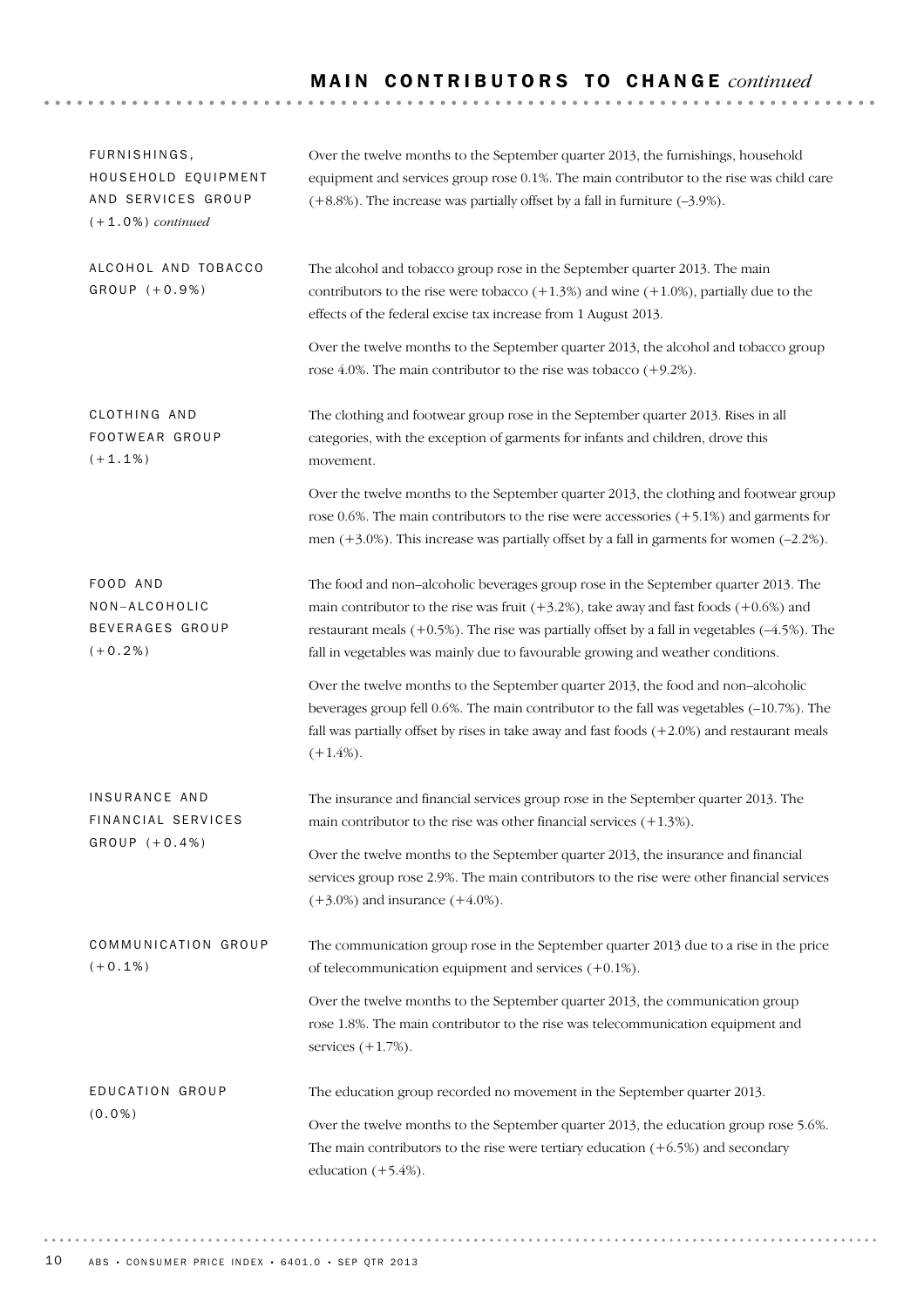# MAIN CONTRIBUTORS TO CHANGE *continued*

| FURNISHINGS,<br>HOUSEHOLD EQUIPMENT<br>AND SERVICES GROUP<br>$(+1.0\%)$ continued | Over the twelve months to the September quarter 2013, the furnishings, household<br>equipment and services group rose 0.1%. The main contributor to the rise was child care<br>$(+8.8%)$ . The increase was partially offset by a fall in furniture $(-3.9%)$ .                                                                                                          |
|-----------------------------------------------------------------------------------|--------------------------------------------------------------------------------------------------------------------------------------------------------------------------------------------------------------------------------------------------------------------------------------------------------------------------------------------------------------------------|
| ALCOHOL AND TOBACCO<br>GROUP (+0.9%)                                              | The alcohol and tobacco group rose in the September quarter 2013. The main<br>contributors to the rise were tobacco $(+1.3%)$ and wine $(+1.0%)$ , partially due to the<br>effects of the federal excise tax increase from 1 August 2013.                                                                                                                                |
|                                                                                   | Over the twelve months to the September quarter 2013, the alcohol and tobacco group<br>rose 4.0%. The main contributor to the rise was tobacco $(+9.2\%)$ .                                                                                                                                                                                                              |
| CLOTHING AND<br>FOOTWEAR GROUP<br>$(+1.1\%)$                                      | The clothing and footwear group rose in the September quarter 2013. Rises in all<br>categories, with the exception of garments for infants and children, drove this<br>movement.                                                                                                                                                                                         |
|                                                                                   | Over the twelve months to the September quarter 2013, the clothing and footwear group<br>rose 0.6%. The main contributors to the rise were accessories $(+5.1\%)$ and garments for<br>men $(+3.0\%)$ . This increase was partially offset by a fall in garments for women $(-2.2\%)$ .                                                                                   |
| FOOD AND<br>NON-ALCOHOLIC<br>BEVERAGES GROUP<br>$(+0.2\%)$                        | The food and non-alcoholic beverages group rose in the September quarter 2013. The<br>main contributor to the rise was fruit $(+3.2%)$ , take away and fast foods $(+0.6%)$ and<br>restaurant meals $(+0.5%)$ . The rise was partially offset by a fall in vegetables $(-4.5%)$ . The<br>fall in vegetables was mainly due to favourable growing and weather conditions. |
|                                                                                   | Over the twelve months to the September quarter 2013, the food and non-alcoholic<br>beverages group fell 0.6%. The main contributor to the fall was vegetables (-10.7%). The<br>fall was partially offset by rises in take away and fast foods $(+2.0\%)$ and restaurant meals<br>$(+1.4\%).$                                                                            |
| INSURANCE AND<br>FINANCIAL SERVICES                                               | The insurance and financial services group rose in the September quarter 2013. The<br>main contributor to the rise was other financial services $(+1.3\%)$ .                                                                                                                                                                                                             |
| $GROUP (+0.4%)$                                                                   | Over the twelve months to the September quarter 2013, the insurance and financial<br>services group rose 2.9%. The main contributors to the rise were other financial services<br>$(+3.0\%)$ and insurance $(+4.0\%).$                                                                                                                                                   |
| COMMUNICATION GROUP<br>$(+0.1\%)$                                                 | The communication group rose in the September quarter 2013 due to a rise in the price<br>of telecommunication equipment and services $(+0.1\%)$ .                                                                                                                                                                                                                        |
|                                                                                   | Over the twelve months to the September quarter 2013, the communication group<br>rose 1.8%. The main contributor to the rise was telecommunication equipment and<br>services $(+1.7%)$ .                                                                                                                                                                                 |
| EDUCATION GROUP<br>$(0.0\%)$                                                      | The education group recorded no movement in the September quarter 2013.<br>Over the twelve months to the September quarter 2013, the education group rose 5.6%.<br>The main contributors to the rise were tertiary education $(+6.5%)$ and secondary<br>education $(+5.4%)$ .                                                                                            |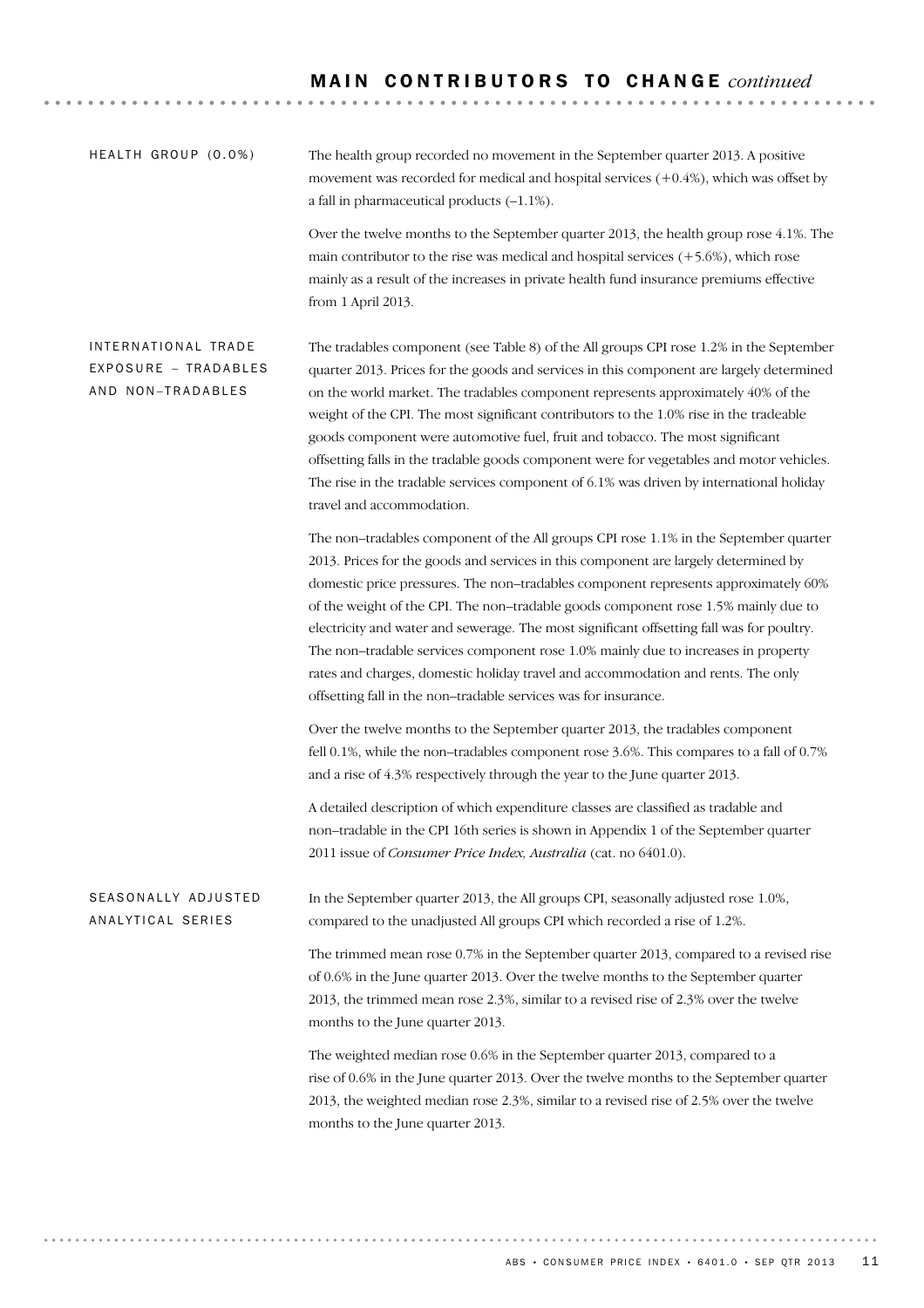The health group recorded no movement in the September quarter 2013. A positive movement was recorded for medical and hospital services (+0.4%), which was offset by a fall in pharmaceutical products (–1.1%).  $HFAITH$  GROUP  $(0.0\%)$ 

> Over the twelve months to the September quarter 2013, the health group rose 4.1%. The main contributor to the rise was medical and hospital services  $(+5.6%)$ , which rose mainly as a result of the increases in private health fund insurance premiums effective from 1 April 2013.

The tradables component (see Table 8) of the All groups CPI rose 1.2% in the September quarter 2013. Prices for the goods and services in this component are largely determined on the world market. The tradables component represents approximately 40% of the weight of the CPI. The most significant contributors to the 1.0% rise in the tradeable goods component were automotive fuel, fruit and tobacco. The most significant offsetting falls in the tradable goods component were for vegetables and motor vehicles. The rise in the tradable services component of 6.1% was driven by international holiday travel and accommodation. INTERNATIONAL TRADE EXPOSURE – TRADABLES AND NON-TRADABLES

> The non–tradables component of the All groups CPI rose 1.1% in the September quarter 2013. Prices for the goods and services in this component are largely determined by domestic price pressures. The non–tradables component represents approximately 60% of the weight of the CPI. The non–tradable goods component rose 1.5% mainly due to electricity and water and sewerage. The most significant offsetting fall was for poultry. The non–tradable services component rose 1.0% mainly due to increases in property rates and charges, domestic holiday travel and accommodation and rents. The only offsetting fall in the non–tradable services was for insurance.

> Over the twelve months to the September quarter 2013, the tradables component fell 0.1%, while the non–tradables component rose 3.6%. This compares to a fall of 0.7% and a rise of 4.3% respectively through the year to the June quarter 2013.

A detailed description of which expenditure classes are classified as tradable and non–tradable in the CPI 16th series is shown in Appendix 1 of the September quarter 2011 issue of *Consumer Price Index, Australia* (cat. no 6401.0).

In the September quarter 2013, the All groups CPI, seasonally adjusted rose 1.0%, compared to the unadjusted All groups CPI which recorded a rise of 1.2%. SEASONALLY ADJUSTED AN ALYTICAL SERIES

> The trimmed mean rose 0.7% in the September quarter 2013, compared to a revised rise of 0.6% in the June quarter 2013. Over the twelve months to the September quarter 2013, the trimmed mean rose 2.3%, similar to a revised rise of 2.3% over the twelve months to the June quarter 2013.

> The weighted median rose 0.6% in the September quarter 2013, compared to a rise of 0.6% in the June quarter 2013. Over the twelve months to the September quarter 2013, the weighted median rose 2.3%, similar to a revised rise of 2.5% over the twelve months to the June quarter 2013.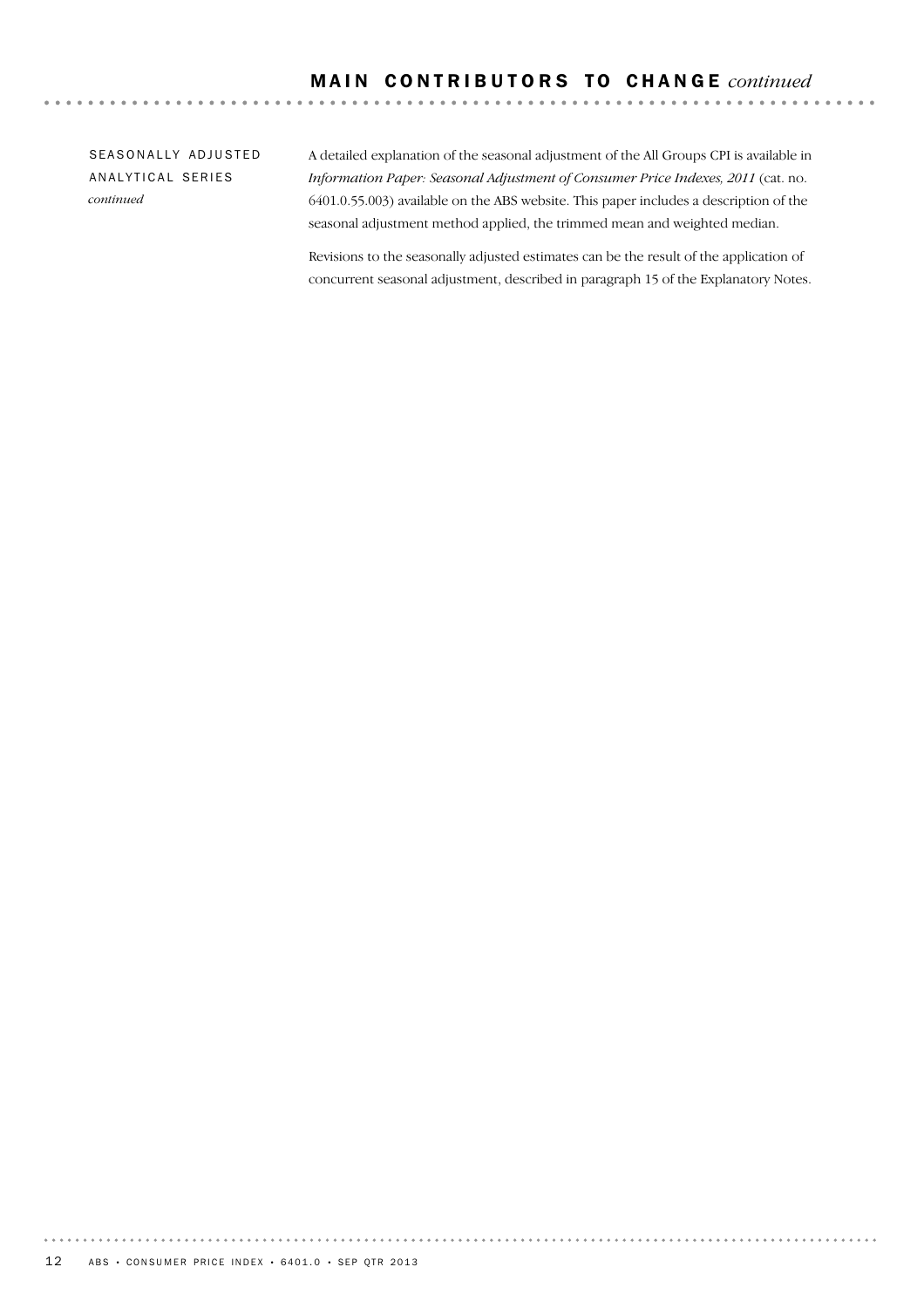SEASONALLY ADJUSTED AN ALYTICAL SERIES *continued*

A detailed explanation of the seasonal adjustment of the All Groups CPI is available in *Information Paper: Seasonal Adjustment of Consumer Price Indexes, 2011* (cat. no. 6401.0.55.003) available on the ABS website. This paper includes a description of the seasonal adjustment method applied, the trimmed mean and weighted median.

Revisions to the seasonally adjusted estimates can be the result of the application of concurrent seasonal adjustment, described in paragraph 15 of the Explanatory Notes.

. . . . . . . . .

. . . . . . . . . . . . .

. . . . . . . . .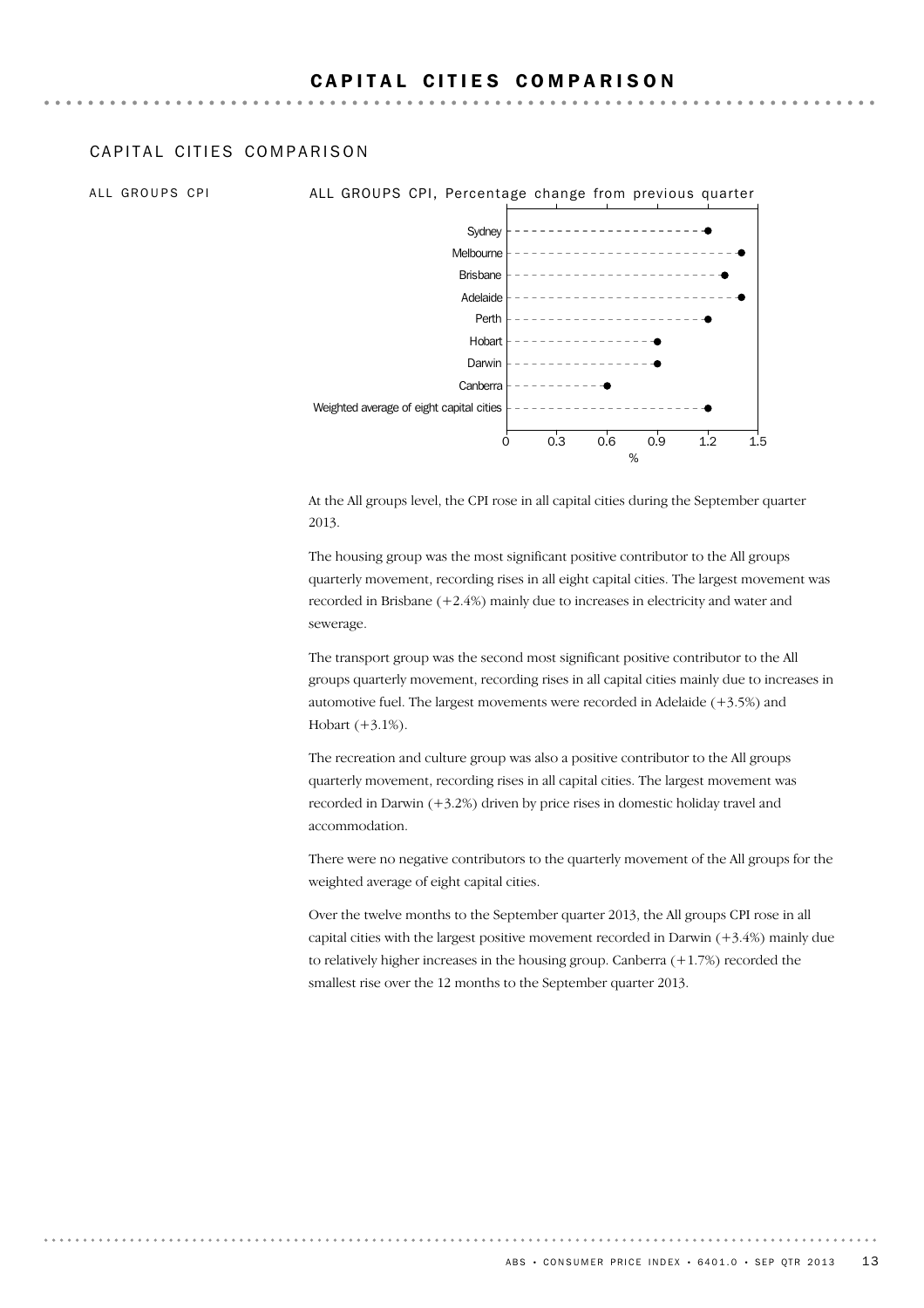## CAPITAL CITIFS COMPARISON

ALL GROUPS CPI **ALL GROUPS CPI, Percentage change from previous quarter** 



At the All groups level, the CPI rose in all capital cities during the September quarter 2013.

The housing group was the most significant positive contributor to the All groups quarterly movement, recording rises in all eight capital cities. The largest movement was recorded in Brisbane (+2.4%) mainly due to increases in electricity and water and sewerage.

The transport group was the second most significant positive contributor to the All groups quarterly movement, recording rises in all capital cities mainly due to increases in automotive fuel. The largest movements were recorded in Adelaide (+3.5%) and Hobart (+3.1%).

The recreation and culture group was also a positive contributor to the All groups quarterly movement, recording rises in all capital cities. The largest movement was recorded in Darwin (+3.2%) driven by price rises in domestic holiday travel and accommodation.

There were no negative contributors to the quarterly movement of the All groups for the weighted average of eight capital cities.

Over the twelve months to the September quarter 2013, the All groups CPI rose in all capital cities with the largest positive movement recorded in Darwin  $(+3.4%)$  mainly due to relatively higher increases in the housing group. Canberra  $(+1.7%)$  recorded the smallest rise over the 12 months to the September quarter 2013.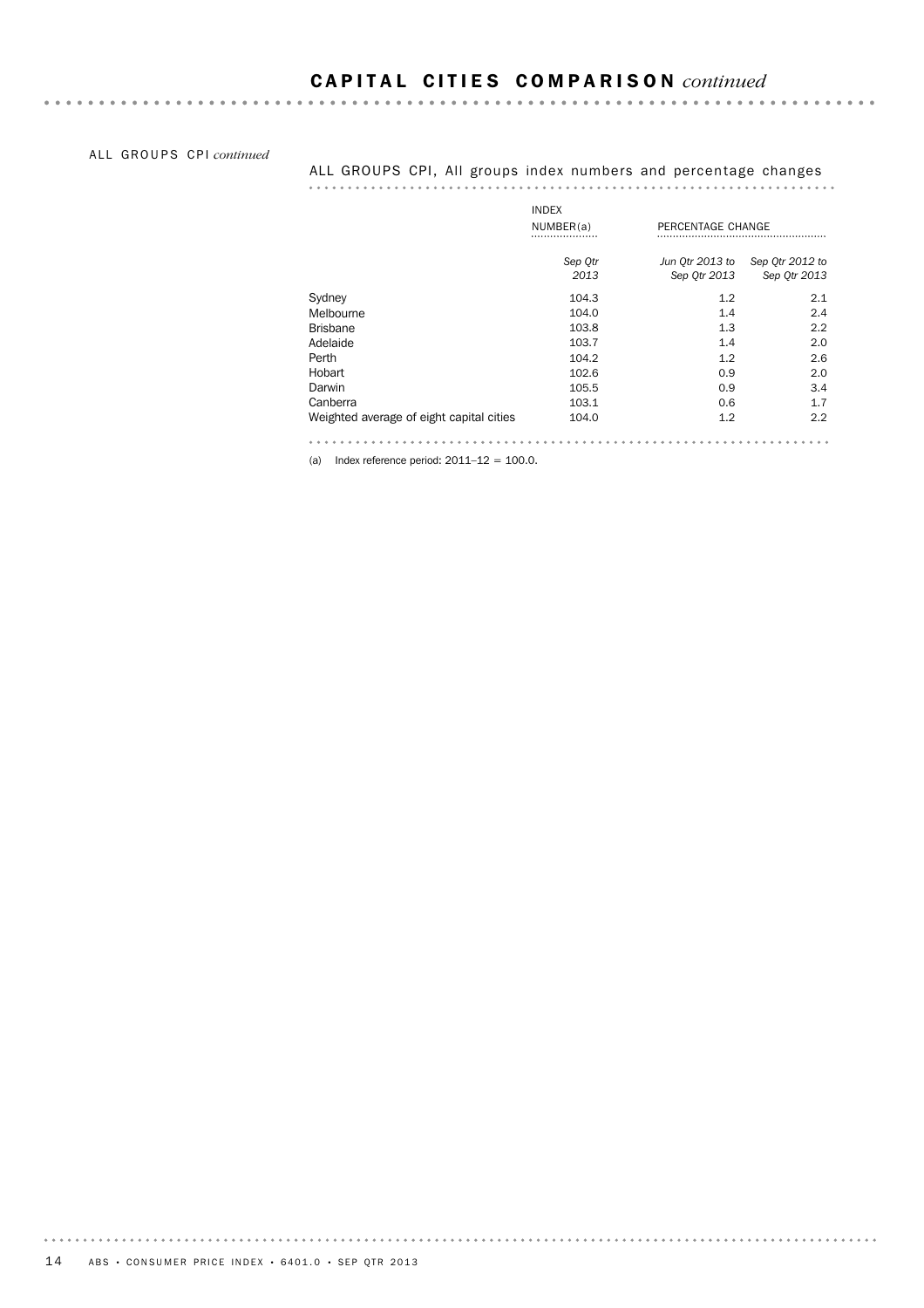### ALL GROUPS CPI *continued*

### ALL GROUPS CPI, All groups index numbers and percentage changes

|                                          | <b>INDEX</b> |                   |                 |
|------------------------------------------|--------------|-------------------|-----------------|
|                                          | NUMBER(a)    | PERCENTAGE CHANGE |                 |
|                                          | Sep Otr      | Jun Otr 2013 to   | Sep Otr 2012 to |
|                                          | 2013         | Sep Otr 2013      | Sep Otr 2013    |
| Sydney                                   | 104.3        | 1.2               | 2.1             |
| Melbourne                                | 104.0        | 1.4               | 2.4             |
| <b>Brisbane</b>                          | 103.8        | 1.3               | 2.2             |
| Adelaide                                 | 103.7        | 1.4               | 2.0             |
| Perth                                    | 104.2        | 1.2               | 2.6             |
| Hobart                                   | 102.6        | 0.9               | 2.0             |
| Darwin                                   | 105.5        | 0.9               | 3.4             |
| Canberra                                 | 103.1        | 0.6               | 1.7             |
| Weighted average of eight capital cities | 104.0        | 1.2               | 2.2             |
|                                          |              |                   |                 |

(a) Index reference period:  $2011-12 = 100.0$ .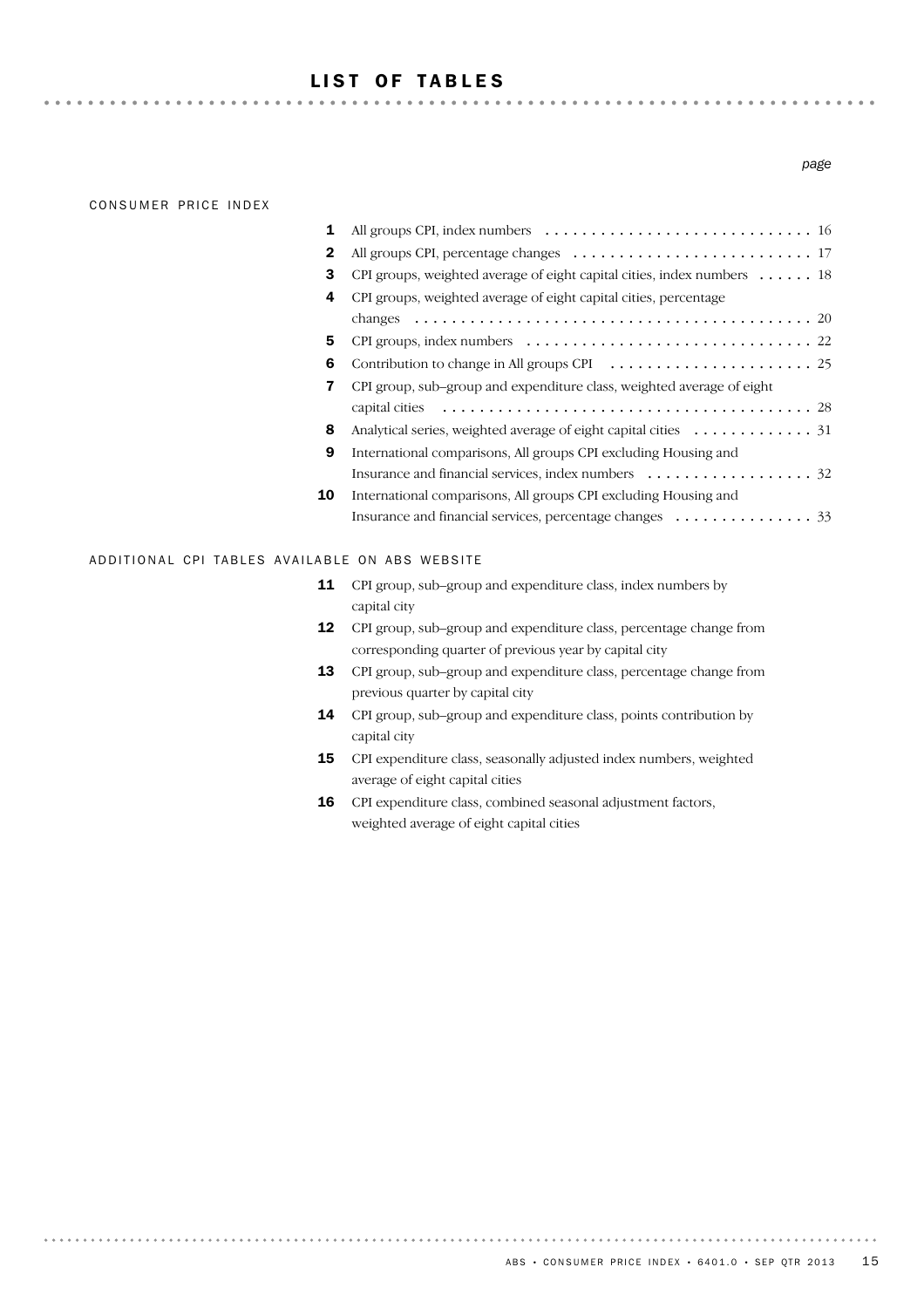## LIST OF TABLES

. . . . . . . . . . . .

### CONSUMER PRICE INDEX

. . . . . . . . .

### Insurance and financial services, percentage changes (and subseted that  $33$ International comparisons, All groups CPI excluding Housing and 10 Insurance and financial services, index numbers ................................. International comparisons, All groups CPI excluding Housing and 9 8 Analytical series, weighted average of eight capital cities ............. 31 28 capital cities ........................................ CPI group, sub–group and expenditure class, weighted average of eight 7 6 Contribution to change in All groups CPI ...................... 25 5 CPI groups, index numbers ............................... 22 20 changes ........................................... 4 CPI groups, weighted average of eight capital cities, percentage 3 CPI groups, weighted average of eight capital cities, index numbers . . . . . . 18 2 All groups CPI, percentage changes .......................... 17 1 All groups CPI, index numbers ............................. 16

### ADDITIONAL CPI TABLES AVAILABLE ON ABS WEBSITE

- **11** CPI group, sub–group and expenditure class, index numbers by capital city
- 12 CPI group, sub-group and expenditure class, percentage change from corresponding quarter of previous year by capital city
- 13 CPI group, sub–group and expenditure class, percentage change from previous quarter by capital city
- CPI group, sub–group and expenditure class, points contribution by capital city 14
- 15 CPI expenditure class, seasonally adjusted index numbers, weighted average of eight capital cities
- CPI expenditure class, combined seasonal adjustment factors, weighted average of eight capital cities 16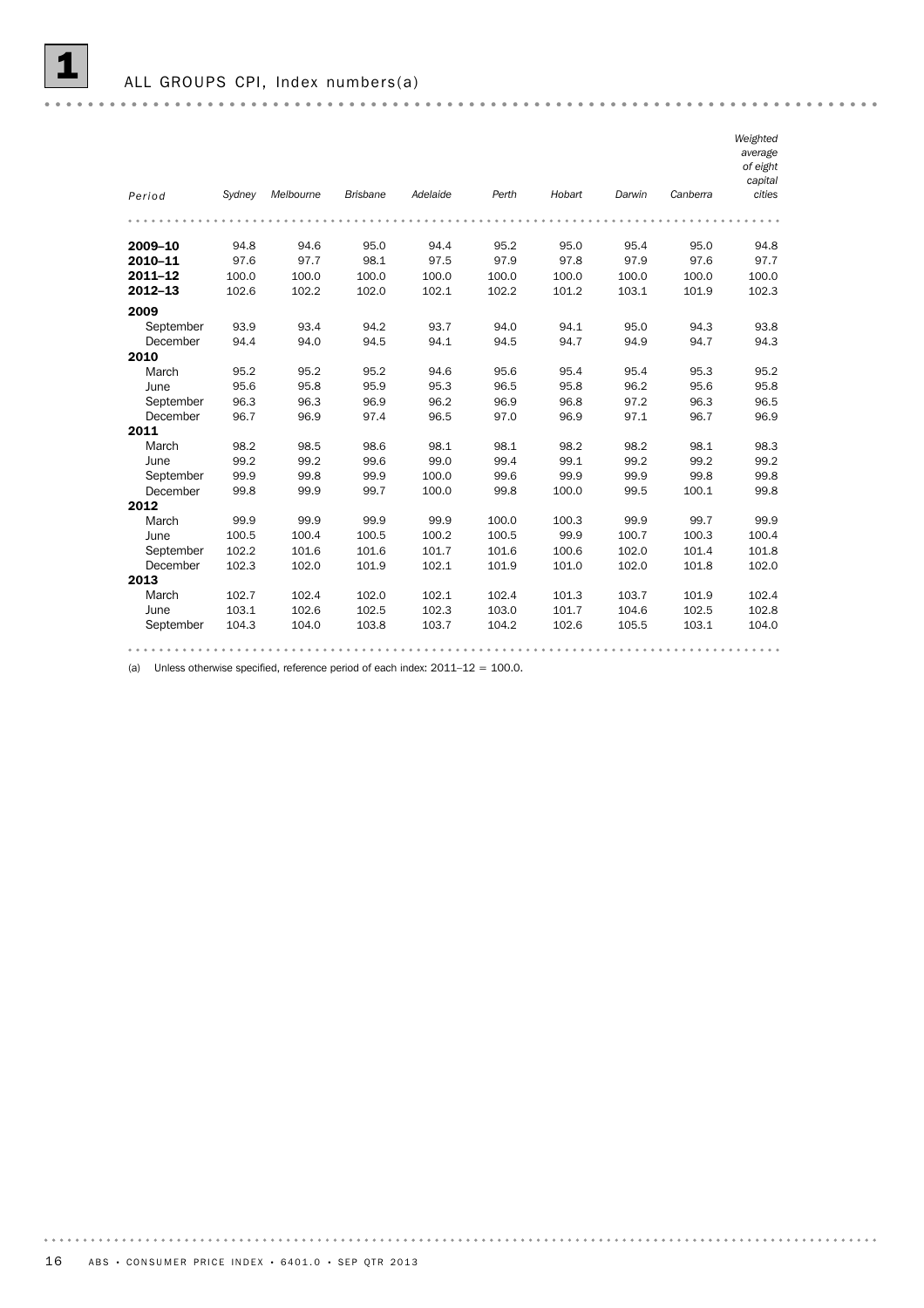

| Period    | Sydney | Melbourne | <b>Brisbane</b> | Adelaide | Perth | Hobart | Darwin | Canberra | Weighted<br>average<br>of eight<br>capital<br>cities |
|-----------|--------|-----------|-----------------|----------|-------|--------|--------|----------|------------------------------------------------------|
|           |        |           |                 |          |       |        |        |          |                                                      |
|           |        |           |                 |          |       |        |        |          |                                                      |
| 2009-10   | 94.8   | 94.6      | 95.0            | 94.4     | 95.2  | 95.0   | 95.4   | 95.0     | 94.8                                                 |
| 2010-11   | 97.6   | 97.7      | 98.1            | 97.5     | 97.9  | 97.8   | 97.9   | 97.6     | 97.7                                                 |
| 2011-12   | 100.0  | 100.0     | 100.0           | 100.0    | 100.0 | 100.0  | 100.0  | 100.0    | 100.0                                                |
| 2012-13   | 102.6  | 102.2     | 102.0           | 102.1    | 102.2 | 101.2  | 103.1  | 101.9    | 102.3                                                |
| 2009      |        |           |                 |          |       |        |        |          |                                                      |
| September | 93.9   | 93.4      | 94.2            | 93.7     | 94.0  | 94.1   | 95.0   | 94.3     | 93.8                                                 |
| December  | 94.4   | 94.0      | 94.5            | 94.1     | 94.5  | 94.7   | 94.9   | 94.7     | 94.3                                                 |
| 2010      |        |           |                 |          |       |        |        |          |                                                      |
| March     | 95.2   | 95.2      | 95.2            | 94.6     | 95.6  | 95.4   | 95.4   | 95.3     | 95.2                                                 |
| June      | 95.6   | 95.8      | 95.9            | 95.3     | 96.5  | 95.8   | 96.2   | 95.6     | 95.8                                                 |
| September | 96.3   | 96.3      | 96.9            | 96.2     | 96.9  | 96.8   | 97.2   | 96.3     | 96.5                                                 |
| December  | 96.7   | 96.9      | 97.4            | 96.5     | 97.0  | 96.9   | 97.1   | 96.7     | 96.9                                                 |
| 2011      |        |           |                 |          |       |        |        |          |                                                      |
| March     | 98.2   | 98.5      | 98.6            | 98.1     | 98.1  | 98.2   | 98.2   | 98.1     | 98.3                                                 |
| June      | 99.2   | 99.2      | 99.6            | 99.0     | 99.4  | 99.1   | 99.2   | 99.2     | 99.2                                                 |
| September | 99.9   | 99.8      | 99.9            | 100.0    | 99.6  | 99.9   | 99.9   | 99.8     | 99.8                                                 |
| December  | 99.8   | 99.9      | 99.7            | 100.0    | 99.8  | 100.0  | 99.5   | 100.1    | 99.8                                                 |
| 2012      |        |           |                 |          |       |        |        |          |                                                      |
| March     | 99.9   | 99.9      | 99.9            | 99.9     | 100.0 | 100.3  | 99.9   | 99.7     | 99.9                                                 |
| June      | 100.5  | 100.4     | 100.5           | 100.2    | 100.5 | 99.9   | 100.7  | 100.3    | 100.4                                                |
| September | 102.2  | 101.6     | 101.6           | 101.7    | 101.6 | 100.6  | 102.0  | 101.4    | 101.8                                                |
| December  | 102.3  | 102.0     | 101.9           | 102.1    | 101.9 | 101.0  | 102.0  | 101.8    | 102.0                                                |
| 2013      |        |           |                 |          |       |        |        |          |                                                      |
| March     | 102.7  | 102.4     | 102.0           | 102.1    | 102.4 | 101.3  | 103.7  | 101.9    | 102.4                                                |
| June      | 103.1  | 102.6     | 102.5           | 102.3    | 103.0 | 101.7  | 104.6  | 102.5    | 102.8                                                |
| September | 104.3  | 104.0     | 103.8           | 103.7    | 104.2 | 102.6  | 105.5  | 103.1    | 104.0                                                |
|           |        |           |                 |          |       |        |        |          |                                                      |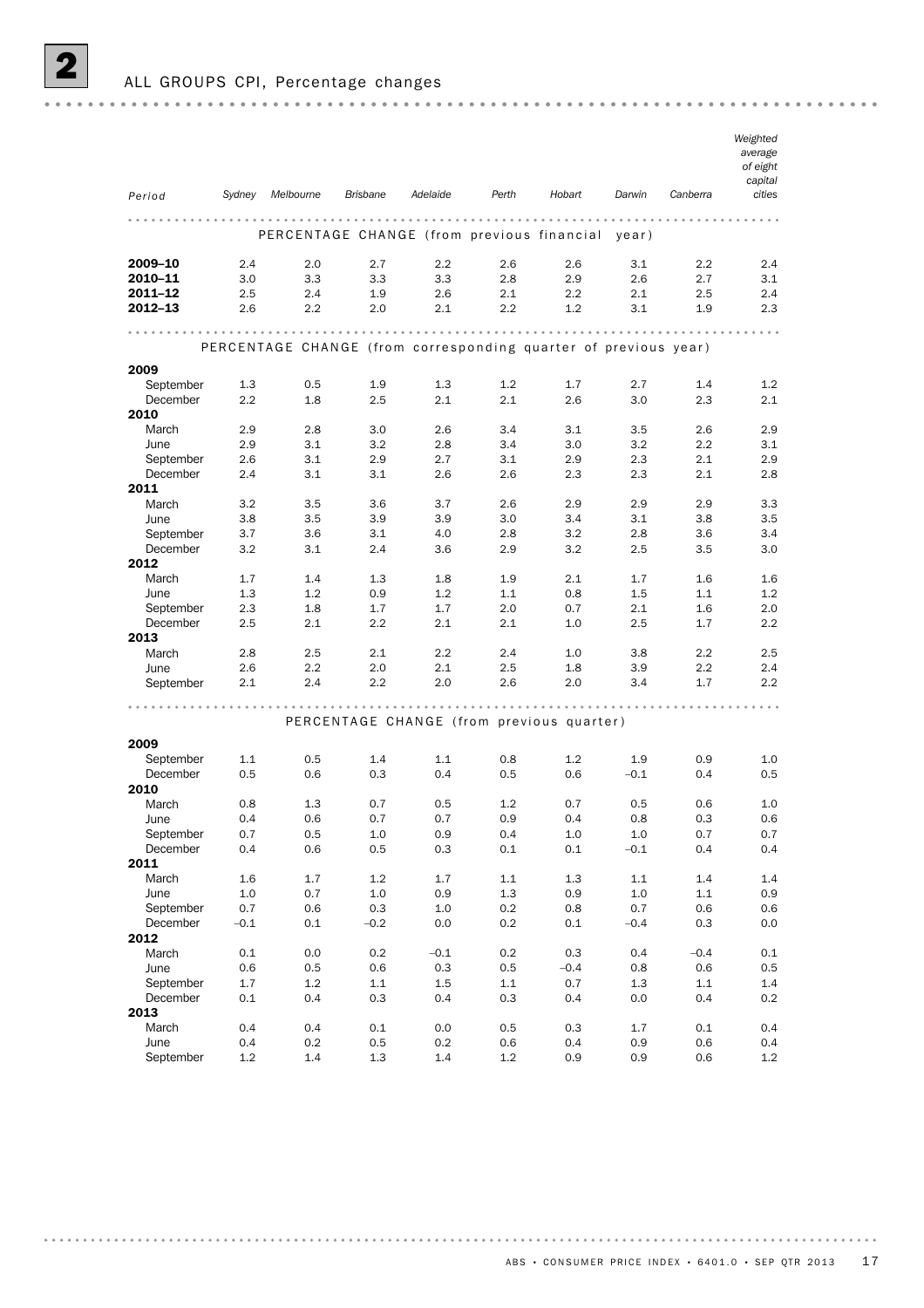ALL GROUPS CPI, Percentage changes

| Period           | Sydney     | Melbourne                                                       | <b>Brisbane</b> | Adelaide                                  | Perth   | Hobart     | Darwin     | Canberra   | Weighted<br>average<br>of eight<br>capital<br>cities |
|------------------|------------|-----------------------------------------------------------------|-----------------|-------------------------------------------|---------|------------|------------|------------|------------------------------------------------------|
|                  |            |                                                                 |                 |                                           |         | $- - - -$  |            |            |                                                      |
|                  |            | PERCENTAGE CHANGE (from previous financial                      |                 |                                           |         |            | vear)      |            |                                                      |
| 2009-10          | 2.4        | 2.0                                                             | 2.7             | 2.2                                       | 2.6     | 2.6        | 3.1        | 2.2        | 2.4                                                  |
| 2010-11          | 3.0        | 3.3                                                             | 3.3             | 3.3                                       | 2.8     | 2.9        | 2.6        | 2.7        | 3.1                                                  |
| 2011-12          | 2.5        | 2.4                                                             | 1.9             | 2.6                                       | 2.1     | 2.2        | 2.1        | 2.5        | 2.4                                                  |
| 2012-13          | 2.6        | 2.2                                                             | 2.0             | 2.1                                       | 2.2     | 1.2        | 3.1        | 1.9        | 2.3                                                  |
|                  |            |                                                                 |                 |                                           |         |            |            |            |                                                      |
|                  |            | PERCENTAGE CHANGE (from corresponding quarter of previous year) |                 |                                           |         |            |            |            |                                                      |
| 2009             |            |                                                                 |                 |                                           |         |            |            |            |                                                      |
| September        | 1.3        | 0.5                                                             | 1.9             | 1.3                                       | 1.2     | 1.7        | 2.7        | 1.4        | 1.2                                                  |
| December<br>2010 | 2.2        | 1.8                                                             | 2.5             | 2.1                                       | 2.1     | 2.6        | 3.0        | 2.3        | 2.1                                                  |
| March            | 2.9        | 2.8                                                             | 3.0             | 2.6                                       | 3.4     | 3.1        | 3.5        | 2.6        | 2.9                                                  |
| June             | 2.9        | 3.1                                                             | 3.2             | 2.8                                       | 3.4     | 3.0        | 3.2        | 2.2        | 3.1                                                  |
| September        | 2.6        | 3.1                                                             | 2.9             | 2.7                                       | 3.1     | 2.9        | 2.3        | 2.1        | 2.9                                                  |
| December         | 2.4        | 3.1                                                             | 3.1             | 2.6                                       | 2.6     | 2.3        | 2.3        | 2.1        | 2.8                                                  |
| 2011             |            |                                                                 |                 |                                           |         |            |            |            |                                                      |
| March            | 3.2        | 3.5                                                             | 3.6             | 3.7                                       | 2.6     | 2.9        | 2.9        | 2.9        | 3.3                                                  |
| June             | 3.8        | 3.5                                                             | 3.9             | 3.9                                       | 3.0     | 3.4        | 3.1        | 3.8        | 3.5                                                  |
| September        | 3.7        | 3.6                                                             | 3.1             | 4.0                                       | 2.8     | 3.2        | 2.8        | 3.6        | 3.4                                                  |
| December         | 3.2        | 3.1                                                             | 2.4             | 3.6                                       | 2.9     | 3.2        | 2.5        | 3.5        | 3.0                                                  |
| 2012<br>March    | 1.7        | 1.4                                                             |                 | 1.8                                       | 1.9     |            | 1.7        | 1.6        |                                                      |
| June             | 1.3        | 1.2                                                             | 1.3<br>0.9      | 1.2                                       | 1.1     | 2.1<br>0.8 | 1.5        | 1.1        | 1.6<br>1.2                                           |
| September        | 2.3        | 1.8                                                             | 1.7             | 1.7                                       | 2.0     | 0.7        | 2.1        | 1.6        | 2.0                                                  |
| December         | 2.5        | 2.1                                                             | 2.2             | 2.1                                       | 2.1     | 1.0        | 2.5        | 1.7        | 2.2                                                  |
| 2013             |            |                                                                 |                 |                                           |         |            |            |            |                                                      |
| March            | 2.8        | 2.5                                                             | 2.1             | 2.2                                       | 2.4     | 1.0        | 3.8        | 2.2        | 2.5                                                  |
| June             | 2.6        | 2.2                                                             | 2.0             | 2.1                                       | 2.5     | 1.8        | 3.9        | $2.2\,$    | 2.4                                                  |
| September        | 2.1        | 2.4                                                             | 2.2             | 2.0                                       | 2.6     | 2.0        | 3.4        | 1.7        | 2.2                                                  |
|                  |            |                                                                 |                 |                                           |         |            |            |            |                                                      |
|                  |            |                                                                 |                 | PERCENTAGE CHANGE (from previous quarter) |         |            |            |            |                                                      |
| 2009             |            |                                                                 |                 |                                           |         |            |            |            |                                                      |
| September        | 1.1        | 0.5                                                             | 1.4             | 1.1                                       | 0.8     | 1.2        | 1.9        | 0.9        | 1.0                                                  |
| December         | 0.5        | 0.6                                                             | 0.3             | 0.4                                       | 0.5     | 0.6        | $-0.1$     | 0.4        | 0.5                                                  |
| 2010<br>March    |            |                                                                 | 0.7             |                                           | 1.2     | 0.7        |            |            | 1.0                                                  |
| June             | 0.8<br>0.4 | 1.3<br>0.6                                                      | 0.7             | 0.5<br>0.7                                | 0.9     | 0.4        | 0.5<br>0.8 | 0.6<br>0.3 | 0.6                                                  |
| September        | 0.7        | 0.5                                                             | $1.0\,$         | 0.9                                       | 0.4     | $1.0\,$    | $1.0\,$    | 0.7        | 0.7                                                  |
| December         | 0.4        | 0.6                                                             | 0.5             | 0.3                                       | 0.1     | 0.1        | $-0.1$     | 0.4        | 0.4                                                  |
| 2011             |            |                                                                 |                 |                                           |         |            |            |            |                                                      |
| March            | 1.6        | 1.7                                                             | 1.2             | 1.7                                       | 1.1     | 1.3        | 1.1        | 1.4        | 1.4                                                  |
| June             | $1.0\,$    | 0.7                                                             | $1.0\,$         | 0.9                                       | $1.3\,$ | $0.9\,$    | $1.0\,$    | $1.1\,$    | 0.9                                                  |
| September        | 0.7        | 0.6                                                             | 0.3             | 1.0                                       | 0.2     | $0.8\,$    | 0.7        | 0.6        | 0.6                                                  |
| December         | $-0.1$     | 0.1                                                             | $-0.2$          | 0.0                                       | 0.2     | 0.1        | $-0.4$     | 0.3        | 0.0                                                  |
| 2012<br>March    | 0.1        | 0.0                                                             | 0.2             | $-0.1$                                    | 0.2     | 0.3        | 0.4        | $-0.4$     | 0.1                                                  |
| June             | 0.6        | 0.5                                                             | 0.6             | $0.3\,$                                   | 0.5     | $-0.4$     | 0.8        | 0.6        | 0.5                                                  |
| September        | 1.7        | 1.2                                                             | 1.1             | 1.5                                       | 1.1     | 0.7        | 1.3        | 1.1        | 1.4                                                  |
| December         | 0.1        | 0.4                                                             | 0.3             | 0.4                                       | 0.3     | 0.4        | 0.0        | 0.4        | 0.2                                                  |
| 2013             |            |                                                                 |                 |                                           |         |            |            |            |                                                      |
| March            | 0.4        | 0.4                                                             | 0.1             | 0.0                                       | 0.5     | 0.3        | 1.7        | 0.1        | 0.4                                                  |
| June             | 0.4        | 0.2                                                             | $0.5\,$         | 0.2                                       | 0.6     | $0.4\,$    | 0.9        | 0.6        | 0.4                                                  |
| September        | 1.2        | 1.4                                                             | $1.3\,$         | 1.4                                       | $1.2\,$ | 0.9        | 0.9        | 0.6        | 1.2                                                  |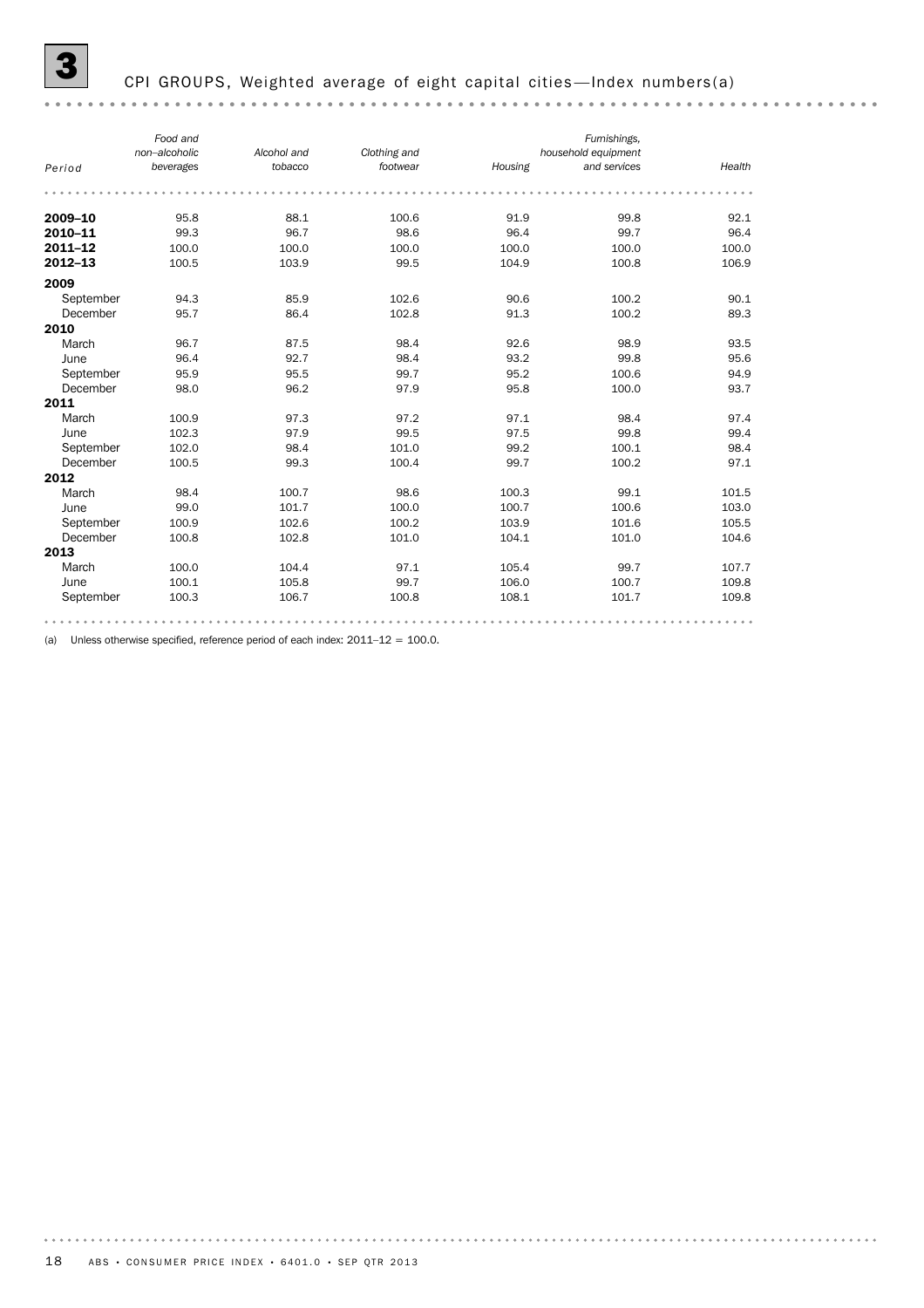# CPI GROUPS, Weighted average of eight capital cities—Index numbers(a)

|             | Food and<br>non-alcoholic | Alcohol and | Clothing and |         | Furnishings,<br>household equipment |        |
|-------------|---------------------------|-------------|--------------|---------|-------------------------------------|--------|
| Period      | beverages                 | tobacco     | footwear     | Housing | and services                        | Health |
|             |                           |             |              |         |                                     |        |
| 2009-10     | 95.8                      | 88.1        | 100.6        | 91.9    | 99.8                                | 92.1   |
| 2010-11     | 99.3                      | 96.7        | 98.6         | 96.4    | 99.7                                | 96.4   |
| $2011 - 12$ | 100.0                     | 100.0       | 100.0        | 100.0   | 100.0                               | 100.0  |
| $2012 - 13$ | 100.5                     | 103.9       | 99.5         | 104.9   | 100.8                               | 106.9  |
| 2009        |                           |             |              |         |                                     |        |
| September   | 94.3                      | 85.9        | 102.6        | 90.6    | 100.2                               | 90.1   |
| December    | 95.7                      | 86.4        | 102.8        | 91.3    | 100.2                               | 89.3   |
| 2010        |                           |             |              |         |                                     |        |
| March       | 96.7                      | 87.5        | 98.4         | 92.6    | 98.9                                | 93.5   |
| June        | 96.4                      | 92.7        | 98.4         | 93.2    | 99.8                                | 95.6   |
| September   | 95.9                      | 95.5        | 99.7         | 95.2    | 100.6                               | 94.9   |
| December    | 98.0                      | 96.2        | 97.9         | 95.8    | 100.0                               | 93.7   |
| 2011        |                           |             |              |         |                                     |        |
| March       | 100.9                     | 97.3        | 97.2         | 97.1    | 98.4                                | 97.4   |
| June        | 102.3                     | 97.9        | 99.5         | 97.5    | 99.8                                | 99.4   |
| September   | 102.0                     | 98.4        | 101.0        | 99.2    | 100.1                               | 98.4   |
| December    | 100.5                     | 99.3        | 100.4        | 99.7    | 100.2                               | 97.1   |
| 2012        |                           |             |              |         |                                     |        |
| March       | 98.4                      | 100.7       | 98.6         | 100.3   | 99.1                                | 101.5  |
| June        | 99.0                      | 101.7       | 100.0        | 100.7   | 100.6                               | 103.0  |
| September   | 100.9                     | 102.6       | 100.2        | 103.9   | 101.6                               | 105.5  |
| December    | 100.8                     | 102.8       | 101.0        | 104.1   | 101.0                               | 104.6  |
| 2013        |                           |             |              |         |                                     |        |
| March       | 100.0                     | 104.4       | 97.1         | 105.4   | 99.7                                | 107.7  |
| June        | 100.1                     | 105.8       | 99.7         | 106.0   | 100.7                               | 109.8  |
| September   | 100.3                     | 106.7       | 100.8        | 108.1   | 101.7                               | 109.8  |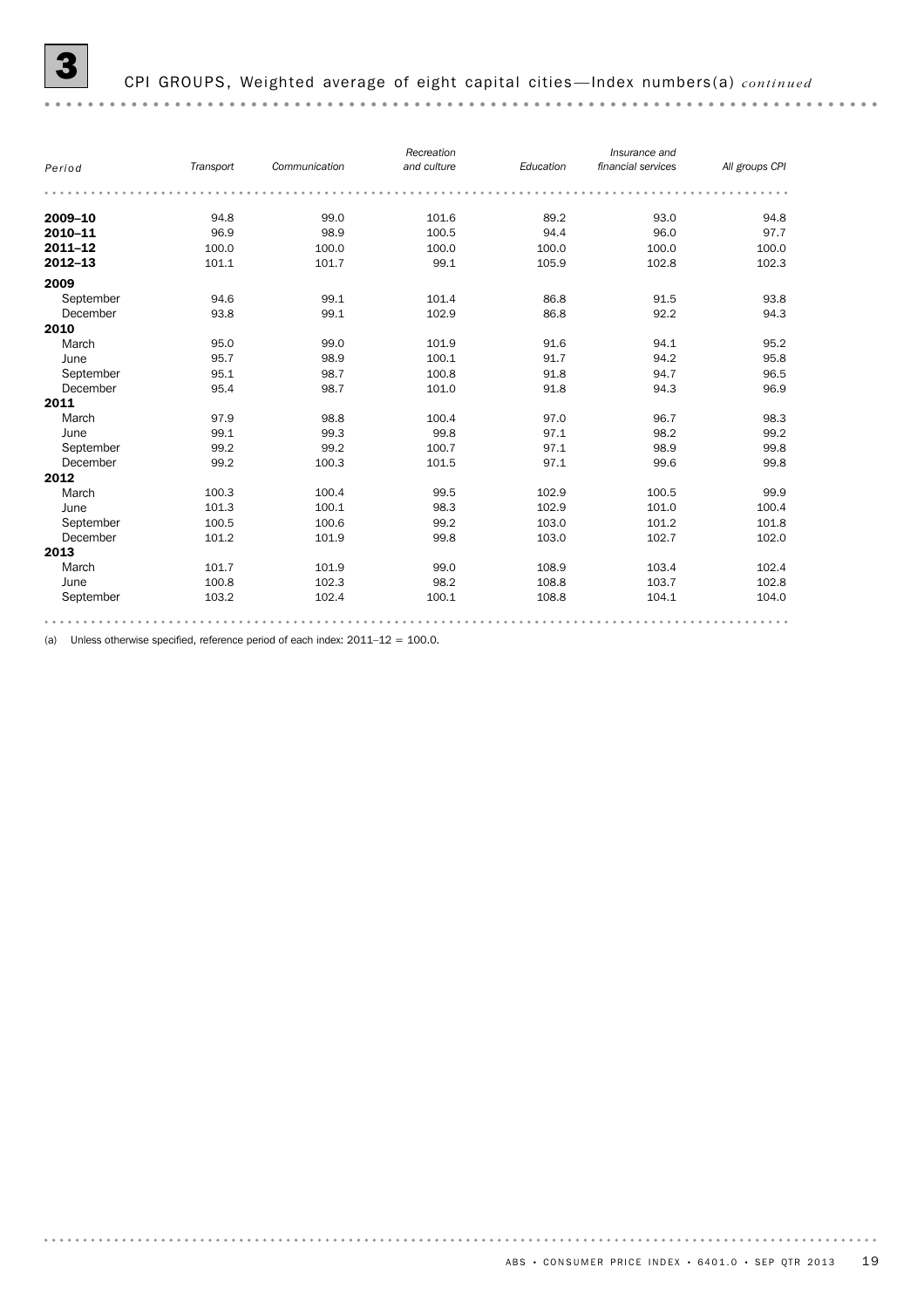| Period      | Transport | Communication | Recreation<br>and culture | Education | Insurance and<br>financial services | All groups CPI |
|-------------|-----------|---------------|---------------------------|-----------|-------------------------------------|----------------|
|             |           |               |                           |           |                                     |                |
| 2009-10     | 94.8      | 99.0          | 101.6                     | 89.2      | 93.0                                | 94.8           |
| 2010-11     | 96.9      | 98.9          | 100.5                     | 94.4      | 96.0                                | 97.7           |
| $2011 - 12$ | 100.0     | 100.0         | 100.0                     | 100.0     | 100.0                               | 100.0          |
| 2012-13     | 101.1     | 101.7         | 99.1                      | 105.9     | 102.8                               | 102.3          |
| 2009        |           |               |                           |           |                                     |                |
| September   | 94.6      | 99.1          | 101.4                     | 86.8      | 91.5                                | 93.8           |
| December    | 93.8      | 99.1          | 102.9                     | 86.8      | 92.2                                | 94.3           |
| 2010        |           |               |                           |           |                                     |                |
| March       | 95.0      | 99.0          | 101.9                     | 91.6      | 94.1                                | 95.2           |
| June        | 95.7      | 98.9          | 100.1                     | 91.7      | 94.2                                | 95.8           |
| September   | 95.1      | 98.7          | 100.8                     | 91.8      | 94.7                                | 96.5           |
| December    | 95.4      | 98.7          | 101.0                     | 91.8      | 94.3                                | 96.9           |
| 2011        |           |               |                           |           |                                     |                |
| March       | 97.9      | 98.8          | 100.4                     | 97.0      | 96.7                                | 98.3           |
| June        | 99.1      | 99.3          | 99.8                      | 97.1      | 98.2                                | 99.2           |
| September   | 99.2      | 99.2          | 100.7                     | 97.1      | 98.9                                | 99.8           |
| December    | 99.2      | 100.3         | 101.5                     | 97.1      | 99.6                                | 99.8           |
| 2012        |           |               |                           |           |                                     |                |
| March       | 100.3     | 100.4         | 99.5                      | 102.9     | 100.5                               | 99.9           |
| June        | 101.3     | 100.1         | 98.3                      | 102.9     | 101.0                               | 100.4          |
| September   | 100.5     | 100.6         | 99.2                      | 103.0     | 101.2                               | 101.8          |
| December    | 101.2     | 101.9         | 99.8                      | 103.0     | 102.7                               | 102.0          |
| 2013        |           |               |                           |           |                                     |                |
| March       | 101.7     | 101.9         | 99.0                      | 108.9     | 103.4                               | 102.4          |
| June        | 100.8     | 102.3         | 98.2                      | 108.8     | 103.7                               | 102.8          |
| September   | 103.2     | 102.4         | 100.1                     | 108.8     | 104.1                               | 104.0          |
|             |           |               |                           |           |                                     |                |

(a) Unless otherwise specified, reference period of each index:  $2011-12 = 100.0$ .

ABS  $\cdot$  CONSUMER PRICE INDEX  $\cdot$  6401.0  $\cdot$  SEP QTR 2013 19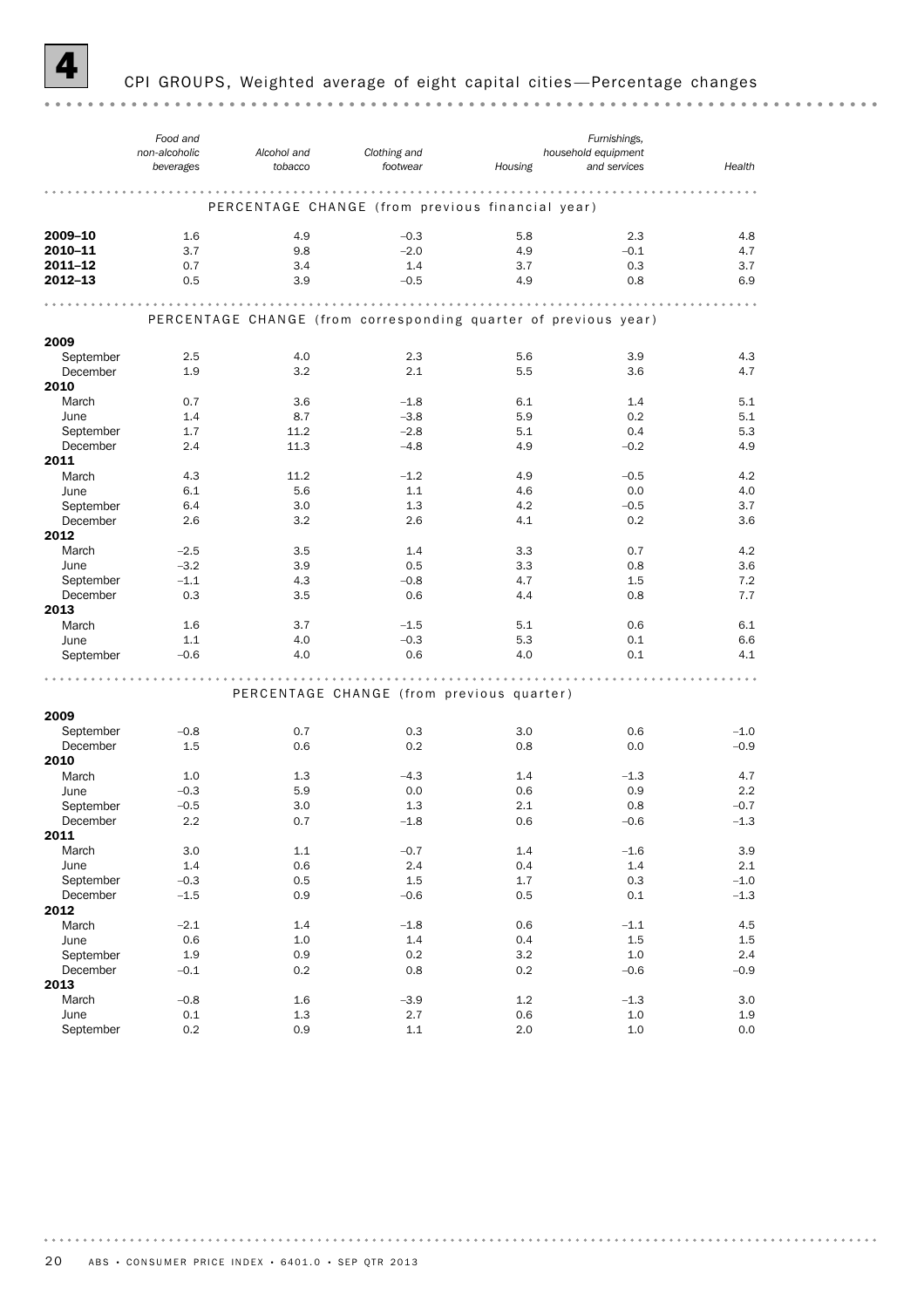

### CPI GROUPS, Weighted average of eight capital cities-Percentage changes

*Food and Furnishings, non-alcoholic Alcohol and Clothing and household equipment footwear Housing and services beverages tobacco Health* PERCENTAGE CHANGE (from previous financial year) **2009–10** 1.6 4.9  $-0.3$  5.8 2.3 4.8 **2010–11** 3.7 9.8  $-2.0$  4.9  $-0.1$  4.7 **2011–12** 0.7 3.4 1.4 3.7 0.3 3.7 **2012–13** 0.5 3.9  $-0.5$  4.9 0.8 6.9 PERCENTAGE CHANGE (from corresponding quarter of previous year) 2009 September 2.5 4.0 2.3 5.6 3.9 4.3 December 1.9 3.2 2.1 5.5 3.6 4.7 2010 March 0.7 3.6 – 1.8 6.1 1.4 5.1 June 1.4 8.7 –3.8 5.9 0.2 5.1 September 1.7 11.2 – 2.8 5.1 0.4 5.3 December 2.4 11.3 –4.8 4.9 –0.2 4.9 2011 March 4.3 11.2 – 1.2 4.9 – 0.5 4.2 June 6.1 5.6 1.1 4.6 0.0 4.0 September 6.4 3.0 1.3 4.2 – 0.5 3.7 December 2.6 3.2 2.6 4.1 0.2 3.6 2012 March –2.5 3.5 1.4 3.3 0.7 4.2 June –3.2 3.9 0.5 3.3 0.8 3.6 September –1.1 4.3 – 0.8 4.7 1.5 7.2 December 0.3 3.5 0.6 4.4 0.8 7.7 2013 March 1.6 3.7 – 1.5 5.1 0.6 6.1 June 1.1 4.0 –0.3 5.3 0.1 6.6 September –0.6 4.0 0.6 4.0 0.1 4.1 PERCENTAGE CHANGE (from previous quarter) 2009 September –0.8 0.7 0.3 3.0 0.6 –1.0 December 1.5 0.6 0.2 0.8 0.0 –0.9 **2010**<br>March March 1.0 1.3 –4.3 1.4 – 1.3 4.7 June –0.3 5.9 0.0 0.6 0.9 2.2 September –0.5 3.0 1.3 2.1 0.8 –0.7 December 2.2 0.7 –1.8 0.6 –0.6 –1.3 2011 March 3.0 1.1 – 0.7 1.4 – 1.6 3.9 June 1.4 0.6 2.4 0.4 1.4 2.1 September –0.3 0.5 1.5 1.7 0.3 –1.0 December –1.5 0.9 –0.6 0.5 0.1 –1.3 **2012**<br>March March –2.1 1.4 –1.8 0.6 –1.1 4.5 June 0.6 1.0 1.4 0.4 1.5 1.5 September 1.9 0.9 0.2 3.2 1.0 2.4 December –0.1 0.2 0.8 0.2 –0.6 –0.9 **2013**<br>March March –0.8 1.6 –3.9 1.2 –1.3 3.0 June 0.1 1.3 2.7 0.6 1.0 1.9 September 0.2 0.9 1.1 2.0 1.0 0.0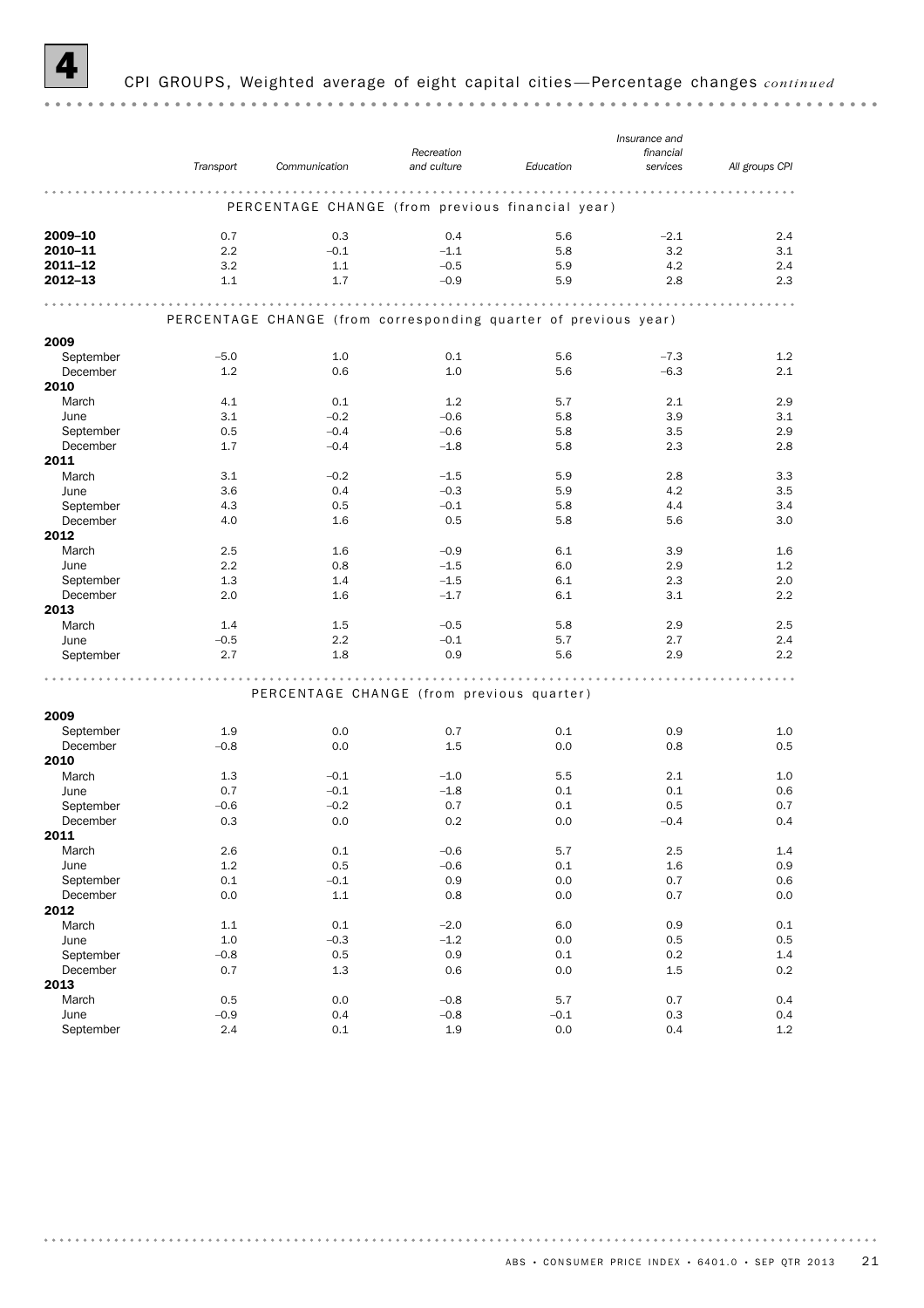

# 4 CPI GROUPS, Weighted average of eight capital cities —Percentage changes *continued*

|             |           |                                                                 |             | Insurance and |           |                |
|-------------|-----------|-----------------------------------------------------------------|-------------|---------------|-----------|----------------|
|             |           |                                                                 | Recreation  |               | financial |                |
|             | Transport | Communication                                                   | and culture | Education     | services  | All groups CPI |
|             |           |                                                                 |             |               |           |                |
|             |           |                                                                 |             |               |           |                |
|             |           | PERCENTAGE CHANGE (from previous financial year)                |             |               |           |                |
|             |           |                                                                 |             |               |           |                |
| 2009-10     | 0.7       | 0.3                                                             | 0.4         | 5.6           | $-2.1$    | 2.4            |
| 2010-11     | 2.2       | $-0.1$                                                          | $-1.1$      | 5.8           | 3.2       | 3.1            |
| $2011 - 12$ | 3.2       | 1.1                                                             | $-0.5$      | 5.9           | 4.2       | 2.4            |
| 2012-13     | 1.1       | 1.7                                                             | $-0.9$      | 5.9           | 2.8       | 2.3            |
|             |           |                                                                 |             |               |           |                |
|             |           |                                                                 |             |               |           |                |
|             |           | PERCENTAGE CHANGE (from corresponding quarter of previous year) |             |               |           |                |
| 2009        |           |                                                                 |             |               |           |                |
| September   | $-5.0$    | 1.0                                                             | 0.1         | 5.6           | $-7.3$    | 1.2            |
| December    | 1.2       | 0.6                                                             | 1.0         | 5.6           | $-6.3$    | 2.1            |
| 2010        |           |                                                                 |             |               |           |                |
| March       | 4.1       | 0.1                                                             | 1.2         | 5.7           | 2.1       | 2.9            |
| June        | 3.1       | $-0.2$                                                          | $-0.6$      | 5.8           | 3.9       | 3.1            |
| September   | 0.5       | $-0.4$                                                          | $-0.6$      | 5.8           | 3.5       | 2.9            |
| December    | 1.7       | $-0.4$                                                          | $-1.8$      | 5.8           | 2.3       | 2.8            |
| 2011        |           |                                                                 |             |               |           |                |
|             |           |                                                                 |             |               |           |                |
| March       | 3.1       | $-0.2$                                                          | $-1.5$      | 5.9           | 2.8       | 3.3            |
| June        | 3.6       | 0.4                                                             | $-0.3$      | 5.9           | 4.2       | 3.5            |
| September   | 4.3       | 0.5                                                             | $-0.1$      | 5.8           | 4.4       | 3.4            |
| December    | 4.0       | 1.6                                                             | 0.5         | 5.8           | 5.6       | 3.0            |
| 2012        |           |                                                                 |             |               |           |                |
| March       | 2.5       | 1.6                                                             | $-0.9$      | 6.1           | 3.9       | 1.6            |
| June        | 2.2       | 0.8                                                             | $-1.5$      | 6.0           | 2.9       | 1.2            |
| September   | 1.3       | 1.4                                                             | $-1.5$      | 6.1           | 2.3       | 2.0            |
| December    | 2.0       | 1.6                                                             | $-1.7$      | 6.1           | 3.1       | 2.2            |
| 2013        |           |                                                                 |             |               |           |                |
| March       | 1.4       | 1.5                                                             | $-0.5$      | 5.8           | 2.9       | 2.5            |
| June        | $-0.5$    | 2.2                                                             | $-0.1$      | 5.7           | 2.7       | 2.4            |
| September   | 2.7       | 1.8                                                             | 0.9         | 5.6           | 2.9       | 2.2            |
|             |           |                                                                 |             |               |           |                |
|             |           |                                                                 |             |               |           |                |
|             |           | PERCENTAGE CHANGE (from previous quarter)                       |             |               |           |                |
| 2009        |           |                                                                 |             |               |           |                |
| September   | 1.9       | 0.0                                                             | 0.7         | 0.1           | 0.9       | 1.0            |
| December    | $-0.8$    | 0.0                                                             | 1.5         | 0.0           | 0.8       | 0.5            |
| 2010        |           |                                                                 |             |               |           |                |
| March       |           |                                                                 |             | 5.5           | 2.1       |                |
|             | 1.3       | $-0.1$                                                          | $-1.0$      |               |           | 1.0            |
| June        | 0.7       | $-0.1$                                                          | $-1.8$      | 0.1           | 0.1       | 0.6            |
| September   | $-0.6$    | $-0.2$                                                          | 0.7         | 0.1           | 0.5       | 0.7            |
| December    | 0.3       | 0.0                                                             | 0.2         | 0.0           | $-0.4$    | 0.4            |
| 2011        |           |                                                                 |             |               |           |                |
| March       | 2.6       | 0.1                                                             | $-0.6$      | 5.7           | 2.5       | 1.4            |
| June        | 1.2       | 0.5                                                             | $-0.6$      | 0.1           | 1.6       | 0.9            |
| September   | 0.1       | $-0.1$                                                          | 0.9         | 0.0           | 0.7       | 0.6            |
| December    | 0.0       | 1.1                                                             | 0.8         | 0.0           | 0.7       | 0.0            |
| 2012        |           |                                                                 |             |               |           |                |
| March       | 1.1       | 0.1                                                             | $-2.0$      | 6.0           | 0.9       | 0.1            |
| June        | 1.0       | $-0.3$                                                          | $-1.2$      | 0.0           | 0.5       | 0.5            |
| September   | $-0.8$    | 0.5                                                             | 0.9         | 0.1           | $0.2\,$   | $1.4\,$        |
| December    | 0.7       | $1.3\,$                                                         | 0.6         | 0.0           | 1.5       | 0.2            |
| 2013        |           |                                                                 |             |               |           |                |
| March       | 0.5       | 0.0                                                             | $-0.8$      | 5.7           | 0.7       | 0.4            |
| June        | $-0.9$    | 0.4                                                             | $-0.8$      | $-0.1$        | 0.3       | 0.4            |
| September   | 2.4       | 0.1                                                             | 1.9         | 0.0           | 0.4       | 1.2            |
|             |           |                                                                 |             |               |           |                |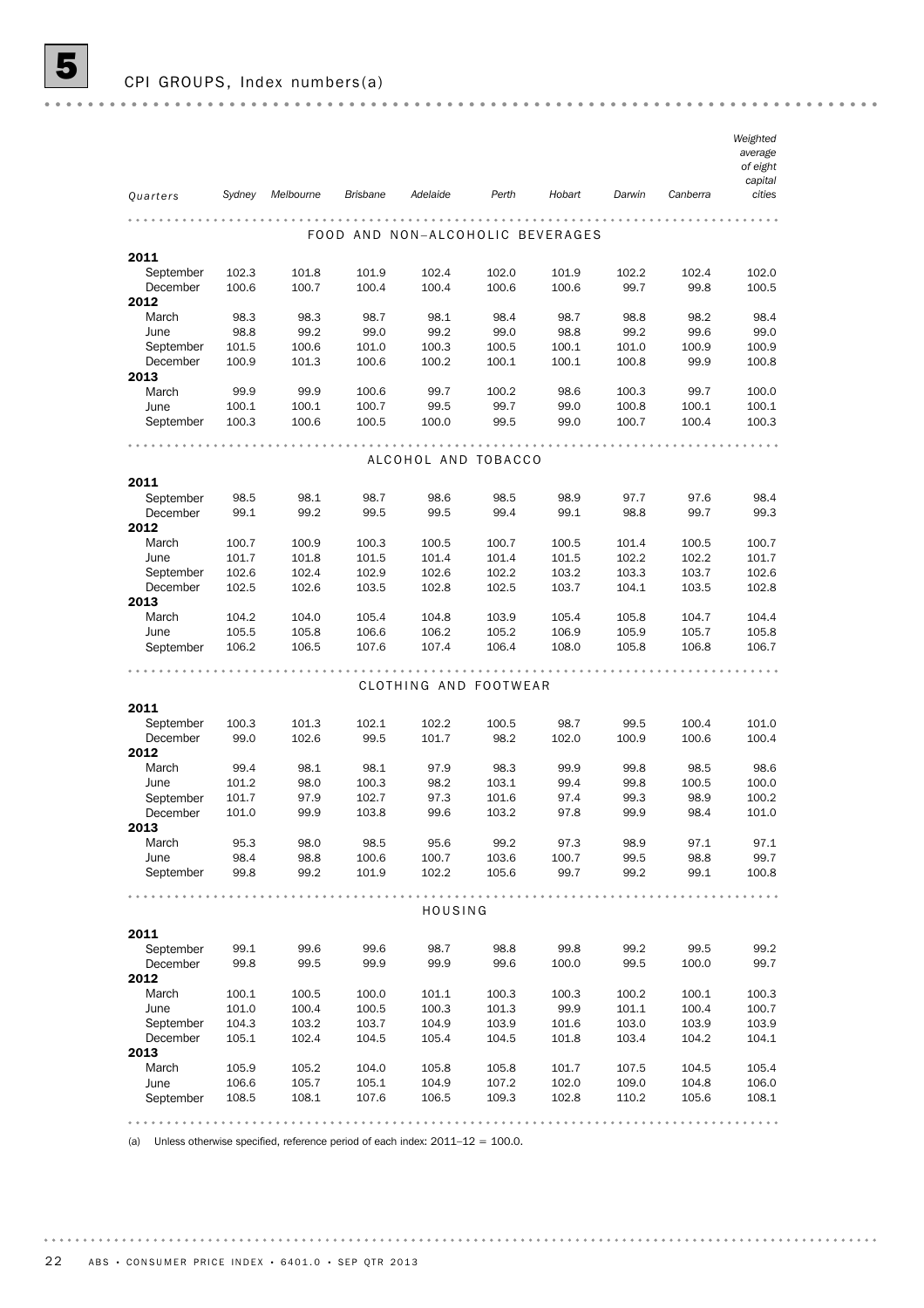|                   |                |           |                 |                                  |       |                |                |                | Weighted<br>average<br>of eight<br>capital |
|-------------------|----------------|-----------|-----------------|----------------------------------|-------|----------------|----------------|----------------|--------------------------------------------|
| Quarters          | Sydney         | Melbourne | <b>Brisbane</b> | Adelaide                         | Perth | Hobart         | Darwin         | Canberra       | cities                                     |
|                   |                |           |                 | FOOD AND NON-ALCOHOLIC BEVERAGES |       |                |                |                |                                            |
| 2011              |                |           |                 |                                  |       |                |                |                |                                            |
| September         | 102.3          | 101.8     | 101.9           | 102.4                            | 102.0 | 101.9          | 102.2          | 102.4          | 102.0                                      |
| December<br>2012  | 100.6          | 100.7     | 100.4           | 100.4                            | 100.6 | 100.6          | 99.7           | 99.8           | 100.5                                      |
| March             | 98.3           | 98.3      | 98.7            | 98.1                             | 98.4  | 98.7           | 98.8           | 98.2           | 98.4                                       |
| June              | 98.8           | 99.2      | 99.0            | 99.2                             | 99.0  | 98.8           | 99.2           | 99.6           | 99.0                                       |
| September         | 101.5          | 100.6     | 101.0           | 100.3                            | 100.5 | 100.1          | 101.0          | 100.9          | 100.9                                      |
| December          | 100.9          | 101.3     | 100.6           | 100.2                            | 100.1 | 100.1          | 100.8          | 99.9           | 100.8                                      |
| 2013              |                |           |                 |                                  |       |                |                |                |                                            |
| March             | 99.9           | 99.9      | 100.6           | 99.7                             | 100.2 | 98.6           | 100.3          | 99.7           | 100.0                                      |
| June              | 100.1          | 100.1     | 100.7           | 99.5                             | 99.7  | 99.0           | 100.8          | 100.1          | 100.1                                      |
| September         | 100.3          | 100.6     | 100.5           | 100.0                            | 99.5  | 99.0           | 100.7          | 100.4          | 100.3                                      |
|                   |                |           |                 |                                  |       |                |                |                |                                            |
|                   |                |           |                 | ALCOHOL AND TOBACCO              |       |                |                |                |                                            |
| 2011<br>September | 98.5           | 98.1      | 98.7            | 98.6                             | 98.5  | 98.9           | 97.7           | 97.6           | 98.4                                       |
| December          | 99.1           | 99.2      | 99.5            | 99.5                             | 99.4  | 99.1           | 98.8           | 99.7           | 99.3                                       |
| 2012              |                | 100.9     |                 |                                  | 100.7 |                |                |                |                                            |
| March<br>June     | 100.7<br>101.7 | 101.8     | 100.3<br>101.5  | 100.5<br>101.4                   | 101.4 | 100.5<br>101.5 | 101.4<br>102.2 | 100.5<br>102.2 | 100.7<br>101.7                             |
| September         | 102.6          | 102.4     | 102.9           | 102.6                            | 102.2 | 103.2          | 103.3          | 103.7          | 102.6                                      |
| December          | 102.5          | 102.6     | 103.5           | 102.8                            | 102.5 | 103.7          | 104.1          | 103.5          | 102.8                                      |
| 2013              |                |           |                 |                                  |       |                |                |                |                                            |
| March             | 104.2          | 104.0     | 105.4           | 104.8                            | 103.9 | 105.4          | 105.8          | 104.7          | 104.4                                      |
| June              | 105.5          | 105.8     | 106.6           | 106.2                            | 105.2 | 106.9          | 105.9          | 105.7          | 105.8                                      |
| September         | 106.2          | 106.5     | 107.6           | 107.4                            | 106.4 | 108.0          | 105.8          | 106.8          | 106.7                                      |
|                   |                |           |                 |                                  |       |                |                |                |                                            |
|                   |                |           |                 | CLOTHING AND FOOTWEAR            |       |                |                |                |                                            |
| 2011              |                |           |                 |                                  |       |                |                |                |                                            |
| September         | 100.3          | 101.3     | 102.1           | 102.2                            | 100.5 | 98.7           | 99.5           | 100.4          | 101.0                                      |
| December          | 99.0           | 102.6     | 99.5            | 101.7                            | 98.2  | 102.0          | 100.9          | 100.6          | 100.4                                      |
| 2012              |                |           |                 |                                  |       |                |                |                |                                            |
| March             | 99.4           | 98.1      | 98.1            | 97.9                             | 98.3  | 99.9           | 99.8           | 98.5           | 98.6                                       |
| June              | 101.2          | 98.0      | 100.3           | 98.2                             | 103.1 | 99.4           | 99.8           | 100.5          | 100.0                                      |
| September         | 101.7          | 97.9      | 102.7           | 97.3                             | 101.6 | 97.4           | 99.3           | 98.9           | 100.2                                      |
| December<br>2013  | 101.0          | 99.9      | 103.8           | 99.6                             | 103.2 | 97.8           | 99.9           | 98.4           | 101.0                                      |
| March             | 95.3           | 98.0      | 98.5            | 95.6                             | 99.2  | 97.3           | 98.9           | 97.1           | 97.1                                       |
| June              | 98.4           | 98.8      | 100.6           | 100.7                            | 103.6 | 100.7          | 99.5           | 98.8           | 99.7                                       |
| September         | 99.8           | 99.2      | 101.9           | 102.2                            | 105.6 | 99.7           | 99.2           | 99.1           | 100.8                                      |
|                   |                |           |                 | HOUSING                          |       |                |                |                |                                            |
| 2011              |                |           |                 |                                  |       |                |                |                |                                            |
| September         | 99.1           | 99.6      | 99.6            | 98.7                             | 98.8  | 99.8           | 99.2           | 99.5           | 99.2                                       |
| December          | 99.8           | 99.5      | 99.9            | 99.9                             | 99.6  | 100.0          | 99.5           | 100.0          | 99.7                                       |
| 2012              |                |           |                 |                                  |       |                |                |                |                                            |
| March             | 100.1          | 100.5     | 100.0           | 101.1                            | 100.3 | 100.3          | 100.2          | 100.1          | 100.3                                      |
| June              | 101.0          | 100.4     | 100.5           | 100.3                            | 101.3 | 99.9           | 101.1          | 100.4          | 100.7                                      |
| September         | 104.3          | 103.2     | 103.7           | 104.9                            | 103.9 | 101.6          | 103.0          | 103.9          | 103.9                                      |
| December          | 105.1          | 102.4     | 104.5           | 105.4                            | 104.5 | 101.8          | 103.4          | 104.2          | 104.1                                      |
| 2013              |                |           |                 |                                  |       |                |                |                |                                            |
| March             | 105.9          | 105.2     | 104.0           | 105.8                            | 105.8 | 101.7          | 107.5          | 104.5          | 105.4                                      |
| June              | 106.6          | 105.7     | 105.1           | 104.9                            | 107.2 | 102.0          | 109.0          | 104.8          | 106.0                                      |
| September         | 108.5          | 108.1     | 107.6           | 106.5                            | 109.3 | 102.8          | 110.2          | 105.6          | 108.1                                      |
|                   |                |           |                 |                                  |       |                |                |                |                                            |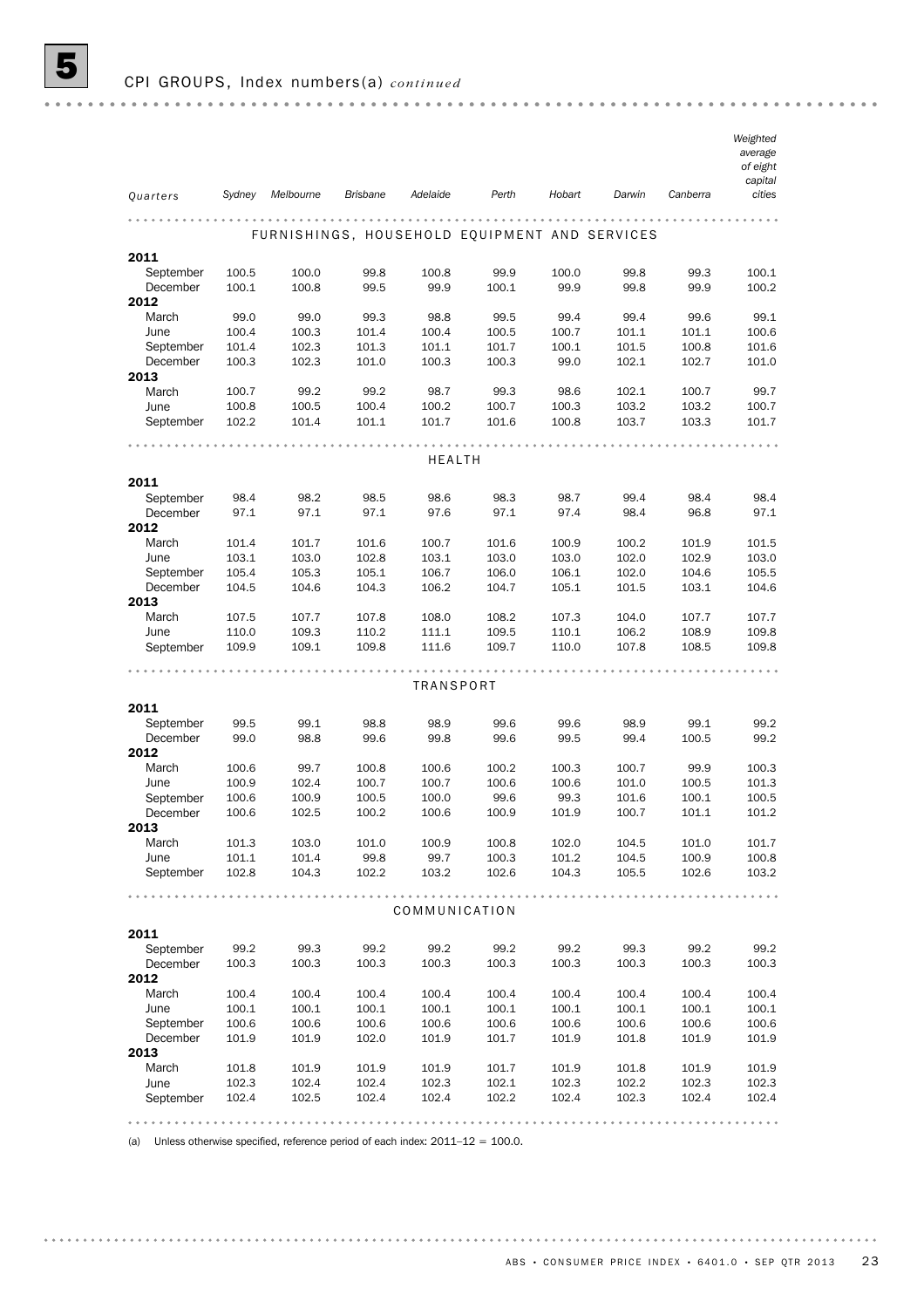|                   |                |                |                 |                  |                |                |                                               |                | Weighted<br>average |
|-------------------|----------------|----------------|-----------------|------------------|----------------|----------------|-----------------------------------------------|----------------|---------------------|
|                   |                |                |                 |                  |                |                |                                               |                | of eight            |
| Quarters          | Sydney         | Melbourne      | <b>Brisbane</b> | Adelaide         | Perth          | Hobart         | Darwin                                        | Canberra       | capital<br>cities   |
|                   |                |                |                 |                  |                |                |                                               |                |                     |
|                   |                |                |                 |                  |                |                | FURNISHINGS, HOUSEHOLD EQUIPMENT AND SERVICES |                |                     |
| 2011              |                |                |                 |                  |                |                |                                               |                |                     |
| September         | 100.5          | 100.0          | 99.8            | 100.8            | 99.9           | 100.0          | 99.8                                          | 99.3           | 100.1               |
| December          | 100.1          | 100.8          | 99.5            | 99.9             | 100.1          | 99.9           | 99.8                                          | 99.9           | 100.2               |
| 2012<br>March     | 99.0           | 99.0           | 99.3            | 98.8             | 99.5           | 99.4           | 99.4                                          | 99.6           | 99.1                |
| June              | 100.4          | 100.3          | 101.4           | 100.4            | 100.5          | 100.7          | 101.1                                         | 101.1          | 100.6               |
| September         | 101.4          | 102.3          | 101.3           | 101.1            | 101.7          | 100.1          | 101.5                                         | 100.8          | 101.6               |
| December          | 100.3          | 102.3          | 101.0           | 100.3            | 100.3          | 99.0           | 102.1                                         | 102.7          | 101.0               |
| 2013<br>March     |                |                |                 |                  |                |                |                                               |                |                     |
| June              | 100.7<br>100.8 | 99.2<br>100.5  | 99.2<br>100.4   | 98.7<br>100.2    | 99.3<br>100.7  | 98.6<br>100.3  | 102.1<br>103.2                                | 100.7<br>103.2 | 99.7<br>100.7       |
| September         | 102.2          | 101.4          | 101.1           | 101.7            | 101.6          | 100.8          | 103.7                                         | 103.3          | 101.7               |
|                   |                |                |                 |                  |                |                |                                               |                |                     |
|                   |                |                |                 | HEALTH           |                |                |                                               |                |                     |
| 2011              |                |                |                 |                  |                |                |                                               |                |                     |
| September         | 98.4           | 98.2           | 98.5            | 98.6             | 98.3           | 98.7           | 99.4                                          | 98.4           | 98.4                |
| December          | 97.1           | 97.1           | 97.1            | 97.6             | 97.1           | 97.4           | 98.4                                          | 96.8           | 97.1                |
| 2012              |                |                |                 |                  |                |                |                                               |                |                     |
| March             | 101.4<br>103.1 | 101.7          | 101.6<br>102.8  | 100.7<br>103.1   | 101.6          | 100.9<br>103.0 | 100.2<br>102.0                                | 101.9          | 101.5               |
| June<br>September | 105.4          | 103.0<br>105.3 | 105.1           | 106.7            | 103.0<br>106.0 | 106.1          | 102.0                                         | 102.9<br>104.6 | 103.0<br>105.5      |
| December          | 104.5          | 104.6          | 104.3           | 106.2            | 104.7          | 105.1          | 101.5                                         | 103.1          | 104.6               |
| 2013              |                |                |                 |                  |                |                |                                               |                |                     |
| March             | 107.5          | 107.7          | 107.8           | 108.0            | 108.2          | 107.3          | 104.0                                         | 107.7          | 107.7               |
| June<br>September | 110.0<br>109.9 | 109.3<br>109.1 | 110.2<br>109.8  | 111.1<br>111.6   | 109.5<br>109.7 | 110.1<br>110.0 | 106.2<br>107.8                                | 108.9<br>108.5 | 109.8<br>109.8      |
|                   |                |                |                 |                  |                |                |                                               |                |                     |
|                   |                |                |                 | <b>TRANSPORT</b> |                |                |                                               |                |                     |
| 2011              |                |                |                 |                  |                |                |                                               |                |                     |
| September         | 99.5           | 99.1           | 98.8            | 98.9             | 99.6           | 99.6           | 98.9                                          | 99.1           | 99.2                |
| December          | 99.0           | 98.8           | 99.6            | 99.8             | 99.6           | 99.5           | 99.4                                          | 100.5          | 99.2                |
| 2012              |                |                |                 |                  |                |                |                                               |                |                     |
| March             | 100.6          | 99.7           | 100.8           | 100.6            | 100.2          | 100.3          | 100.7                                         | 99.9           | 100.3               |
| June<br>September | 100.9<br>100.6 | 102.4<br>100.9 | 100.7<br>100.5  | 100.7<br>100.0   | 100.6<br>99.6  | 100.6<br>99.3  | 101.0<br>101.6                                | 100.5<br>100.1 | 101.3<br>100.5      |
| December          | 100.6          | 102.5          | 100.2           | 100.6            | 100.9          | 101.9          | 100.7                                         | 101.1          | 101.2               |
| 2013              |                |                |                 |                  |                |                |                                               |                |                     |
| March             | 101.3          | 103.0          | 101.0           | 100.9            | 100.8          | 102.0          | 104.5                                         | 101.0          | 101.7               |
| June<br>September | 101.1<br>102.8 | 101.4<br>104.3 | 99.8<br>102.2   | 99.7<br>103.2    | 100.3<br>102.6 | 101.2<br>104.3 | 104.5<br>105.5                                | 100.9<br>102.6 | 100.8<br>103.2      |
|                   |                |                |                 |                  |                |                |                                               |                |                     |
|                   |                |                |                 | COMMUNICATION    |                |                |                                               |                |                     |
| 2011              |                |                |                 |                  |                |                |                                               |                |                     |
| September         | 99.2           | 99.3           | 99.2            | 99.2             | 99.2           | 99.2           | 99.3                                          | 99.2           | 99.2                |
| December<br>2012  | 100.3          | 100.3          | 100.3           | 100.3            | 100.3          | 100.3          | 100.3                                         | 100.3          | 100.3               |
| March             | 100.4          | 100.4          | 100.4           | 100.4            | 100.4          | 100.4          | 100.4                                         | 100.4          | 100.4               |
| June              | 100.1          | 100.1          | 100.1           | 100.1            | 100.1          | 100.1          | 100.1                                         | 100.1          | 100.1               |
| September         | 100.6          | 100.6          | 100.6           | 100.6            | 100.6          | 100.6          | 100.6                                         | 100.6          | 100.6               |
| December<br>2013  | 101.9          | 101.9          | 102.0           | 101.9            | 101.7          | 101.9          | 101.8                                         | 101.9          | 101.9               |
| March             | 101.8          | 101.9          | 101.9           | 101.9            | 101.7          | 101.9          | 101.8                                         | 101.9          | 101.9               |
| June              | 102.3          | 102.4          | 102.4           | 102.3            | 102.1          | 102.3          | 102.2                                         | 102.3          | 102.3               |
| September         | 102.4          | 102.5          | 102.4           | 102.4            | 102.2          | 102.4          | 102.3                                         | 102.4          | 102.4               |
|                   |                |                |                 |                  |                |                |                                               |                |                     |
|                   |                |                |                 |                  |                |                |                                               |                |                     |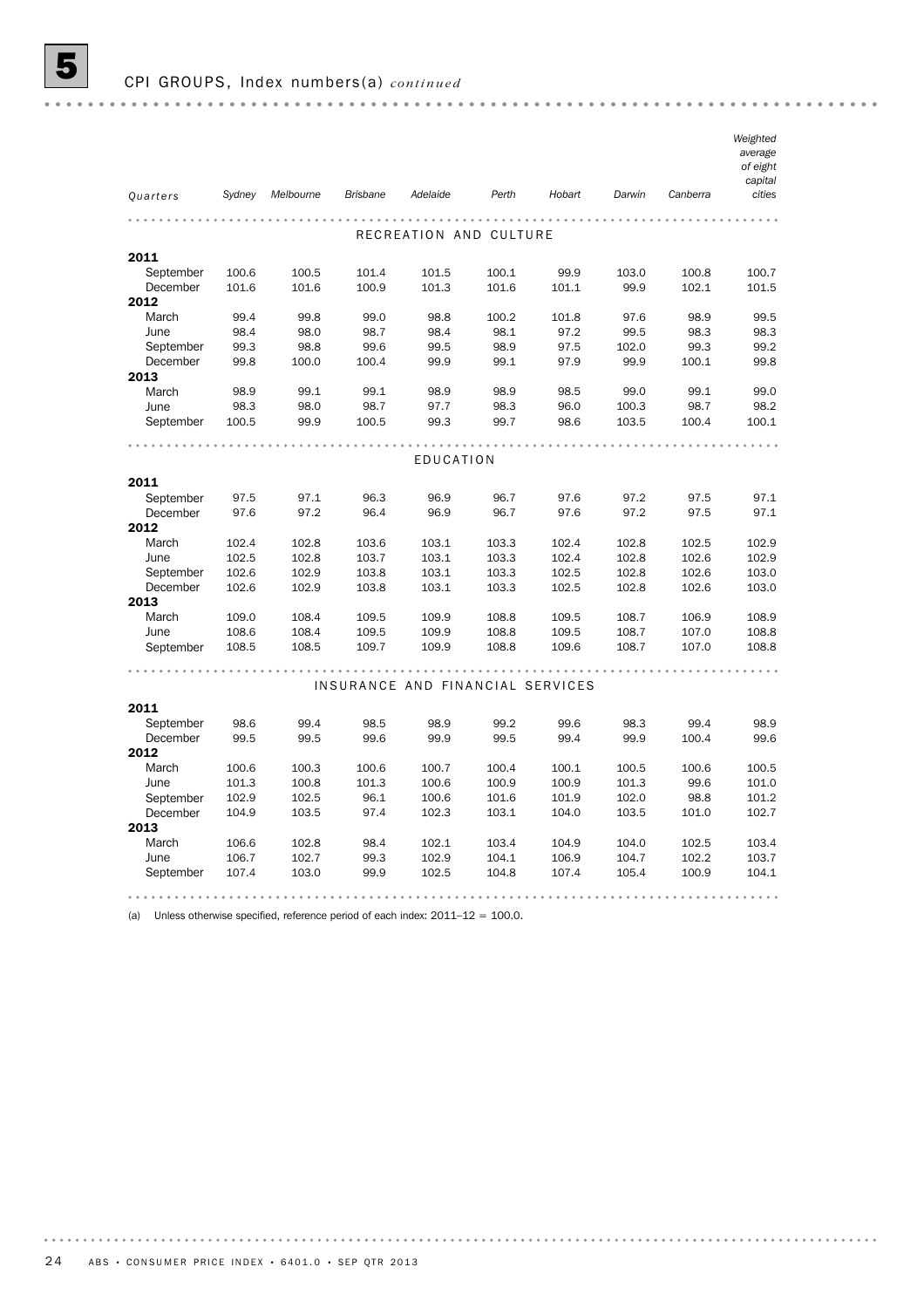|                       |                |                |                 |                                  |                |                |                |                | Weighted<br>average |
|-----------------------|----------------|----------------|-----------------|----------------------------------|----------------|----------------|----------------|----------------|---------------------|
|                       |                |                |                 |                                  |                |                |                |                | of eight            |
|                       |                |                |                 |                                  |                |                |                |                | capital             |
| Quarters              | Sydney         | Melbourne      | <b>Brisbane</b> | Adelaide                         | Perth          | Hobart         | Darwin         | Canberra       | cities              |
|                       |                |                |                 |                                  |                |                |                |                |                     |
| 2011                  |                |                |                 | RECREATION AND CULTURE           |                |                |                |                |                     |
| September             | 100.6          | 100.5          | 101.4           | 101.5                            | 100.1          | 99.9           | 103.0          | 100.8          | 100.7               |
| December              | 101.6          | 101.6          | 100.9           | 101.3                            | 101.6          | 101.1          | 99.9           | 102.1          | 101.5               |
| 2012                  |                |                |                 |                                  |                |                |                |                |                     |
| March                 | 99.4           | 99.8           | 99.0            | 98.8                             | 100.2          | 101.8          | 97.6           | 98.9           | 99.5                |
| June                  | 98.4           | 98.0           | 98.7            | 98.4                             | 98.1           | 97.2           | 99.5           | 98.3           | 98.3                |
| September             | 99.3           | 98.8           | 99.6            | 99.5                             | 98.9           | 97.5           | 102.0          | 99.3           | 99.2                |
| December              | 99.8           | 100.0          | 100.4           | 99.9                             | 99.1           | 97.9           | 99.9           | 100.1          | 99.8                |
| 2013                  |                |                |                 |                                  |                |                |                |                |                     |
| March                 | 98.9           | 99.1           | 99.1            | 98.9                             | 98.9           | 98.5           | 99.0           | 99.1           | 99.0                |
| June                  | 98.3           | 98.0           | 98.7            | 97.7                             | 98.3           | 96.0           | 100.3          | 98.7           | 98.2                |
| September             | 100.5          | 99.9           | 100.5           | 99.3                             | 99.7           | 98.6           | 103.5          | 100.4          | 100.1               |
|                       |                |                |                 |                                  |                |                |                |                |                     |
|                       |                |                |                 | EDUCATION                        |                |                |                |                |                     |
| 2011                  |                |                |                 |                                  |                |                |                |                |                     |
| September             | 97.5           | 97.1           | 96.3            | 96.9                             | 96.7           | 97.6           | 97.2           | 97.5           | 97.1                |
| December              | 97.6           | 97.2           | 96.4            | 96.9                             | 96.7           | 97.6           | 97.2           | 97.5           | 97.1                |
| 2012                  |                |                |                 |                                  |                |                |                |                |                     |
| March                 | 102.4          | 102.8          | 103.6           | 103.1                            | 103.3          | 102.4          | 102.8          | 102.5          | 102.9               |
| June                  | 102.5          | 102.8          | 103.7           | 103.1                            | 103.3          | 102.4          | 102.8          | 102.6          | 102.9               |
| September<br>December | 102.6<br>102.6 | 102.9<br>102.9 | 103.8<br>103.8  | 103.1<br>103.1                   | 103.3<br>103.3 | 102.5<br>102.5 | 102.8<br>102.8 | 102.6<br>102.6 | 103.0<br>103.0      |
| 2013                  |                |                |                 |                                  |                |                |                |                |                     |
| March                 | 109.0          | 108.4          | 109.5           | 109.9                            | 108.8          | 109.5          | 108.7          | 106.9          | 108.9               |
| June                  | 108.6          | 108.4          | 109.5           | 109.9                            | 108.8          | 109.5          | 108.7          | 107.0          | 108.8               |
| September             | 108.5          | 108.5          | 109.7           | 109.9                            | 108.8          | 109.6          | 108.7          | 107.0          | 108.8               |
|                       |                |                |                 |                                  |                |                |                |                |                     |
|                       |                |                |                 | INSURANCE AND FINANCIAL SERVICES |                |                |                |                |                     |
| 2011                  |                |                |                 |                                  |                |                |                |                |                     |
| September             | 98.6           | 99.4           | 98.5            | 98.9                             | 99.2           | 99.6           | 98.3           | 99.4           | 98.9                |
| December              | 99.5           | 99.5           | 99.6            | 99.9                             | 99.5           | 99.4           | 99.9           | 100.4          | 99.6                |
| 2012                  |                |                |                 |                                  |                |                |                |                |                     |
| March                 | 100.6          | 100.3          | 100.6           | 100.7                            | 100.4          | 100.1          | 100.5          | 100.6          | 100.5               |
| June                  | 101.3          | 100.8          | 101.3           | 100.6                            | 100.9          | 100.9          | 101.3          | 99.6           | 101.0               |
| September             | 102.9          | 102.5          | 96.1            | 100.6                            | 101.6          | 101.9          | 102.0          | 98.8           | 101.2               |
| December              | 104.9          | 103.5          | 97.4            | 102.3                            | 103.1          | 104.0          | 103.5          | 101.0          | 102.7               |
| 2013                  |                |                |                 |                                  |                |                |                |                |                     |
| March                 | 106.6          | 102.8          | 98.4            | 102.1                            | 103.4          | 104.9          | 104.0          | 102.5          | 103.4               |
| June                  | 106.7          | 102.7          | 99.3            | 102.9                            | 104.1          | 106.9          | 104.7          | 102.2          | 103.7               |
| September             | 107.4          | 103.0          | 99.9            | 102.5                            | 104.8          | 107.4          | 105.4          | 100.9          | 104.1               |
|                       |                |                |                 |                                  |                |                |                |                |                     |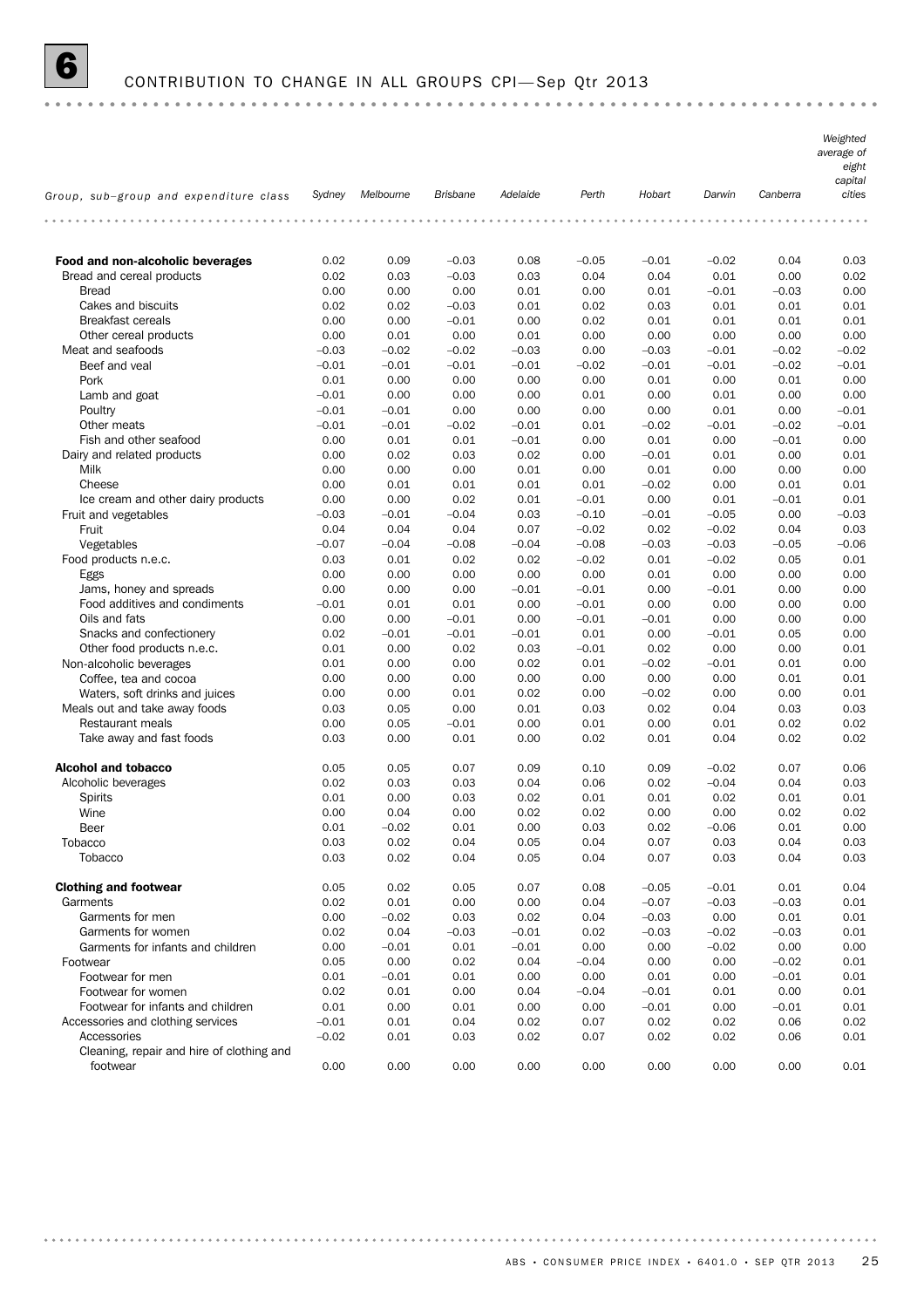# 6 CONTRIBUTION TO CHANGE IN ALL GROUPS CPI— Sep Qtr 2013

|                                           |         |           |                 |          |         |         |         |          | Weighted<br>average of<br>eight<br>capital |
|-------------------------------------------|---------|-----------|-----------------|----------|---------|---------|---------|----------|--------------------------------------------|
| Group, sub-group and expenditure class    | Sydney  | Melbourne | <b>Brisbane</b> | Adelaide | Perth   | Hobart  | Darwin  | Canberra | cities                                     |
|                                           |         |           |                 |          |         |         |         |          |                                            |
| Food and non-alcoholic beverages          | 0.02    | 0.09      | $-0.03$         | 0.08     | $-0.05$ | $-0.01$ | $-0.02$ | 0.04     | 0.03                                       |
| Bread and cereal products                 | 0.02    | 0.03      | $-0.03$         | 0.03     | 0.04    | 0.04    | 0.01    | 0.00     | 0.02                                       |
| <b>Bread</b>                              | 0.00    | 0.00      | 0.00            | 0.01     | 0.00    | 0.01    | $-0.01$ | $-0.03$  | 0.00                                       |
| Cakes and biscuits                        | 0.02    | 0.02      | $-0.03$         | 0.01     | 0.02    | 0.03    | 0.01    | 0.01     | 0.01                                       |
| <b>Breakfast cereals</b>                  | 0.00    | 0.00      | $-0.01$         | 0.00     | 0.02    | 0.01    | 0.01    | 0.01     | 0.01                                       |
| Other cereal products                     | 0.00    | 0.01      | 0.00            | 0.01     | 0.00    | 0.00    | 0.00    | 0.00     | 0.00                                       |
| Meat and seafoods                         | $-0.03$ | $-0.02$   | $-0.02$         | $-0.03$  | 0.00    | $-0.03$ | $-0.01$ | $-0.02$  | $-0.02$                                    |
| Beef and veal                             | $-0.01$ | $-0.01$   | $-0.01$         | $-0.01$  | $-0.02$ | $-0.01$ | $-0.01$ | $-0.02$  | $-0.01$                                    |
| Pork                                      | 0.01    | 0.00      | 0.00            | 0.00     | 0.00    | 0.01    | 0.00    | 0.01     | 0.00                                       |
| Lamb and goat                             | $-0.01$ | 0.00      | 0.00            | 0.00     | 0.01    | 0.00    | 0.01    | 0.00     | 0.00                                       |
| Poultry                                   | $-0.01$ | $-0.01$   | 0.00            | 0.00     | 0.00    | 0.00    | 0.01    | 0.00     | $-0.01$                                    |
| Other meats                               | $-0.01$ | $-0.01$   | $-0.02$         | $-0.01$  | 0.01    | $-0.02$ | $-0.01$ | $-0.02$  | $-0.01$                                    |
| Fish and other seafood                    | 0.00    | 0.01      | 0.01            | $-0.01$  | 0.00    | 0.01    | 0.00    | $-0.01$  | 0.00                                       |
| Dairy and related products                | 0.00    | 0.02      | 0.03            | 0.02     | 0.00    | $-0.01$ | 0.01    | 0.00     | 0.01                                       |
| Milk                                      | 0.00    | 0.00      | 0.00            | 0.01     | 0.00    | 0.01    | 0.00    | 0.00     | 0.00                                       |
| Cheese                                    | 0.00    | 0.01      | 0.01            | 0.01     | 0.01    | $-0.02$ | 0.00    | 0.01     | 0.01                                       |
| Ice cream and other dairy products        | 0.00    | 0.00      | 0.02            | 0.01     | $-0.01$ | 0.00    | 0.01    | $-0.01$  | 0.01                                       |
| Fruit and vegetables                      | $-0.03$ | $-0.01$   | $-0.04$         | 0.03     | $-0.10$ | $-0.01$ | $-0.05$ | 0.00     | $-0.03$                                    |
| Fruit                                     | 0.04    | 0.04      | 0.04            | 0.07     | $-0.02$ | 0.02    | $-0.02$ | 0.04     | 0.03                                       |
| Vegetables                                | $-0.07$ | $-0.04$   | $-0.08$         | $-0.04$  | $-0.08$ | $-0.03$ | $-0.03$ | $-0.05$  | $-0.06$                                    |
| Food products n.e.c.                      | 0.03    | 0.01      | 0.02            | 0.02     | $-0.02$ | 0.01    | $-0.02$ | 0.05     | 0.01                                       |
| Eggs                                      | 0.00    | 0.00      | 0.00            | 0.00     | 0.00    | 0.01    | 0.00    | 0.00     | 0.00                                       |
| Jams, honey and spreads                   | 0.00    | 0.00      | 0.00            | $-0.01$  | $-0.01$ | 0.00    | $-0.01$ | 0.00     | 0.00                                       |
| Food additives and condiments             | $-0.01$ | 0.01      | 0.01            | 0.00     | $-0.01$ | 0.00    | 0.00    | 0.00     | 0.00                                       |
| Oils and fats                             | 0.00    | 0.00      | $-0.01$         | 0.00     | $-0.01$ | $-0.01$ | 0.00    | 0.00     | 0.00                                       |
| Snacks and confectionery                  | 0.02    | $-0.01$   | $-0.01$         | $-0.01$  | 0.01    | 0.00    | $-0.01$ | 0.05     | 0.00                                       |
| Other food products n.e.c.                | 0.01    | 0.00      | 0.02            | 0.03     | $-0.01$ | 0.02    | 0.00    | 0.00     | 0.01                                       |
| Non-alcoholic beverages                   | 0.01    | 0.00      | 0.00            | 0.02     | 0.01    | $-0.02$ | $-0.01$ | 0.01     | 0.00                                       |
| Coffee, tea and cocoa                     | 0.00    | 0.00      | 0.00            | 0.00     | 0.00    | 0.00    | 0.00    | 0.01     | 0.01                                       |
| Waters, soft drinks and juices            | 0.00    | 0.00      | 0.01            | 0.02     | 0.00    | $-0.02$ | 0.00    | 0.00     | 0.01                                       |
| Meals out and take away foods             | 0.03    | 0.05      | 0.00            | 0.01     | 0.03    | 0.02    | 0.04    | 0.03     | 0.03                                       |
| <b>Restaurant meals</b>                   | 0.00    | 0.05      | $-0.01$         | 0.00     | 0.01    | 0.00    | 0.01    | 0.02     | 0.02                                       |
| Take away and fast foods                  | 0.03    | 0.00      | 0.01            | 0.00     | 0.02    | 0.01    | 0.04    | 0.02     | 0.02                                       |
| <b>Alcohol and tobacco</b>                | 0.05    | 0.05      | 0.07            | 0.09     | 0.10    | 0.09    | $-0.02$ | 0.07     | 0.06                                       |
| Alcoholic beverages                       | 0.02    | 0.03      | 0.03            | 0.04     | 0.06    | 0.02    | $-0.04$ | 0.04     | 0.03                                       |
| <b>Spirits</b>                            | 0.01    | 0.00      | 0.03            | 0.02     | 0.01    | 0.01    | 0.02    | 0.01     | 0.01                                       |
| Wine                                      | 0.00    | 0.04      | 0.00            | 0.02     | 0.02    | 0.00    | 0.00    | 0.02     | 0.02                                       |
| Beer                                      | 0.01    | $-0.02$   | 0.01            | 0.00     | 0.03    | 0.02    | $-0.06$ | 0.01     | 0.00                                       |
| Tobacco                                   | 0.03    | 0.02      | 0.04            | 0.05     | 0.04    | 0.07    | 0.03    | 0.04     | 0.03                                       |
| Tobacco                                   | 0.03    | 0.02      | 0.04            | 0.05     | 0.04    | 0.07    | 0.03    | 0.04     | 0.03                                       |
| <b>Clothing and footwear</b>              | 0.05    | 0.02      | 0.05            | 0.07     | 0.08    | $-0.05$ | $-0.01$ | 0.01     | 0.04                                       |
| Garments                                  | 0.02    | 0.01      | 0.00            | 0.00     | 0.04    | $-0.07$ | $-0.03$ | $-0.03$  | 0.01                                       |
| Garments for men                          | 0.00    | $-0.02$   | 0.03            | 0.02     | 0.04    | $-0.03$ | 0.00    | 0.01     | 0.01                                       |
| Garments for women                        | 0.02    | 0.04      | $-0.03$         | $-0.01$  | 0.02    | $-0.03$ | $-0.02$ | $-0.03$  | 0.01                                       |
| Garments for infants and children         | 0.00    | $-0.01$   | 0.01            | $-0.01$  | 0.00    | 0.00    | $-0.02$ | 0.00     | 0.00                                       |
| Footwear                                  | 0.05    | 0.00      | 0.02            | 0.04     | $-0.04$ | 0.00    | 0.00    | $-0.02$  | 0.01                                       |
| Footwear for men                          | 0.01    | $-0.01$   | 0.01            | 0.00     | 0.00    | 0.01    | 0.00    | $-0.01$  | 0.01                                       |
| Footwear for women                        | 0.02    | 0.01      | 0.00            | 0.04     | $-0.04$ | $-0.01$ | 0.01    | 0.00     | 0.01                                       |
| Footwear for infants and children         | 0.01    | 0.00      | 0.01            | 0.00     | 0.00    | $-0.01$ | 0.00    | $-0.01$  | 0.01                                       |
| Accessories and clothing services         | $-0.01$ | 0.01      | 0.04            | 0.02     | 0.07    | 0.02    | 0.02    | 0.06     | 0.02                                       |
| Accessories                               | $-0.02$ | 0.01      | 0.03            | 0.02     | 0.07    | 0.02    | 0.02    | 0.06     | 0.01                                       |
| Cleaning, repair and hire of clothing and |         |           |                 |          |         |         |         |          |                                            |
| footwear                                  | 0.00    | 0.00      | 0.00            | 0.00     | 0.00    | 0.00    | 0.00    | 0.00     | 0.01                                       |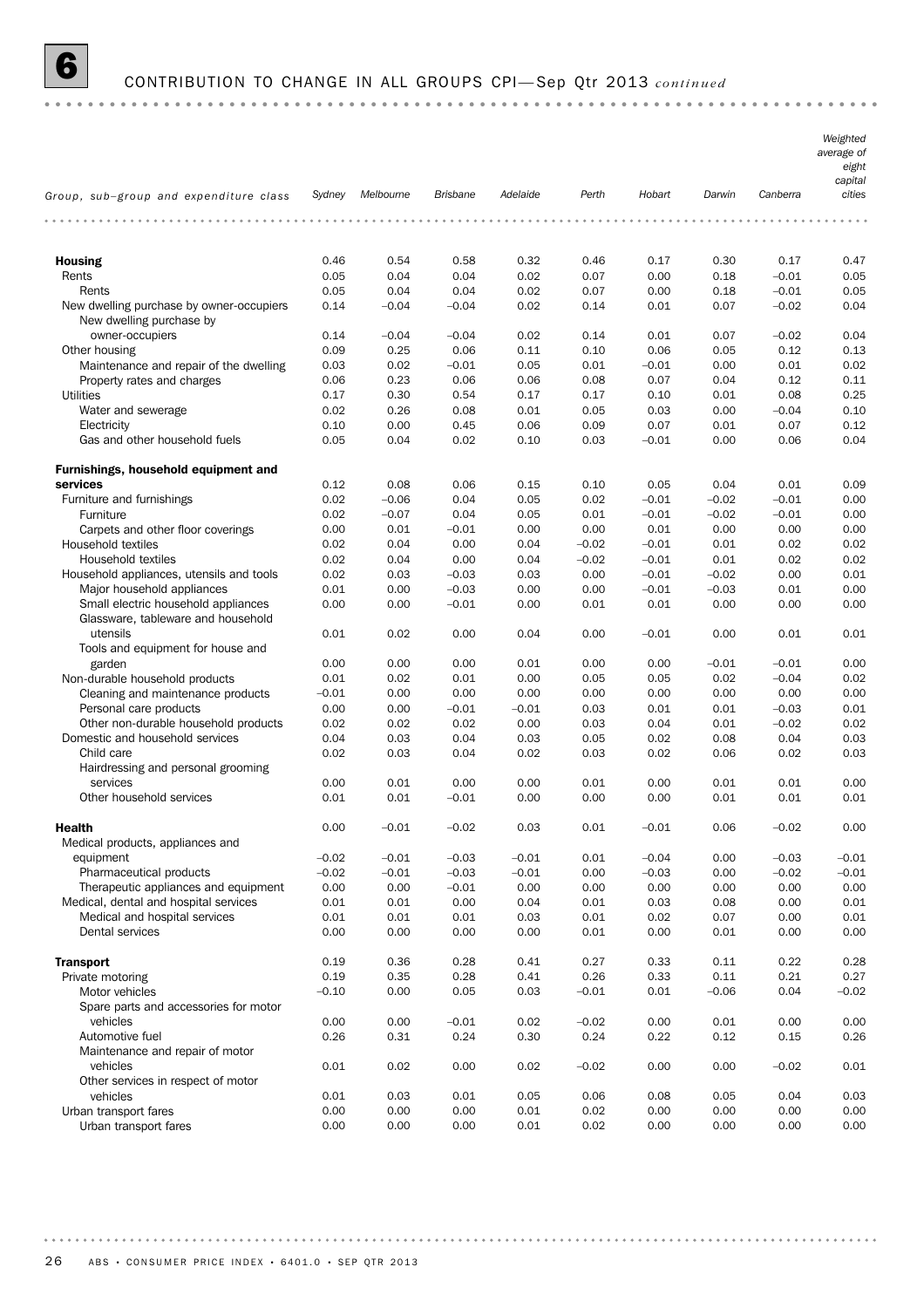# 6 CONTRIBUTION TO CHANGE IN ALL GROUPS CPI— Sep Qtr 2013 *continued*

|                                                                           |         |           |                 |          |         |         |         |          | Weighted<br>average of<br>eight<br>capital |
|---------------------------------------------------------------------------|---------|-----------|-----------------|----------|---------|---------|---------|----------|--------------------------------------------|
| Group, sub-group and expenditure class                                    | Sydney  | Melbourne | <b>Brisbane</b> | Adelaide | Perth   | Hobart  | Darwin  | Canberra | cities                                     |
|                                                                           |         |           |                 |          |         |         |         |          |                                            |
| <b>Housing</b>                                                            | 0.46    | 0.54      | 0.58            | 0.32     | 0.46    | 0.17    | 0.30    | 0.17     | 0.47                                       |
| Rents                                                                     | 0.05    | 0.04      | 0.04            | 0.02     | 0.07    | 0.00    | 0.18    | $-0.01$  | 0.05                                       |
| Rents                                                                     | 0.05    | 0.04      | 0.04            | 0.02     | 0.07    | 0.00    | 0.18    | $-0.01$  | 0.05                                       |
| New dwelling purchase by owner-occupiers                                  | 0.14    | $-0.04$   | $-0.04$         | 0.02     | 0.14    | 0.01    | 0.07    | $-0.02$  | 0.04                                       |
| New dwelling purchase by                                                  |         |           |                 |          |         |         |         |          |                                            |
| owner-occupiers                                                           | 0.14    | $-0.04$   | $-0.04$         | 0.02     | 0.14    | 0.01    | 0.07    | $-0.02$  | 0.04                                       |
| Other housing                                                             | 0.09    | 0.25      | 0.06            | 0.11     | 0.10    | 0.06    | 0.05    | 0.12     | 0.13                                       |
| Maintenance and repair of the dwelling                                    | 0.03    | 0.02      | $-0.01$         | 0.05     | 0.01    | $-0.01$ | 0.00    | 0.01     | 0.02                                       |
| Property rates and charges                                                | 0.06    | 0.23      | 0.06            | 0.06     | 0.08    | 0.07    | 0.04    | 0.12     | 0.11                                       |
| <b>Utilities</b>                                                          | 0.17    | 0.30      | 0.54            | 0.17     | 0.17    | 0.10    | 0.01    | 0.08     | 0.25                                       |
| Water and sewerage                                                        | 0.02    | 0.26      | 0.08            | 0.01     | 0.05    | 0.03    | 0.00    | $-0.04$  | 0.10                                       |
| Electricity                                                               | 0.10    | 0.00      | 0.45            | 0.06     | 0.09    | 0.07    | 0.01    | 0.07     | 0.12                                       |
| Gas and other household fuels                                             | 0.05    | 0.04      | 0.02            | 0.10     | 0.03    | $-0.01$ | 0.00    | 0.06     | 0.04                                       |
| Furnishings, household equipment and                                      |         |           |                 |          |         |         |         |          |                                            |
| services                                                                  | 0.12    | 0.08      | 0.06            | 0.15     | 0.10    | 0.05    | 0.04    | 0.01     | 0.09                                       |
| Furniture and furnishings                                                 | 0.02    | $-0.06$   | 0.04            | 0.05     | 0.02    | $-0.01$ | $-0.02$ | $-0.01$  | 0.00                                       |
| Furniture                                                                 | 0.02    | $-0.07$   | 0.04            | 0.05     | 0.01    | $-0.01$ | $-0.02$ | $-0.01$  | 0.00                                       |
| Carpets and other floor coverings                                         | 0.00    | 0.01      | $-0.01$         | 0.00     | 0.00    | 0.01    | 0.00    | 0.00     | 0.00                                       |
| <b>Household textiles</b>                                                 | 0.02    | 0.04      | 0.00            | 0.04     | $-0.02$ | $-0.01$ | 0.01    | 0.02     | 0.02                                       |
| Household textiles                                                        | 0.02    | 0.04      | 0.00            | 0.04     | $-0.02$ | $-0.01$ | 0.01    | 0.02     | 0.02                                       |
| Household appliances, utensils and tools                                  | 0.02    | 0.03      | $-0.03$         | 0.03     | 0.00    | $-0.01$ | $-0.02$ | 0.00     | 0.01                                       |
| Major household appliances                                                | 0.01    | 0.00      | $-0.03$         | 0.00     | 0.00    | $-0.01$ | $-0.03$ | 0.01     | 0.00                                       |
| Small electric household appliances<br>Glassware, tableware and household | 0.00    | 0.00      | $-0.01$         | 0.00     | 0.01    | 0.01    | 0.00    | 0.00     | 0.00                                       |
| utensils<br>Tools and equipment for house and                             | 0.01    | 0.02      | 0.00            | 0.04     | 0.00    | $-0.01$ | 0.00    | 0.01     | 0.01                                       |
| garden                                                                    | 0.00    | 0.00      | 0.00            | 0.01     | 0.00    | 0.00    | $-0.01$ | $-0.01$  | 0.00                                       |
| Non-durable household products                                            | 0.01    | 0.02      | 0.01            | 0.00     | 0.05    | 0.05    | 0.02    | $-0.04$  | 0.02                                       |
| Cleaning and maintenance products                                         | $-0.01$ | 0.00      | 0.00            | 0.00     | 0.00    | 0.00    | 0.00    | 0.00     | 0.00                                       |
| Personal care products                                                    | 0.00    | 0.00      | $-0.01$         | $-0.01$  | 0.03    | 0.01    | 0.01    | $-0.03$  | 0.01                                       |
| Other non-durable household products                                      | 0.02    | 0.02      | 0.02            | 0.00     | 0.03    | 0.04    | 0.01    | $-0.02$  | 0.02                                       |
| Domestic and household services                                           | 0.04    | 0.03      | 0.04            | 0.03     | 0.05    | 0.02    | 0.08    | 0.04     | 0.03                                       |
| Child care                                                                | 0.02    | 0.03      | 0.04            | 0.02     | 0.03    | 0.02    | 0.06    | 0.02     | 0.03                                       |
| Hairdressing and personal grooming                                        |         |           |                 |          |         |         |         |          |                                            |
| services                                                                  | 0.00    | 0.01      | 0.00            | 0.00     | 0.01    | 0.00    | 0.01    | 0.01     | 0.00                                       |
| Other household services                                                  | 0.01    | 0.01      | $-0.01$         | 0.00     | 0.00    | 0.00    | 0.01    | 0.01     | 0.01                                       |
| <b>Health</b>                                                             | 0.00    | $-0.01$   | $-0.02$         | 0.03     | 0.01    | $-0.01$ | 0.06    | $-0.02$  | 0.00                                       |
| Medical products, appliances and                                          |         |           |                 |          |         |         |         |          |                                            |
| equipment                                                                 | $-0.02$ | $-0.01$   | $-0.03$         | $-0.01$  | 0.01    | $-0.04$ | 0.00    | $-0.03$  | $-0.01$                                    |
| Pharmaceutical products                                                   | $-0.02$ | $-0.01$   | $-0.03$         | $-0.01$  | 0.00    | $-0.03$ | 0.00    | $-0.02$  | $-0.01$                                    |
| Therapeutic appliances and equipment                                      | 0.00    | 0.00      | $-0.01$         | 0.00     | 0.00    | 0.00    | 0.00    | 0.00     | 0.00                                       |
| Medical, dental and hospital services                                     | 0.01    | 0.01      | 0.00            | 0.04     | 0.01    | 0.03    | 0.08    | 0.00     | 0.01                                       |
| Medical and hospital services                                             | 0.01    | 0.01      | 0.01            | 0.03     | 0.01    | 0.02    | 0.07    | 0.00     | 0.01                                       |
| Dental services                                                           | 0.00    | 0.00      | 0.00            | 0.00     | 0.01    | 0.00    | 0.01    | 0.00     | 0.00                                       |
| <b>Transport</b>                                                          | 0.19    | 0.36      | 0.28            | 0.41     | 0.27    | 0.33    | 0.11    | 0.22     | 0.28                                       |
| Private motoring                                                          | 0.19    | 0.35      | 0.28            | 0.41     | 0.26    | 0.33    | 0.11    | 0.21     | 0.27                                       |
| Motor vehicles                                                            | $-0.10$ | 0.00      | 0.05            | 0.03     | $-0.01$ | 0.01    | $-0.06$ | 0.04     | $-0.02$                                    |
| Spare parts and accessories for motor                                     |         |           |                 |          |         |         |         |          |                                            |
| vehicles                                                                  | 0.00    | 0.00      | $-0.01$         | 0.02     | $-0.02$ | 0.00    | 0.01    | 0.00     | 0.00                                       |
| Automotive fuel                                                           | 0.26    | 0.31      | 0.24            | 0.30     | 0.24    | 0.22    | 0.12    | 0.15     | 0.26                                       |
| Maintenance and repair of motor                                           |         |           |                 |          |         |         |         |          |                                            |
| vehicles                                                                  | 0.01    | 0.02      | 0.00            | 0.02     | $-0.02$ | 0.00    | 0.00    | $-0.02$  | 0.01                                       |
| Other services in respect of motor                                        |         |           |                 |          |         |         |         |          |                                            |
| vehicles                                                                  | 0.01    | 0.03      | 0.01            | 0.05     | 0.06    | 0.08    | 0.05    | 0.04     | 0.03                                       |
| Urban transport fares                                                     | 0.00    | 0.00      | 0.00            | 0.01     | 0.02    | 0.00    | 0.00    | 0.00     | 0.00                                       |
| Urban transport fares                                                     | 0.00    | 0.00      | 0.00            | 0.01     | 0.02    | 0.00    | 0.00    | 0.00     | 0.00                                       |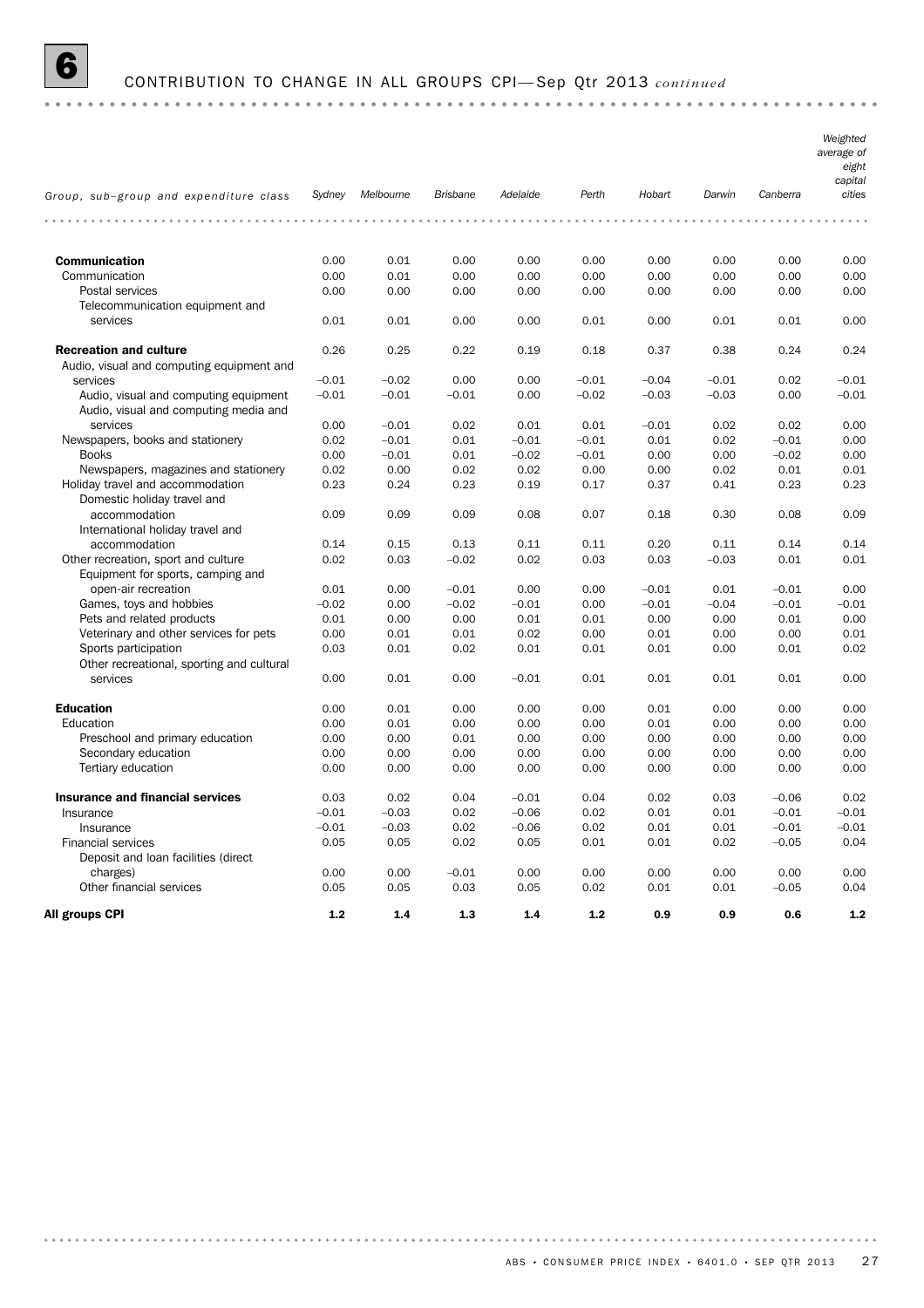

# 6 CONTRIBUTION TO CHANGE IN ALL GROUPS CPI— Sep Qtr 2013 *continued*

|                                           |         |                  |                 |          |         |         |         |          | Weighted<br>average of<br>eight<br>capital |
|-------------------------------------------|---------|------------------|-----------------|----------|---------|---------|---------|----------|--------------------------------------------|
| Group, sub-group and expenditure class    |         | Sydney Melbourne | <b>Brisbane</b> | Adelaide | Perth   | Hobart  | Darwin  | Canberra | cities                                     |
| .                                         |         | .                |                 | .        | .       | .       |         |          |                                            |
| <b>Communication</b>                      | 0.00    | 0.01             | 0.00            | 0.00     | 0.00    | 0.00    | 0.00    | 0.00     | 0.00                                       |
| Communication                             | 0.00    | 0.01             | 0.00            | 0.00     | 0.00    | 0.00    | 0.00    | 0.00     | 0.00                                       |
| Postal services                           | 0.00    | 0.00             | 0.00            | 0.00     | 0.00    | 0.00    | 0.00    | 0.00     | 0.00                                       |
| Telecommunication equipment and           |         |                  |                 |          |         |         |         |          |                                            |
| services                                  | 0.01    | 0.01             | 0.00            | 0.00     | 0.01    | 0.00    | 0.01    | 0.01     | 0.00                                       |
| <b>Recreation and culture</b>             | 0.26    | 0.25             | 0.22            | 0.19     | 0.18    | 0.37    | 0.38    | 0.24     | 0.24                                       |
| Audio, visual and computing equipment and |         |                  |                 |          |         |         |         |          |                                            |
| services                                  | $-0.01$ | $-0.02$          | 0.00            | 0.00     | $-0.01$ | $-0.04$ | $-0.01$ | 0.02     | $-0.01$                                    |
| Audio, visual and computing equipment     | $-0.01$ | $-0.01$          | $-0.01$         | 0.00     | $-0.02$ | $-0.03$ | $-0.03$ | 0.00     | $-0.01$                                    |
| Audio, visual and computing media and     |         |                  |                 |          |         |         |         |          |                                            |
| services                                  | 0.00    | $-0.01$          | 0.02            | 0.01     | 0.01    | $-0.01$ | 0.02    | 0.02     | 0.00                                       |
| Newspapers, books and stationery          | 0.02    | $-0.01$          | 0.01            | $-0.01$  | $-0.01$ | 0.01    | 0.02    | $-0.01$  | 0.00                                       |
| <b>Books</b>                              | 0.00    | $-0.01$          | 0.01            | $-0.02$  | $-0.01$ | 0.00    | 0.00    | $-0.02$  | 0.00                                       |
| Newspapers, magazines and stationery      | 0.02    | 0.00             | 0.02            | 0.02     | 0.00    | 0.00    | 0.02    | 0.01     | 0.01                                       |
| Holiday travel and accommodation          | 0.23    | 0.24             | 0.23            | 0.19     | 0.17    | 0.37    | 0.41    | 0.23     | 0.23                                       |
| Domestic holiday travel and               |         |                  |                 |          |         |         |         |          |                                            |
| accommodation                             | 0.09    | 0.09             | 0.09            | 0.08     | 0.07    | 0.18    | 0.30    | 0.08     | 0.09                                       |
| International holiday travel and          |         |                  |                 |          |         |         |         |          |                                            |
| accommodation                             | 0.14    | 0.15             | 0.13            | 0.11     | 0.11    | 0.20    | 0.11    | 0.14     | 0.14                                       |
| Other recreation, sport and culture       | 0.02    | 0.03             | $-0.02$         | 0.02     | 0.03    | 0.03    | $-0.03$ | 0.01     | 0.01                                       |
| Equipment for sports, camping and         |         |                  |                 |          |         |         |         |          |                                            |
| open-air recreation                       | 0.01    | 0.00             | $-0.01$         | 0.00     | 0.00    | $-0.01$ | 0.01    | $-0.01$  | 0.00                                       |
| Games, toys and hobbies                   | $-0.02$ | 0.00             | $-0.02$         | $-0.01$  | 0.00    | $-0.01$ | $-0.04$ | $-0.01$  | $-0.01$                                    |
| Pets and related products                 | 0.01    | 0.00             | 0.00            | 0.01     | 0.01    | 0.00    | 0.00    | 0.01     | 0.00                                       |
|                                           | 0.00    | 0.01             | 0.01            | 0.02     | 0.00    | 0.01    | 0.00    | 0.00     | 0.01                                       |
| Veterinary and other services for pets    |         |                  |                 |          |         |         |         |          |                                            |
| Sports participation                      | 0.03    | 0.01             | 0.02            | 0.01     | 0.01    | 0.01    | 0.00    | 0.01     | 0.02                                       |
| Other recreational, sporting and cultural | 0.00    |                  |                 |          | 0.01    | 0.01    | 0.01    | 0.01     | 0.00                                       |
| services                                  |         | 0.01             | 0.00            | $-0.01$  |         |         |         |          |                                            |
| <b>Education</b>                          | 0.00    | 0.01             | 0.00            | 0.00     | 0.00    | 0.01    | 0.00    | 0.00     | 0.00                                       |
| Education                                 | 0.00    | 0.01             | 0.00            | 0.00     | 0.00    | 0.01    | 0.00    | 0.00     | 0.00                                       |
| Preschool and primary education           | 0.00    | 0.00             | 0.01            | 0.00     | 0.00    | 0.00    | 0.00    | 0.00     | 0.00                                       |
| Secondary education                       | 0.00    | 0.00             | 0.00            | 0.00     | 0.00    | 0.00    | 0.00    | 0.00     | 0.00                                       |
| Tertiary education                        | 0.00    | 0.00             | 0.00            | 0.00     | 0.00    | 0.00    | 0.00    | 0.00     | 0.00                                       |
|                                           |         |                  |                 |          |         |         |         |          |                                            |
| <b>Insurance and financial services</b>   | 0.03    | 0.02             | 0.04            | $-0.01$  | 0.04    | 0.02    | 0.03    | $-0.06$  | 0.02                                       |
| Insurance                                 | $-0.01$ | $-0.03$          | 0.02            | $-0.06$  | 0.02    | 0.01    | 0.01    | $-0.01$  | $-0.01$                                    |
| Insurance                                 | $-0.01$ | $-0.03$          | 0.02            | $-0.06$  | 0.02    | 0.01    | 0.01    | $-0.01$  | $-0.01$                                    |
| <b>Financial services</b>                 | 0.05    | 0.05             | 0.02            | 0.05     | 0.01    | 0.01    | 0.02    | $-0.05$  | 0.04                                       |
| Deposit and loan facilities (direct       |         |                  |                 |          |         |         |         |          |                                            |
| charges)                                  | 0.00    | 0.00             | $-0.01$         | 0.00     | 0.00    | 0.00    | 0.00    | 0.00     | 0.00                                       |
| Other financial services                  | 0.05    | 0.05             | 0.03            | 0.05     | 0.02    | 0.01    | 0.01    | $-0.05$  | 0.04                                       |
| All groups CPI                            | 1.2     | 1.4              | 1.3             | 1.4      | 1.2     | 0.9     | 0.9     | 0.6      | 1.2                                        |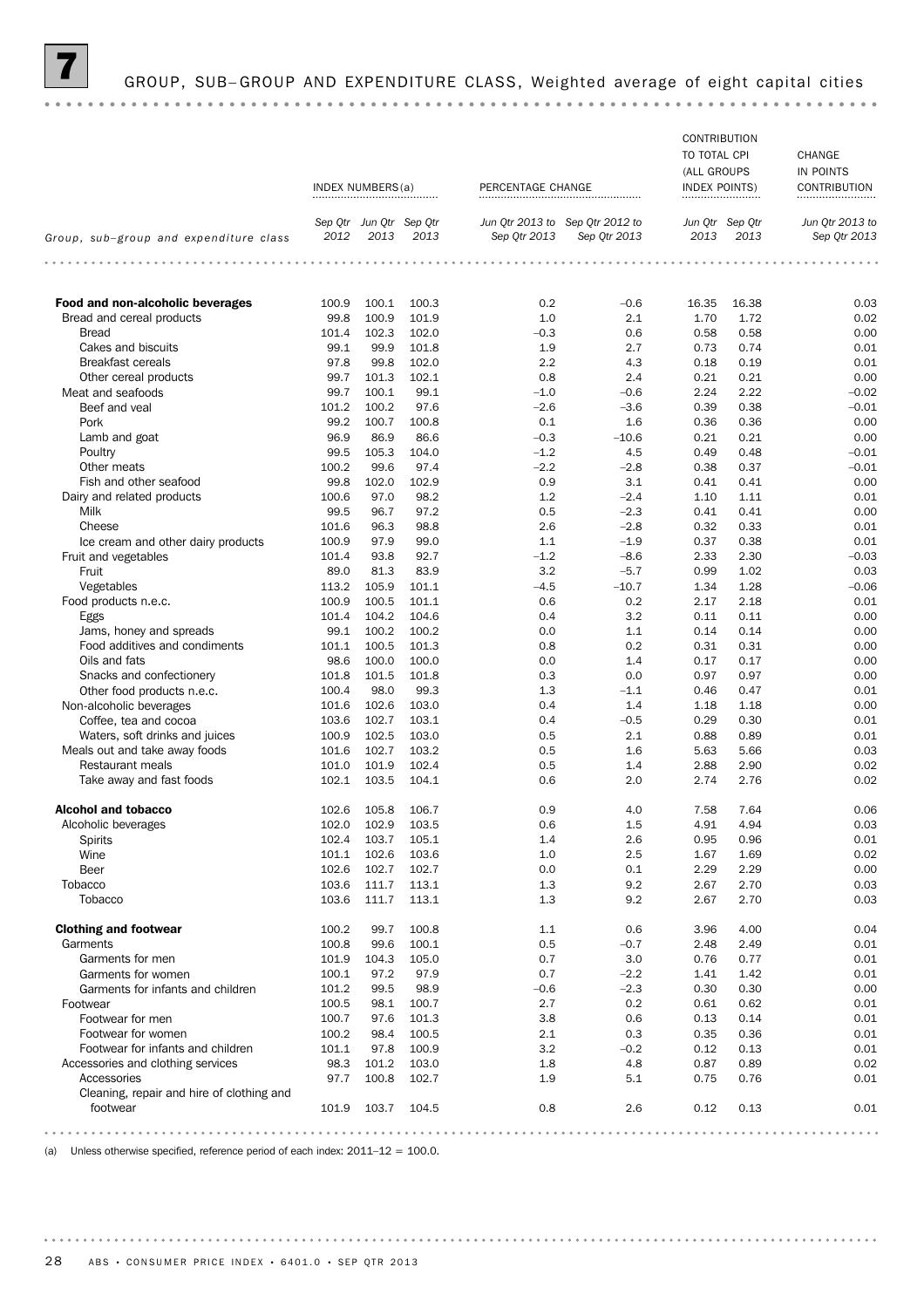### GROUP, SUB-GROUP AND EXPENDITURE CLASS, Weighted average of eight capital cities

### **CONTRIBUTION** TO TOTAL CPI CHANGE (ALL GROUPS IN POINTS INDEX NUMBERS(a) PERCENTAGE CHANGE INDEX POINTS CONTRIBUTION *Sep Qtr Jun Qtr Sep Qtr Sep Qtr 2012 to Jun Qtr 2013 to Sep Qtr Jun Qtr Jun Qtr 2013 to Sep Qtr 2013 Group, sub–group and expenditure class 2013 2013 2012 Sep Qtr 2013 Sep Qtr 2013 2013 2013* **Food and non-alcoholic beverages** 100.9 100.1 100.3 0.2 -0.6 16.35 16.38 0.03 0.03 Bread and cereal products 99.8 100.9 101.9 1.0 2.1 1.70 1.72 0.02<br>Bread and cereal products 99.8 101.4 102.3 102.0 −0.3 0.6 0.58 0.58 0.00 Bread 101.4 102.3 102.0 –0.3 0.6 0.58 0.58 0.00 Cakes and biscuits **6.2.9 10.9 a.g. 5.4.4 cases and biscuits** 6.01 **99.1 99.9 101.8** 1.9 **1.9** 2.7 **0.73** 0.74 **0.01** Breakfast cereals **19.8 99.8 102.0** 2.2 4.3 0.18 0.19 0.01 Other cereal products **99.7** 101.3 102.1 0.8 2.4 0.21 0.21 0.00 Meat and seafoods **99.7** 100.1 99.1 –1.0 –0.6 2.24 2.22 –0.02 Beef and veal 101.2 100.2 97.6 – 2.6 – 3.6 0.39 0.38 – 0.01 Pork 99.2 100.7 100.8 0.1 1.6 0.36 0.36 0.00 Lamb and goat 6 1 1 2 3 36.9 86.9 86.6 6 36.9 and goat 6.000 96.9 86.9 86.6 6 40.3 410.6 10.81 10.00 Poultry 99.5 105.3 104.0 –1.2 4.5 0.49 0.48 –0.01 Other meats 100.2 99.6 97.4 – 2.2 – 2.8 0.38 0.37 – 0.01 Fish and other seafood 99.8 102.0 102.9 0.9 3.1 0.41 0.41 0.00 Dairy and related products 100.6 97.0 98.2 1.2 – 2.4 1.10 1.11 0.01 Milk 99.5 96.7 97.2 0.5 –2.3 0.41 0.41 0.00 Cheese 101.6 96.3 98.8 2.6 –2.8 0.32 0.33 0.01 Ice cream and other dairy products 100.9 97.9 99.0 1.1 –1.9 0.37 0.38 0.01 Fruit and vegetables 101.4 93.8 92.7 -1.2 -8.6 2.33 2.30 -0.03 Fruit 89.0 81.3 83.9 3.2 –5.7 0.99 1.02 0.03 Vegetables 113.2 105.9 101.1 –4.5 –10.7 1.34 1.28 –0.06 Food products n.e.c. 100.9 100.5 101.1 0.6 0.2 2.17 2.18 0.01 Eggs 101.4 104.2 104.6 0.4 3.2 0.11 0.11 0.00 Jams, honey and spreads **99.1 100.2 100.2** 0.0 1.1 0.14 0.14 0.14 0.00 Food additives and condiments 101.1 100.5 101.3 0.8 0.2 0.31 0.31 0.00 Oils and fats 98.6 100.0 100.0 0.0 1.4 0.17 0.17 0.00 Snacks and confectionery **101.8 101.5 101.8 0.3** 0.0 0.97 0.97 0.97 0.00 Other food products n.e.c. 100.4 98.0 99.3 1.3 – 1.1 0.46 0.47 0.01 0.01 Non-alcoholic beverages 101.6 102.6 103.0 0.4 1.4 1.18 1.18 0.00 Coffee, tea and cocoa 103.6 102.7 103.1 0.4 – 0.5 0.29 0.30 0.01 0.01 Waters, soft drinks and juices 100.9 102.5 103.0 0.5 2.1 0.88 0.89 0.01 Meals out and take away foods 101.6 102.7 103.2 0.5 1.6 5.63 5.66 0.03 Restaurant meals **101.0 101.0 101.9 102.4** 0.5 1.4 2.88 2.90 0.02 Take away and fast foods 102.1 103.5 104.1 0.6 2.0 2.74 2.76 0.02 **Alcohol and tobacco** 102.6 105.8 106.7 0.9 4.0 7.58 7.64 0.06 Alcoholic beverages 102.0 102.0 102.9 103.5 0.6 1.5 4.94 0.03 Spirits 102.4 102.4 103.7 105.1 1.4 2.6 0.95 0.96 0.01 Wine 101.1 102.6 103.6 10.02 1.0 2.5 1.69 0.02 Beer 102.6 102.6 102.7 102.7 0.0 0.1 2.29 2.29 0.00 Tobacco 103.6 111.7 113.1 1.3 9.2 2.67 2.70 0.03 Tobacco 103.6 111.7 113.1 1.3 9.2 2.67 2.70 0.03 **Clothing and footwear** 100.2 99.7 100.8 1.1 0.6 3.96 4.00 0.04 0.04 Garments 100.8 99.6 100.1 0.5 –0.7 2.48 2.49 0.01 Garments for men 101.9 104.9 104.3 105.0 0.7 0.7 3.0 0.76 0.77 0.01 Garments for women 100.1 97.2 97.9 0.2 0.2 0.2 0.01 Garments for infants and children 101.2 99.5 98.9 –0.6 –2.3 0.30 0.30 0.30 0.00 Footwear 100.5 98.1 100.7 2.7 0.2 0.61 0.62 0.01 Footwear for men 100.7 97.6 101.3 3.8 0.6 0.13 0.14 0.01 Footwear for women 100.2 98.4 100.5 2.1 0.3 0.35 0.36 0.01 Footwear for infants and children 101.1 97.8 100.9 3.2 –0.2 0.12 0.13 0.01 Accessories and clothing services **98.3** 101.2 103.0 1.8 4.8 0.87 0.89 0.02 Accessories 97.7 100.8 102.7 1.9 5.1 0.75 0.76 0.01 Cleaning, repair and hire of clothing and footwear 101.9 103.7 104.5 0.8 2.6 0.12 0.13 0.01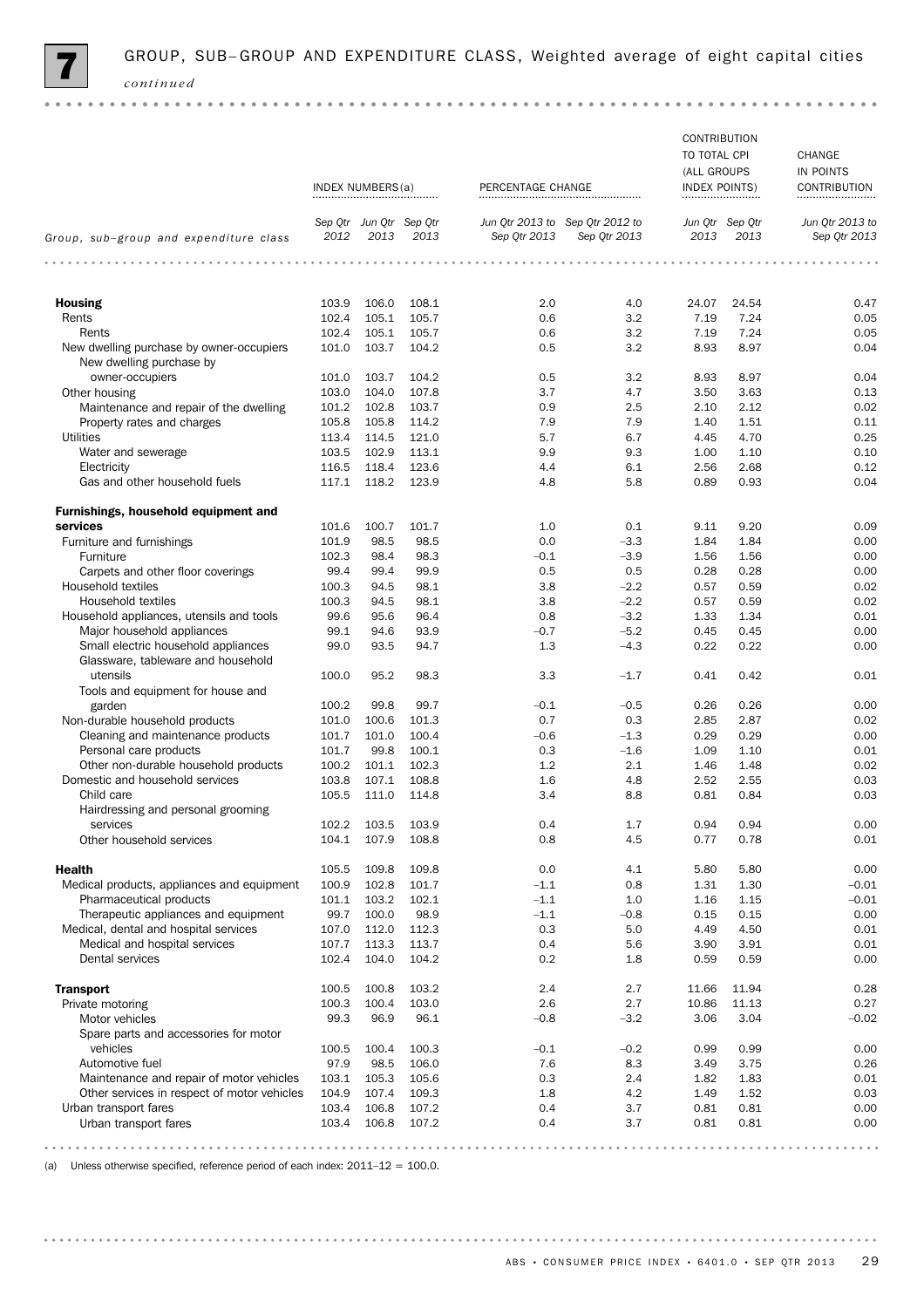

|                                                                           |                |                      |                                 |                   |                                                 | <b>CONTRIBUTION</b><br>TO TOTAL CPI<br>(ALL GROUPS |                         | CHANGE<br>IN POINTS             |
|---------------------------------------------------------------------------|----------------|----------------------|---------------------------------|-------------------|-------------------------------------------------|----------------------------------------------------|-------------------------|---------------------------------|
|                                                                           |                | INDEX NUMBERS(a)<br> |                                 | PERCENTAGE CHANGE |                                                 | <b>INDEX POINTS)</b><br>                           |                         | CONTRIBUTION<br>                |
| Group, sub-group and expenditure class                                    | 2012           | 2013                 | Sep Qtr Jun Qtr Sep Qtr<br>2013 | Sep Qtr 2013      | Jun Qtr 2013 to Sep Qtr 2012 to<br>Sep Qtr 2013 | 2013                                               | Jun Qtr Sep Qtr<br>2013 | Jun Qtr 2013 to<br>Sep Qtr 2013 |
| .                                                                         | .              |                      |                                 | .<br>$- - - - -$  |                                                 | .                                                  |                         | .                               |
| <b>Housing</b>                                                            | 103.9          | 106.0                | 108.1                           | 2.0               | 4.0                                             | 24.07                                              | 24.54                   | 0.47                            |
| Rents                                                                     | 102.4          | 105.1                | 105.7                           | 0.6               | 3.2                                             | 7.19                                               | 7.24                    | 0.05                            |
| Rents                                                                     | 102.4          | 105.1                | 105.7                           | 0.6               | 3.2                                             | 7.19                                               | 7.24                    | 0.05                            |
| New dwelling purchase by owner-occupiers<br>New dwelling purchase by      | 101.0          | 103.7                | 104.2                           | 0.5               | 3.2                                             | 8.93                                               | 8.97                    | 0.04                            |
| owner-occupiers                                                           | 101.0          | 103.7                | 104.2                           | 0.5               | 3.2                                             | 8.93                                               | 8.97                    | 0.04                            |
| Other housing                                                             | 103.0<br>101.2 | 104.0<br>102.8       | 107.8<br>103.7                  | 3.7               | 4.7                                             | 3.50<br>2.10                                       | 3.63                    | 0.13<br>0.02                    |
| Maintenance and repair of the dwelling                                    | 105.8          | 105.8                | 114.2                           | 0.9<br>7.9        | 2.5<br>7.9                                      | 1.40                                               | 2.12<br>1.51            | 0.11                            |
| Property rates and charges<br><b>Utilities</b>                            | 113.4          | 114.5                | 121.0                           | 5.7               | 6.7                                             | 4.45                                               | 4.70                    | 0.25                            |
| Water and sewerage                                                        | 103.5          | 102.9                | 113.1                           | 9.9               | 9.3                                             | 1.00                                               | 1.10                    | 0.10                            |
| Electricity                                                               | 116.5          | 118.4                | 123.6                           | 4.4               | 6.1                                             | 2.56                                               | 2.68                    | 0.12                            |
| Gas and other household fuels                                             | 117.1          | 118.2                | 123.9                           | 4.8               | 5.8                                             | 0.89                                               | 0.93                    | 0.04                            |
| Furnishings, household equipment and                                      |                |                      |                                 |                   |                                                 |                                                    |                         |                                 |
| services                                                                  | 101.6          | 100.7                | 101.7                           | 1.0               | 0.1                                             | 9.11                                               | 9.20                    | 0.09                            |
| Furniture and furnishings                                                 | 101.9          | 98.5                 | 98.5                            | 0.0               | $-3.3$                                          | 1.84                                               | 1.84                    | 0.00                            |
| Furniture                                                                 | 102.3          | 98.4                 | 98.3                            | $-0.1$            | $-3.9$                                          | 1.56                                               | 1.56                    | 0.00                            |
| Carpets and other floor coverings                                         | 99.4           | 99.4                 | 99.9                            | 0.5               | 0.5                                             | 0.28                                               | 0.28                    | 0.00                            |
| Household textiles                                                        | 100.3          | 94.5                 | 98.1                            | 3.8               | $-2.2$                                          | 0.57                                               | 0.59                    | 0.02                            |
| Household textiles                                                        | 100.3          | 94.5                 | 98.1                            | 3.8               | $-2.2$                                          | 0.57                                               | 0.59                    | 0.02                            |
| Household appliances, utensils and tools                                  | 99.6           | 95.6                 | 96.4                            | 0.8               | $-3.2$                                          | 1.33                                               | 1.34                    | 0.01                            |
| Major household appliances                                                | 99.1           | 94.6                 | 93.9                            | $-0.7$            | $-5.2$                                          | 0.45                                               | 0.45                    | 0.00                            |
| Small electric household appliances<br>Glassware, tableware and household | 99.0           | 93.5                 | 94.7                            | 1.3               | $-4.3$                                          | 0.22                                               | 0.22                    | 0.00                            |
| utensils<br>Tools and equipment for house and                             | 100.0          | 95.2                 | 98.3                            | 3.3               | $-1.7$                                          | 0.41                                               | 0.42                    | 0.01                            |
| garden                                                                    | 100.2          | 99.8                 | 99.7                            | $-0.1$            | $-0.5$                                          | 0.26                                               | 0.26                    | 0.00                            |
| Non-durable household products                                            | 101.0<br>101.7 | 100.6<br>101.0       | 101.3<br>100.4                  | 0.7               | 0.3                                             | 2.85<br>0.29                                       | 2.87<br>0.29            | 0.02                            |
| Cleaning and maintenance products<br>Personal care products               | 101.7          | 99.8                 | 100.1                           | $-0.6$<br>0.3     | $-1.3$<br>$-1.6$                                | 1.09                                               | 1.10                    | 0.00<br>0.01                    |
| Other non-durable household products                                      | 100.2          | 101.1                | 102.3                           | 1.2               | 2.1                                             | 1.46                                               | 1.48                    | 0.02                            |
| Domestic and household services                                           | 103.8          | 107.1                | 108.8                           | 1.6               | 4.8                                             | 2.52                                               | 2.55                    | 0.03                            |
| Child care                                                                | 105.5          | 111.0                | 114.8                           | 3.4               | 8.8                                             | 0.81                                               | 0.84                    | 0.03                            |
| Hairdressing and personal grooming                                        |                |                      |                                 |                   |                                                 |                                                    |                         |                                 |
| services<br>Other household services                                      | 102.2<br>104.1 | 103.5<br>107.9       | 103.9<br>108.8                  | 0.4<br>0.8        | $1.7\,$<br>4.5                                  | 0.94<br>0.77                                       | 0.94                    | 0.00<br>0.01                    |
|                                                                           |                |                      |                                 |                   |                                                 |                                                    | 0.78                    |                                 |
| <b>Health</b>                                                             | 105.5          | 109.8                | 109.8                           | 0.0               | 4.1                                             | 5.80                                               | 5.80                    | 0.00                            |
| Medical products, appliances and equipment                                | 100.9          | 102.8                | 101.7                           | $-1.1$            | 0.8                                             | 1.31                                               | 1.30                    | $-0.01$                         |
| Pharmaceutical products                                                   | 101.1          | 103.2                | 102.1                           | $-1.1$            | 1.0                                             | 1.16                                               | 1.15                    | $-0.01$                         |
| Therapeutic appliances and equipment                                      | 99.7           | 100.0                | 98.9                            | $-1.1$            | $-0.8$                                          | 0.15                                               | 0.15                    | 0.00                            |
| Medical, dental and hospital services                                     | 107.0          | 112.0                | 112.3                           | 0.3               | 5.0                                             | 4.49                                               | 4.50                    | 0.01                            |
| Medical and hospital services                                             | 107.7          | 113.3                | 113.7                           | 0.4               | 5.6                                             | 3.90                                               | 3.91                    | 0.01                            |
| Dental services                                                           | 102.4          | 104.0                | 104.2                           | 0.2               | 1.8                                             | 0.59                                               | 0.59                    | 0.00                            |
| <b>Transport</b>                                                          | 100.5          | 100.8                | 103.2                           | 2.4               | 2.7                                             | 11.66                                              | 11.94                   | 0.28                            |
| Private motoring                                                          | 100.3          | 100.4                | 103.0                           | 2.6               | 2.7                                             | 10.86                                              | 11.13                   | 0.27                            |
| Motor vehicles<br>Spare parts and accessories for motor                   | 99.3           | 96.9                 | 96.1                            | $-0.8$            | $-3.2$                                          | 3.06                                               | 3.04                    | $-0.02$                         |
| vehicles                                                                  | 100.5          | 100.4                | 100.3                           | $-0.1$            | $-0.2$                                          | 0.99                                               | 0.99                    | 0.00                            |
| Automotive fuel                                                           | 97.9           | 98.5                 | 106.0                           | 7.6               | 8.3                                             | 3.49                                               | 3.75                    | 0.26                            |
| Maintenance and repair of motor vehicles                                  | 103.1          | 105.3                | 105.6                           | 0.3               | 2.4                                             | 1.82                                               | 1.83                    | 0.01                            |
| Other services in respect of motor vehicles                               | 104.9          | 107.4                | 109.3                           | 1.8               | 4.2                                             | 1.49                                               | 1.52                    | 0.03                            |
| Urban transport fares<br>Urban transport fares                            | 103.4<br>103.4 | 106.8<br>106.8       | 107.2<br>107.2                  | 0.4<br>0.4        | 3.7<br>3.7                                      | 0.81<br>0.81                                       | 0.81<br>0.81            | 0.00<br>0.00                    |
|                                                                           |                |                      |                                 |                   |                                                 |                                                    |                         |                                 |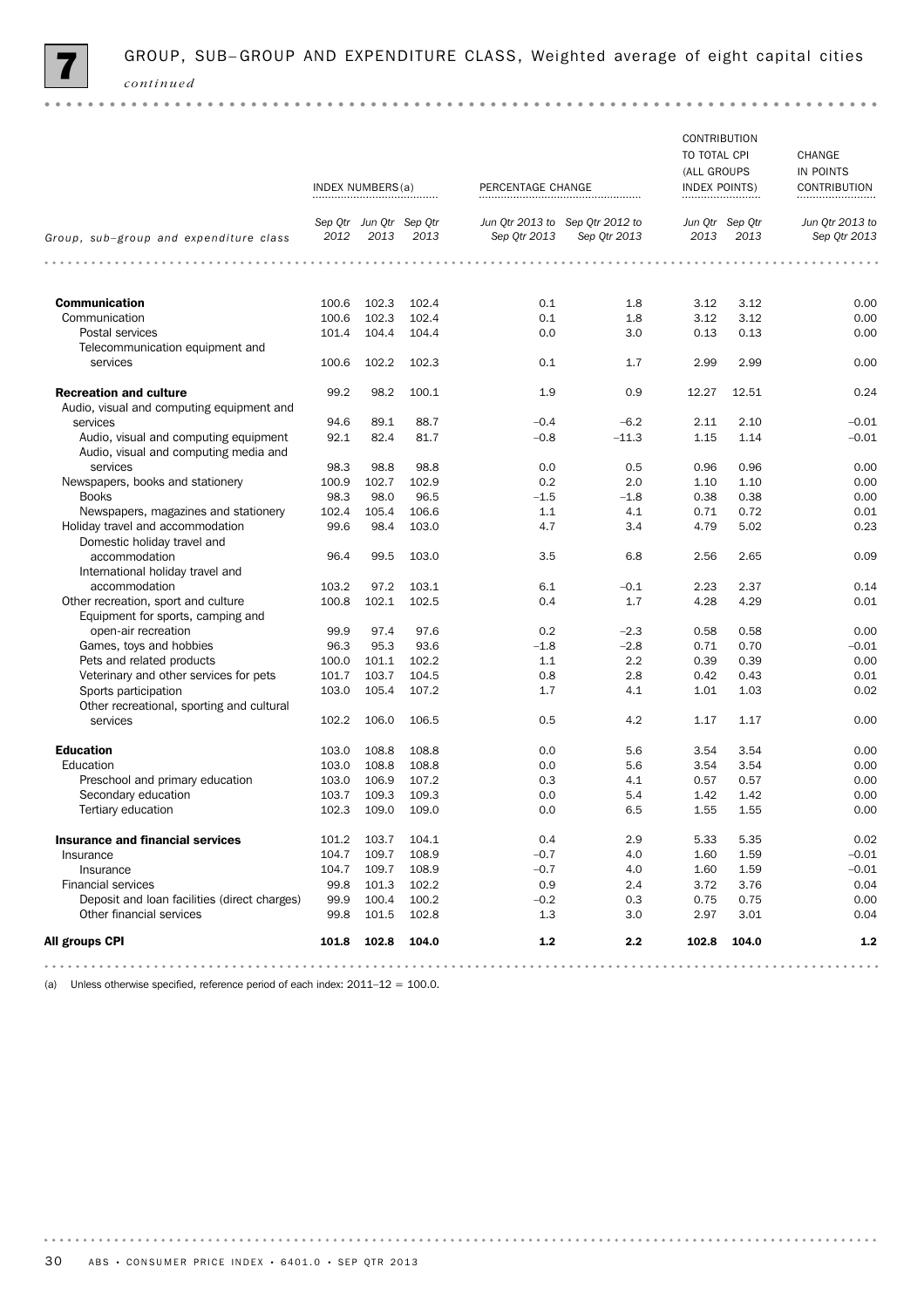

|                                                                                | INDEX NUMBERS(a) |                                 |         | PERCENTAGE CHANGE |                                                 | CONTRIBUTION<br>TO TOTAL CPI<br>(ALL GROUPS<br><b>INDEX POINTS)</b><br> |                         | CHANGE<br>IN POINTS<br>CONTRIBUTION<br> |  |
|--------------------------------------------------------------------------------|------------------|---------------------------------|---------|-------------------|-------------------------------------------------|-------------------------------------------------------------------------|-------------------------|-----------------------------------------|--|
| Group, sub-group and expenditure class                                         | 2012             | Sep Otr Jun Otr Sep Otr<br>2013 | 2013    | Sep Qtr 2013      | Jun Qtr 2013 to Sep Qtr 2012 to<br>Sep Qtr 2013 | 2013                                                                    | Jun Qtr Sep Qtr<br>2013 | Jun Qtr 2013 to<br>Sep Qtr 2013         |  |
| .<br>$- - - - -$                                                               | .                |                                 | $- - -$ | .<br>$- - - -$    |                                                 | .                                                                       |                         | .                                       |  |
| <b>Communication</b>                                                           | 100.6            | 102.3                           | 102.4   | 0.1               | 1.8                                             | 3.12                                                                    | 3.12                    | 0.00                                    |  |
| Communication                                                                  | 100.6            | 102.3                           | 102.4   | 0.1               | 1.8                                             | 3.12                                                                    | 3.12                    | 0.00                                    |  |
| Postal services                                                                | 101.4            | 104.4                           | 104.4   | 0.0               | 3.0                                             | 0.13                                                                    | 0.13                    | 0.00                                    |  |
| Telecommunication equipment and                                                |                  |                                 |         |                   |                                                 |                                                                         |                         |                                         |  |
| services                                                                       | 100.6            | 102.2                           | 102.3   | 0.1               | 1.7                                             | 2.99                                                                    | 2.99                    | 0.00                                    |  |
| <b>Recreation and culture</b><br>Audio, visual and computing equipment and     | 99.2             | 98.2                            | 100.1   | 1.9               | 0.9                                             | 12.27                                                                   | 12.51                   | 0.24                                    |  |
| services                                                                       | 94.6             | 89.1                            | 88.7    | $-0.4$            | $-6.2$                                          | 2.11                                                                    | 2.10                    | $-0.01$                                 |  |
| Audio, visual and computing equipment<br>Audio, visual and computing media and | 92.1             | 82.4                            | 81.7    | $-0.8$            | $-11.3$                                         | 1.15                                                                    | 1.14                    | $-0.01$                                 |  |
| services                                                                       | 98.3             | 98.8                            | 98.8    | 0.0               | 0.5                                             | 0.96                                                                    | 0.96                    | 0.00                                    |  |
| Newspapers, books and stationery                                               | 100.9            | 102.7                           | 102.9   | 0.2               | 2.0                                             | 1.10                                                                    | 1.10                    | 0.00                                    |  |
| <b>Books</b>                                                                   | 98.3             | 98.0                            | 96.5    | $-1.5$            | $-1.8$                                          | 0.38                                                                    | 0.38                    | 0.00                                    |  |
| Newspapers, magazines and stationery                                           | 102.4            | 105.4                           | 106.6   | 1.1               | 4.1                                             | 0.71                                                                    | 0.72                    | 0.01                                    |  |
| Holiday travel and accommodation<br>Domestic holiday travel and                | 99.6             | 98.4                            | 103.0   | 4.7               | 3.4                                             | 4.79                                                                    | 5.02                    | 0.23                                    |  |
| accommodation<br>International holiday travel and                              | 96.4             | 99.5                            | 103.0   | 3.5               | 6.8                                             | 2.56                                                                    | 2.65                    | 0.09                                    |  |
| accommodation                                                                  | 103.2            | 97.2                            | 103.1   | 6.1               | $-0.1$                                          | 2.23                                                                    | 2.37                    | 0.14                                    |  |
| Other recreation, sport and culture                                            | 100.8            | 102.1                           | 102.5   | 0.4               | 1.7                                             | 4.28                                                                    | 4.29                    | 0.01                                    |  |
| Equipment for sports, camping and                                              |                  |                                 |         |                   |                                                 |                                                                         |                         |                                         |  |
| open-air recreation                                                            | 99.9             | 97.4                            | 97.6    | 0.2               | $-2.3$                                          | 0.58                                                                    | 0.58                    | 0.00                                    |  |
| Games, toys and hobbies                                                        | 96.3             | 95.3                            | 93.6    | $-1.8$            | $-2.8$                                          | 0.71                                                                    | 0.70                    | $-0.01$                                 |  |
| Pets and related products                                                      | 100.0            | 101.1                           | 102.2   | 1.1               | 2.2                                             | 0.39                                                                    | 0.39                    | 0.00                                    |  |
| Veterinary and other services for pets                                         | 101.7            | 103.7                           | 104.5   | 0.8               | 2.8                                             | 0.42                                                                    | 0.43                    | 0.01                                    |  |
| Sports participation                                                           | 103.0            | 105.4                           | 107.2   | 1.7               | 4.1                                             | 1.01                                                                    | 1.03                    | 0.02                                    |  |
| Other recreational, sporting and cultural                                      |                  |                                 |         |                   |                                                 |                                                                         |                         |                                         |  |
| services                                                                       | 102.2            | 106.0                           | 106.5   | 0.5               | 4.2                                             | 1.17                                                                    | 1.17                    | 0.00                                    |  |
| <b>Education</b>                                                               | 103.0            | 108.8                           | 108.8   | 0.0               | 5.6                                             | 3.54                                                                    | 3.54                    | 0.00                                    |  |
| Education                                                                      | 103.0            | 108.8                           | 108.8   | 0.0               | 5.6                                             | 3.54                                                                    | 3.54                    | 0.00                                    |  |
| Preschool and primary education                                                | 103.0            | 106.9                           | 107.2   | 0.3               | 4.1                                             | 0.57                                                                    | 0.57                    | 0.00                                    |  |
| Secondary education                                                            | 103.7            | 109.3                           | 109.3   | 0.0               | 5.4                                             | 1.42                                                                    | 1.42                    | 0.00                                    |  |
| Tertiary education                                                             | 102.3            | 109.0                           | 109.0   | 0.0               | 6.5                                             | 1.55                                                                    | 1.55                    | 0.00                                    |  |
| <b>Insurance and financial services</b>                                        | 101.2            | 103.7                           | 104.1   | 0.4               | 2.9                                             | 5.33                                                                    | 5.35                    | 0.02                                    |  |
| Insurance                                                                      | 104.7            | 109.7                           | 108.9   | $-0.7$            | 4.0                                             | 1.60                                                                    | 1.59                    | $-0.01$                                 |  |
| Insurance                                                                      | 104.7            | 109.7                           | 108.9   | $-0.7$            | 4.0                                             | 1.60                                                                    | 1.59                    | $-0.01$                                 |  |
| <b>Financial services</b>                                                      | 99.8             | 101.3                           | 102.2   | 0.9               | 2.4                                             | 3.72                                                                    | 3.76                    | 0.04                                    |  |
| Deposit and loan facilities (direct charges)                                   | 99.9             | 100.4                           | 100.2   | $-0.2$            | 0.3                                             | 0.75                                                                    | 0.75                    | 0.00                                    |  |
| Other financial services                                                       | 99.8             | 101.5                           | 102.8   | 1.3               | 3.0                                             | 2.97                                                                    | 3.01                    | 0.04                                    |  |
| All groups CPI                                                                 | 101.8            | 102.8                           | 104.0   | $1.2$             | 2.2                                             | 102.8                                                                   | 104.0                   | $1.2$                                   |  |
|                                                                                |                  |                                 |         |                   |                                                 |                                                                         |                         |                                         |  |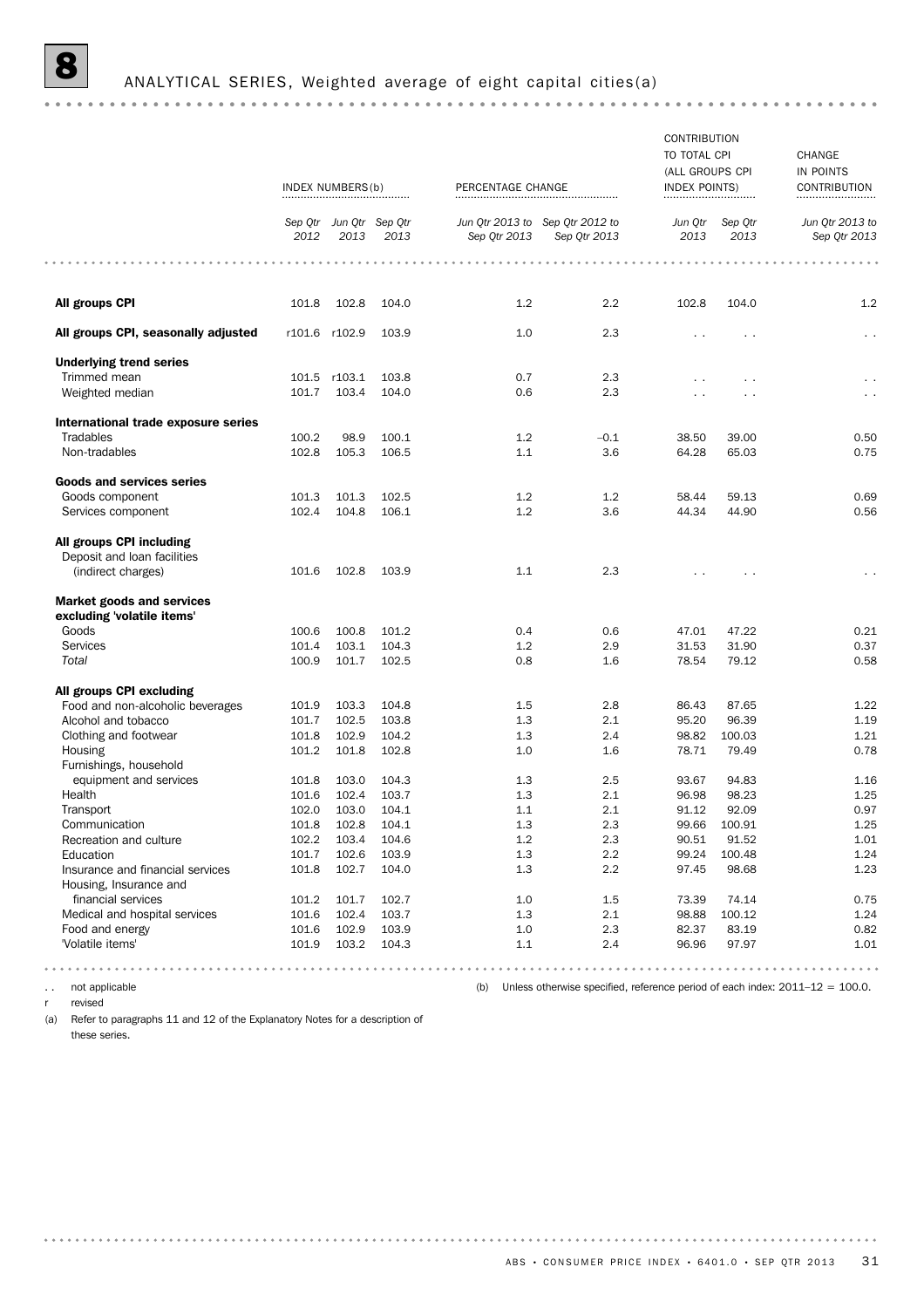# **8** ANALYTICAL SERIES, Weighted average of eight capital cities(a)

| Sep Qtr Jun Qtr Sep Qtr<br>2013<br>104.0<br>103.9<br>103.8<br>104.0<br>100.1<br>106.5<br>102.5<br>106.1 | Jun Qtr 2013 to Sep Qtr 2012 to<br>Sep Otr 2013<br>1.2<br>1.0<br>0.7<br>0.6<br>1.2<br>1.1<br>1.2<br>1.2 | Sep Qtr 2013<br>2.2<br>2.3<br>2.3<br>2.3<br>$-0.1$<br>3.6<br>1.2<br>3.6 | <br>Jun Qtr<br>2013<br>102.8<br>$\cdot$ $\cdot$<br>$\ddotsc$<br>38.50<br>64.28<br>58.44<br>44.34 | Sep Qtr<br>2013<br>104.0<br>$\cdot$ .<br>$\sim$<br>39.00<br>65.03<br>59.13<br>44.90 | Jun Qtr 2013 to<br>Sep Otr 2013<br>1.2<br>$\sim$ $\sim$<br>0.50<br>0.75<br>0.69<br>0.56 |
|---------------------------------------------------------------------------------------------------------|---------------------------------------------------------------------------------------------------------|-------------------------------------------------------------------------|--------------------------------------------------------------------------------------------------|-------------------------------------------------------------------------------------|-----------------------------------------------------------------------------------------|
|                                                                                                         |                                                                                                         |                                                                         |                                                                                                  |                                                                                     |                                                                                         |
|                                                                                                         |                                                                                                         |                                                                         |                                                                                                  |                                                                                     |                                                                                         |
|                                                                                                         |                                                                                                         |                                                                         |                                                                                                  |                                                                                     |                                                                                         |
|                                                                                                         |                                                                                                         |                                                                         |                                                                                                  |                                                                                     |                                                                                         |
|                                                                                                         |                                                                                                         |                                                                         |                                                                                                  |                                                                                     |                                                                                         |
|                                                                                                         |                                                                                                         |                                                                         |                                                                                                  |                                                                                     |                                                                                         |
|                                                                                                         |                                                                                                         |                                                                         |                                                                                                  |                                                                                     |                                                                                         |
|                                                                                                         |                                                                                                         |                                                                         |                                                                                                  |                                                                                     |                                                                                         |
|                                                                                                         |                                                                                                         |                                                                         |                                                                                                  |                                                                                     |                                                                                         |
|                                                                                                         |                                                                                                         |                                                                         |                                                                                                  |                                                                                     |                                                                                         |
|                                                                                                         |                                                                                                         |                                                                         |                                                                                                  |                                                                                     |                                                                                         |
|                                                                                                         |                                                                                                         |                                                                         |                                                                                                  |                                                                                     |                                                                                         |
|                                                                                                         |                                                                                                         |                                                                         |                                                                                                  |                                                                                     |                                                                                         |
| 103.9                                                                                                   | 1.1                                                                                                     | 2.3                                                                     |                                                                                                  |                                                                                     |                                                                                         |
|                                                                                                         |                                                                                                         |                                                                         |                                                                                                  |                                                                                     |                                                                                         |
| 101.2                                                                                                   | 0.4                                                                                                     | 0.6                                                                     | 47.01                                                                                            | 47.22                                                                               | 0.21                                                                                    |
| 104.3                                                                                                   | 1.2                                                                                                     | 2.9                                                                     | 31.53                                                                                            | 31.90                                                                               | 0.37                                                                                    |
| 102.5                                                                                                   | 0.8                                                                                                     | 1.6                                                                     | 78.54                                                                                            | 79.12                                                                               | 0.58                                                                                    |
|                                                                                                         |                                                                                                         |                                                                         |                                                                                                  |                                                                                     |                                                                                         |
| 104.8                                                                                                   | 1.5                                                                                                     | 2.8                                                                     | 86.43                                                                                            | 87.65                                                                               | 1.22                                                                                    |
| 103.8                                                                                                   | 1.3                                                                                                     | 2.1                                                                     | 95.20                                                                                            | 96.39                                                                               | 1.19                                                                                    |
| 104.2                                                                                                   | 1.3                                                                                                     | 2.4                                                                     | 98.82                                                                                            | 100.03                                                                              | 1.21                                                                                    |
| 102.8                                                                                                   | 1.0                                                                                                     | 1.6                                                                     | 78.71                                                                                            | 79.49                                                                               | 0.78                                                                                    |
|                                                                                                         |                                                                                                         |                                                                         |                                                                                                  |                                                                                     |                                                                                         |
| 104.3                                                                                                   | 1.3                                                                                                     | 2.5                                                                     | 93.67                                                                                            | 94.83                                                                               | 1.16                                                                                    |
| 103.7                                                                                                   | 1.3                                                                                                     | 2.1                                                                     | 96.98                                                                                            | 98.23                                                                               | 1.25                                                                                    |
| 104.1                                                                                                   | 1.1                                                                                                     | 2.1                                                                     | 91.12                                                                                            | 92.09                                                                               | 0.97                                                                                    |
| 104.1                                                                                                   | $1.3\,$                                                                                                 | 2.3                                                                     | 99.66                                                                                            | 100.91                                                                              | 1.25                                                                                    |
|                                                                                                         | 1.2                                                                                                     | 2.3                                                                     | 90.51                                                                                            | 91.52                                                                               | 1.01                                                                                    |
|                                                                                                         | 1.3                                                                                                     | 2.2                                                                     | 99.24                                                                                            | 100.48                                                                              | 1.24                                                                                    |
|                                                                                                         | 1.3                                                                                                     | 2.2                                                                     | 97.45                                                                                            | 98.68                                                                               | 1.23                                                                                    |
|                                                                                                         | 1.0                                                                                                     | $1.5\,$                                                                 | 73.39                                                                                            | 74.14                                                                               | 0.75                                                                                    |
|                                                                                                         | 1.3                                                                                                     | 2.1                                                                     | 98.88                                                                                            | 100.12                                                                              | 1.24                                                                                    |
|                                                                                                         | 1.0                                                                                                     | 2.3                                                                     | 82.37                                                                                            | 83.19                                                                               | 0.82                                                                                    |
|                                                                                                         |                                                                                                         | 2.4                                                                     | 96.96                                                                                            | 97.97                                                                               | 1.01                                                                                    |
|                                                                                                         | 104.6<br>103.9<br>104.0<br>102.7<br>103.7<br>103.9                                                      | 104.3<br>1.1                                                            |                                                                                                  |                                                                                     | .<br>$- - - - - - - -$<br>.                                                             |

r revised

(a) Refer to paragraphs 11 and 12 of the Explanatory Notes for a description of these series.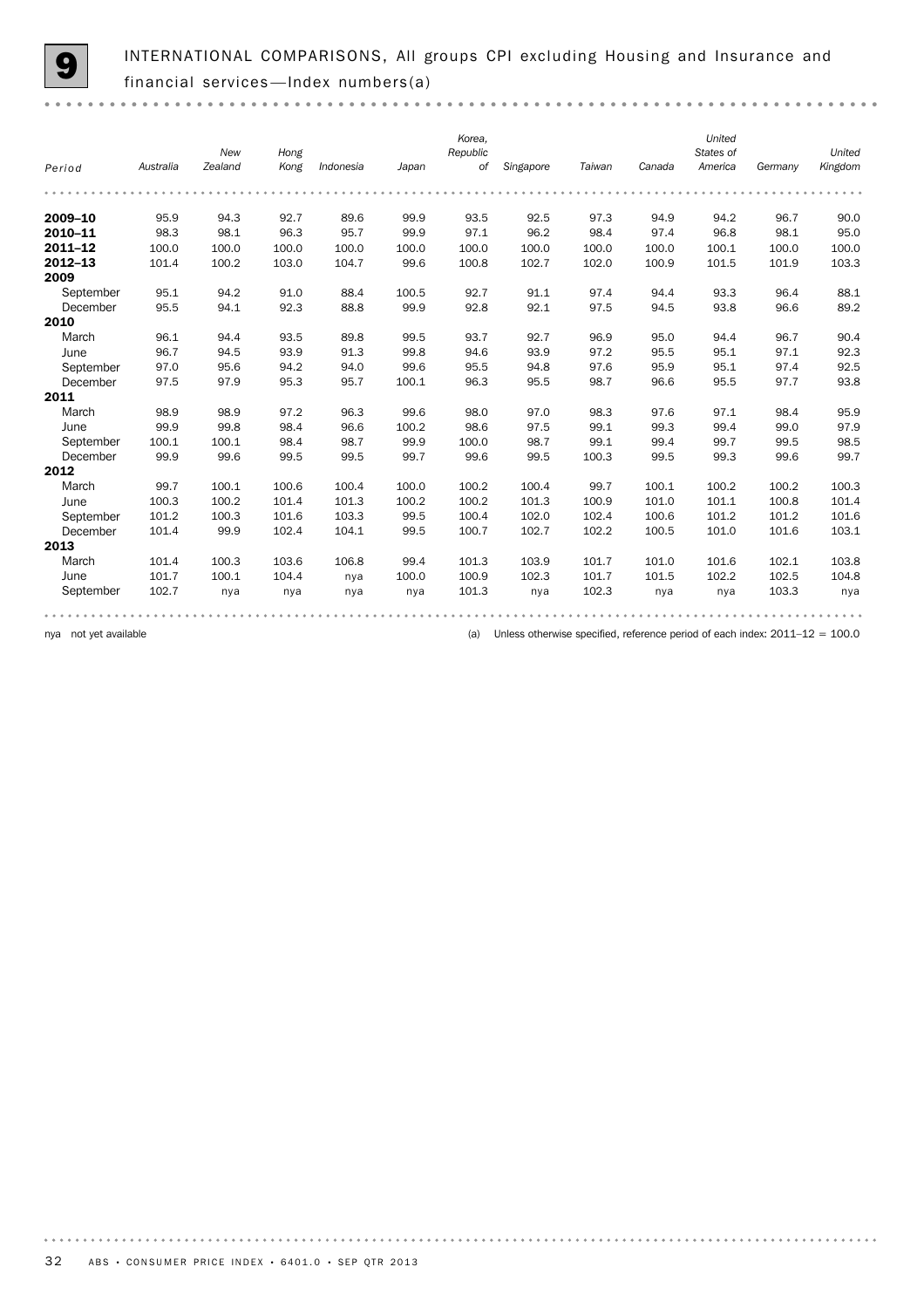$0.000$ 

INTERNATIONAL COMPARISONS, All groups CPI excluding Housing and Insurance and financial services—Index numbers(a)

|             |           | New     | Hong  |           |       | Korea,<br>Republic |           |        |        | United<br>States of |         | United  |
|-------------|-----------|---------|-------|-----------|-------|--------------------|-----------|--------|--------|---------------------|---------|---------|
| Period      | Australia | Zealand | Kong  | Indonesia | Japan | of                 | Singapore | Taiwan | Canada | America             | Germany | Kingdom |
|             |           |         |       |           |       |                    |           |        |        |                     |         |         |
| 2009-10     | 95.9      | 94.3    | 92.7  | 89.6      | 99.9  | 93.5               | 92.5      | 97.3   | 94.9   | 94.2                | 96.7    | 90.0    |
| 2010-11     | 98.3      | 98.1    | 96.3  | 95.7      | 99.9  | 97.1               | 96.2      | 98.4   | 97.4   | 96.8                | 98.1    | 95.0    |
| $2011 - 12$ | 100.0     | 100.0   | 100.0 | 100.0     | 100.0 | 100.0              | 100.0     | 100.0  | 100.0  | 100.1               | 100.0   | 100.0   |
| $2012 - 13$ | 101.4     | 100.2   | 103.0 | 104.7     | 99.6  | 100.8              | 102.7     | 102.0  | 100.9  | 101.5               | 101.9   | 103.3   |
| 2009        |           |         |       |           |       |                    |           |        |        |                     |         |         |
| September   | 95.1      | 94.2    | 91.0  | 88.4      | 100.5 | 92.7               | 91.1      | 97.4   | 94.4   | 93.3                | 96.4    | 88.1    |
| December    | 95.5      | 94.1    | 92.3  | 88.8      | 99.9  | 92.8               | 92.1      | 97.5   | 94.5   | 93.8                | 96.6    | 89.2    |
| 2010        |           |         |       |           |       |                    |           |        |        |                     |         |         |
| March       | 96.1      | 94.4    | 93.5  | 89.8      | 99.5  | 93.7               | 92.7      | 96.9   | 95.0   | 94.4                | 96.7    | 90.4    |
| June        | 96.7      | 94.5    | 93.9  | 91.3      | 99.8  | 94.6               | 93.9      | 97.2   | 95.5   | 95.1                | 97.1    | 92.3    |
| September   | 97.0      | 95.6    | 94.2  | 94.0      | 99.6  | 95.5               | 94.8      | 97.6   | 95.9   | 95.1                | 97.4    | 92.5    |
| December    | 97.5      | 97.9    | 95.3  | 95.7      | 100.1 | 96.3               | 95.5      | 98.7   | 96.6   | 95.5                | 97.7    | 93.8    |
| 2011        |           |         |       |           |       |                    |           |        |        |                     |         |         |
| March       | 98.9      | 98.9    | 97.2  | 96.3      | 99.6  | 98.0               | 97.0      | 98.3   | 97.6   | 97.1                | 98.4    | 95.9    |
| June        | 99.9      | 99.8    | 98.4  | 96.6      | 100.2 | 98.6               | 97.5      | 99.1   | 99.3   | 99.4                | 99.0    | 97.9    |
| September   | 100.1     | 100.1   | 98.4  | 98.7      | 99.9  | 100.0              | 98.7      | 99.1   | 99.4   | 99.7                | 99.5    | 98.5    |
| December    | 99.9      | 99.6    | 99.5  | 99.5      | 99.7  | 99.6               | 99.5      | 100.3  | 99.5   | 99.3                | 99.6    | 99.7    |
| 2012        |           |         |       |           |       |                    |           |        |        |                     |         |         |
| March       | 99.7      | 100.1   | 100.6 | 100.4     | 100.0 | 100.2              | 100.4     | 99.7   | 100.1  | 100.2               | 100.2   | 100.3   |
| June        | 100.3     | 100.2   | 101.4 | 101.3     | 100.2 | 100.2              | 101.3     | 100.9  | 101.0  | 101.1               | 100.8   | 101.4   |
| September   | 101.2     | 100.3   | 101.6 | 103.3     | 99.5  | 100.4              | 102.0     | 102.4  | 100.6  | 101.2               | 101.2   | 101.6   |
| December    | 101.4     | 99.9    | 102.4 | 104.1     | 99.5  | 100.7              | 102.7     | 102.2  | 100.5  | 101.0               | 101.6   | 103.1   |
| 2013        |           |         |       |           |       |                    |           |        |        |                     |         |         |
| March       | 101.4     | 100.3   | 103.6 | 106.8     | 99.4  | 101.3              | 103.9     | 101.7  | 101.0  | 101.6               | 102.1   | 103.8   |
| June        | 101.7     | 100.1   | 104.4 | nya       | 100.0 | 100.9              | 102.3     | 101.7  | 101.5  | 102.2               | 102.5   | 104.8   |
| September   | 102.7     | nya     | nya   | nya       | nya   | 101.3              | nya       | 102.3  | nya    | nya                 | 103.3   | nya     |
|             |           |         |       |           |       |                    |           |        |        |                     |         |         |
|             |           |         |       |           |       |                    |           |        |        |                     |         |         |

nya not yet available **available** (a) Unless otherwise specified, reference period of each index: 2011–12 = 100.0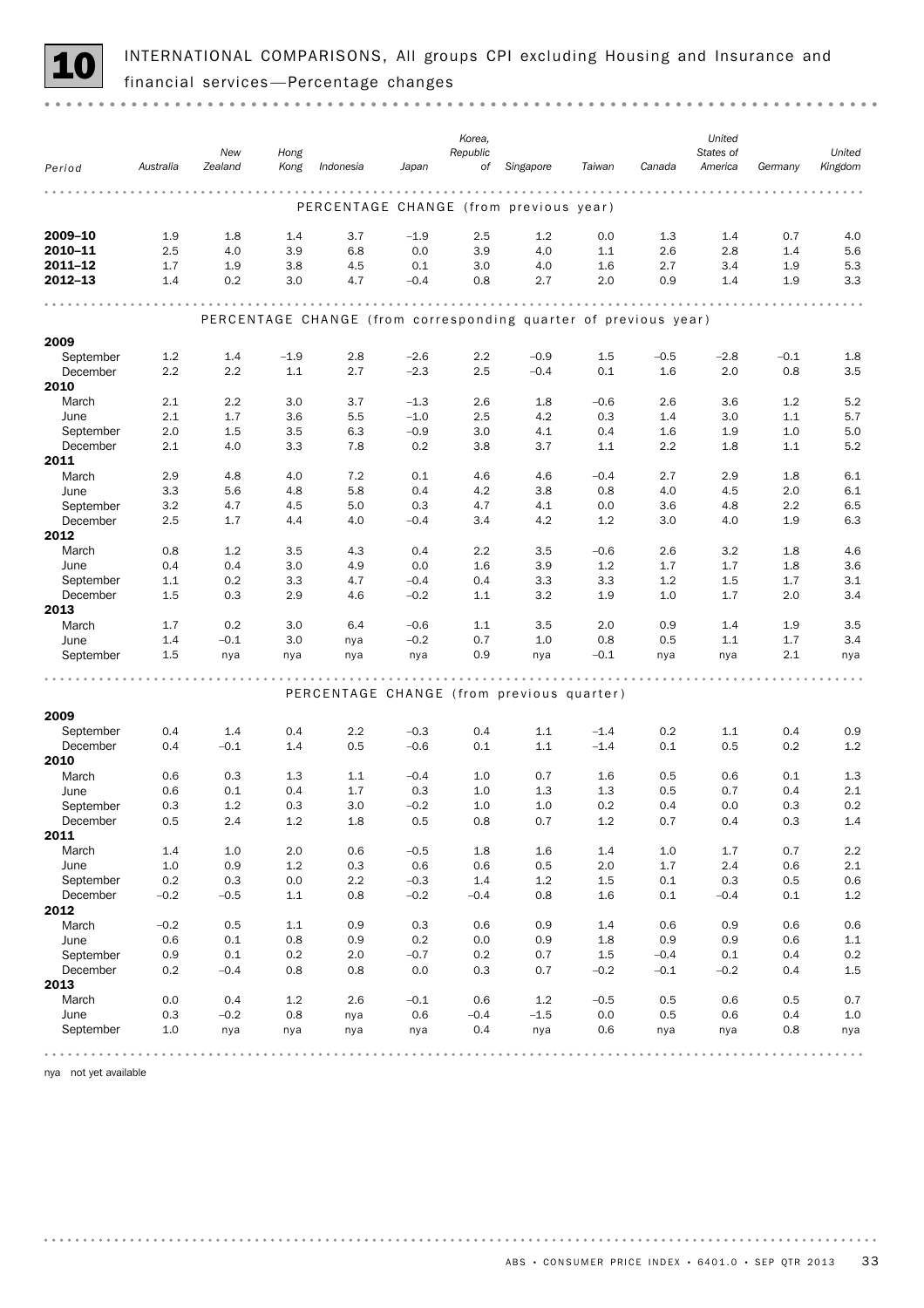

INTERNATIONAL COMPARISONS, All groups CPI excluding Housing and Insurance and 10 financial services —Percentage changes

|                       |            |               |            |            |                  | Korea,     |                                                                 |                  |            | United     |            |            |
|-----------------------|------------|---------------|------------|------------|------------------|------------|-----------------------------------------------------------------|------------------|------------|------------|------------|------------|
|                       |            | New           | Hong       |            |                  | Republic   |                                                                 |                  |            | States of  |            | United     |
| Period                | Australia  | Zealand       | Kong       | Indonesia  | Japan            | of         | Singapore                                                       | Taiwan           | Canada     | America    | Germany    | Kingdom    |
|                       |            |               |            |            |                  |            |                                                                 |                  |            |            |            |            |
|                       |            |               |            |            |                  |            | PERCENTAGE CHANGE (from previous year)                          |                  |            |            |            |            |
| 2009-10               | 1.9        | 1.8           | 1.4        | 3.7        | $-1.9$           | 2.5        | 1.2                                                             | 0.0              | 1.3        | 1.4        | 0.7        | 4.0        |
| 2010-11               | 2.5        | 4.0           | 3.9        | 6.8        | 0.0              | 3.9        | 4.0                                                             | 1.1              | 2.6        | 2.8        | 1.4        | 5.6        |
| 2011-12               | 1.7        | 1.9           | 3.8        | 4.5        | 0.1              | 3.0        | 4.0                                                             | 1.6              | 2.7        | 3.4        | 1.9        | 5.3        |
| 2012-13               | 1.4        | 0.2           | 3.0        | 4.7        | $-0.4$           | 0.8        | 2.7                                                             | 2.0              | 0.9        | 1.4        | 1.9        | 3.3        |
|                       |            |               |            |            |                  |            |                                                                 |                  |            |            |            |            |
|                       |            |               |            |            |                  |            | PERCENTAGE CHANGE (from corresponding quarter of previous year) |                  |            |            |            |            |
|                       |            |               |            |            |                  |            |                                                                 |                  |            |            |            |            |
| 2009                  |            |               |            |            |                  |            |                                                                 |                  |            |            |            |            |
| September             | 1.2        | 1.4           | $-1.9$     | 2.8        | $-2.6$           | 2.2        | $-0.9$                                                          | 1.5              | $-0.5$     | $-2.8$     | $-0.1$     | 1.8        |
| December<br>2010      | 2.2        | 2.2           | 1.1        | 2.7        | $-2.3$           | 2.5        | $-0.4$                                                          | 0.1              | 1.6        | 2.0        | 0.8        | 3.5        |
| March                 | 2.1        | 2.2           | 3.0        | 3.7        | $-1.3$           | 2.6        | 1.8                                                             | $-0.6$           | 2.6        | 3.6        | 1.2        | 5.2        |
| June                  | 2.1        | 1.7           | 3.6        | 5.5        | $-1.0$           | 2.5        | 4.2                                                             | 0.3              | 1.4        | 3.0        | 1.1        | 5.7        |
| September             | 2.0        | 1.5           | 3.5        | 6.3        | $-0.9$           | 3.0        | 4.1                                                             | 0.4              | 1.6        | 1.9        | 1.0        | 5.0        |
| December              | 2.1        | 4.0           | 3.3        | 7.8        | 0.2              | 3.8        | 3.7                                                             | 1.1              | 2.2        | 1.8        | 1.1        | 5.2        |
| 2011                  |            |               |            |            |                  |            |                                                                 |                  |            |            |            |            |
| March                 | 2.9        | 4.8           | 4.0        | 7.2        | 0.1              | 4.6        | 4.6                                                             | $-0.4$           | 2.7        | 2.9        | 1.8        | 6.1        |
| June                  | 3.3        | 5.6           | 4.8        | 5.8        | 0.4              | 4.2        | 3.8                                                             | 0.8              | 4.0        | 4.5        | 2.0        | 6.1        |
| September             | 3.2        | 4.7           | 4.5        | 5.0        | 0.3              | 4.7        | 4.1                                                             | 0.0              | 3.6        | 4.8        | 2.2        | 6.5        |
| December              | 2.5        | 1.7           | 4.4        | 4.0        | $-0.4$           | 3.4        | 4.2                                                             | 1.2              | 3.0        | 4.0        | 1.9        | 6.3        |
| 2012                  |            |               |            |            |                  |            |                                                                 |                  |            |            |            |            |
| March                 | 0.8        | 1.2           | 3.5        | 4.3        | 0.4              | 2.2        | 3.5                                                             | $-0.6$           | 2.6        | 3.2        | 1.8        | 4.6        |
| June                  | 0.4        | 0.4<br>0.2    | 3.0        | 4.9        | 0.0              | 1.6        | 3.9<br>3.3                                                      | 1.2              | 1.7        | 1.7        | 1.8        | 3.6        |
| September<br>December | 1.1<br>1.5 | 0.3           | 3.3<br>2.9 | 4.7<br>4.6 | $-0.4$<br>$-0.2$ | 0.4<br>1.1 | 3.2                                                             | 3.3<br>1.9       | 1.2<br>1.0 | 1.5<br>1.7 | 1.7<br>2.0 | 3.1<br>3.4 |
| 2013                  |            |               |            |            |                  |            |                                                                 |                  |            |            |            |            |
| March                 | 1.7        | 0.2           | 3.0        | 6.4        | $-0.6$           | 1.1        | 3.5                                                             | 2.0              | 0.9        | 1.4        | 1.9        | 3.5        |
| June                  | 1.4        | $-0.1$        | 3.0        | nya        | $-0.2$           | 0.7        | 1.0                                                             | 0.8              | 0.5        | 1.1        | 1.7        | 3.4        |
| September             | 1.5        | nya           | nya        | nya        | nya              | 0.9        | nya                                                             | $-0.1$           | nya        | nya        | 2.1        | nya        |
|                       |            |               |            |            |                  |            |                                                                 |                  |            |            |            |            |
|                       |            |               |            |            |                  |            | PERCENTAGE CHANGE (from previous quarter)                       |                  |            |            |            |            |
|                       |            |               |            |            |                  |            |                                                                 |                  |            |            |            |            |
| 2009                  |            |               |            |            |                  |            |                                                                 |                  |            |            |            |            |
| September<br>December | 0.4<br>0.4 | 1.4<br>$-0.1$ | 0.4<br>1.4 | 2.2<br>0.5 | $-0.3$<br>$-0.6$ | 0.4<br>0.1 | 1.1<br>1.1                                                      | $-1.4$<br>$-1.4$ | 0.2<br>0.1 | 1.1<br>0.5 | 0.4<br>0.2 | 0.9<br>1.2 |
| 2010                  |            |               |            |            |                  |            |                                                                 |                  |            |            |            |            |
| March                 | 0.6        | 0.3           | 1.3        | 1.1        | $-0.4$           | 1.0        | 0.7                                                             | 1.6              | 0.5        | 0.6        | 0.1        | 1.3        |
| June                  | 0.6        | 0.1           | 0.4        | 1.7        | 0.3              | 1.0        | 1.3                                                             | 1.3              | 0.5        | 0.7        | 0.4        | 2.1        |
| September             | 0.3        | 1.2           | 0.3        | 3.0        | $-0.2$           | 1.0        | 1.0                                                             | 0.2              | 0.4        | 0.0        | 0.3        | 0.2        |
| December              | 0.5        | 2.4           | 1.2        | 1.8        | 0.5              | 0.8        | 0.7                                                             | 1.2              | 0.7        | 0.4        | 0.3        | 1.4        |
| 2011                  |            |               |            |            |                  |            |                                                                 |                  |            |            |            |            |
| March                 | 1.4        | 1.0           | 2.0        | 0.6        | $-0.5$           | 1.8        | 1.6                                                             | 1.4              | 1.0        | 1.7        | 0.7        | 2.2        |
| June                  | 1.0        | 0.9           | 1.2        | 0.3        | 0.6              | 0.6        | 0.5                                                             | 2.0              | 1.7        | 2.4        | 0.6        | $2.1\,$    |
| September             | 0.2        | 0.3           | 0.0        | 2.2        | $-0.3$           | 1.4        | 1.2                                                             | 1.5              | 0.1        | 0.3        | 0.5        | 0.6        |
| December<br>2012      | $-0.2$     | $-0.5$        | 1.1        | 0.8        | $-0.2$           | $-0.4$     | 0.8                                                             | 1.6              | 0.1        | $-0.4$     | 0.1        | $1.2\,$    |
| March                 | $-0.2$     | 0.5           | 1.1        | 0.9        | 0.3              | 0.6        | 0.9                                                             | 1.4              | 0.6        | 0.9        | 0.6        | 0.6        |
| June                  | 0.6        | 0.1           | 0.8        | 0.9        | 0.2              | 0.0        | 0.9                                                             | 1.8              | 0.9        | 0.9        | 0.6        | $1.1\,$    |
| September             | 0.9        | 0.1           | 0.2        | 2.0        | $-0.7$           | 0.2        | 0.7                                                             | 1.5              | $-0.4$     | 0.1        | 0.4        | 0.2        |
| December              | 0.2        | $-0.4$        | 0.8        | 0.8        | 0.0              | 0.3        | 0.7                                                             | $-0.2$           | $-0.1$     | $-0.2$     | 0.4        | $1.5\,$    |
| 2013                  |            |               |            |            |                  |            |                                                                 |                  |            |            |            |            |
| March                 | 0.0        | 0.4           | 1.2        | 2.6        | $-0.1$           | 0.6        | 1.2                                                             | $-0.5$           | 0.5        | 0.6        | 0.5        | 0.7        |
| June                  | 0.3        | $-0.2$        | 0.8        | nya        | 0.6              | $-0.4$     | $-1.5$                                                          | 0.0              | 0.5        | 0.6        | 0.4        | 1.0        |
| September             | 1.0        | nya           | nya        | nya        | nya              | 0.4        | nya                                                             | 0.6              | nya        | nya        | 0.8        | nya        |
|                       |            |               |            |            |                  |            |                                                                 |                  |            |            |            |            |

nya not yet available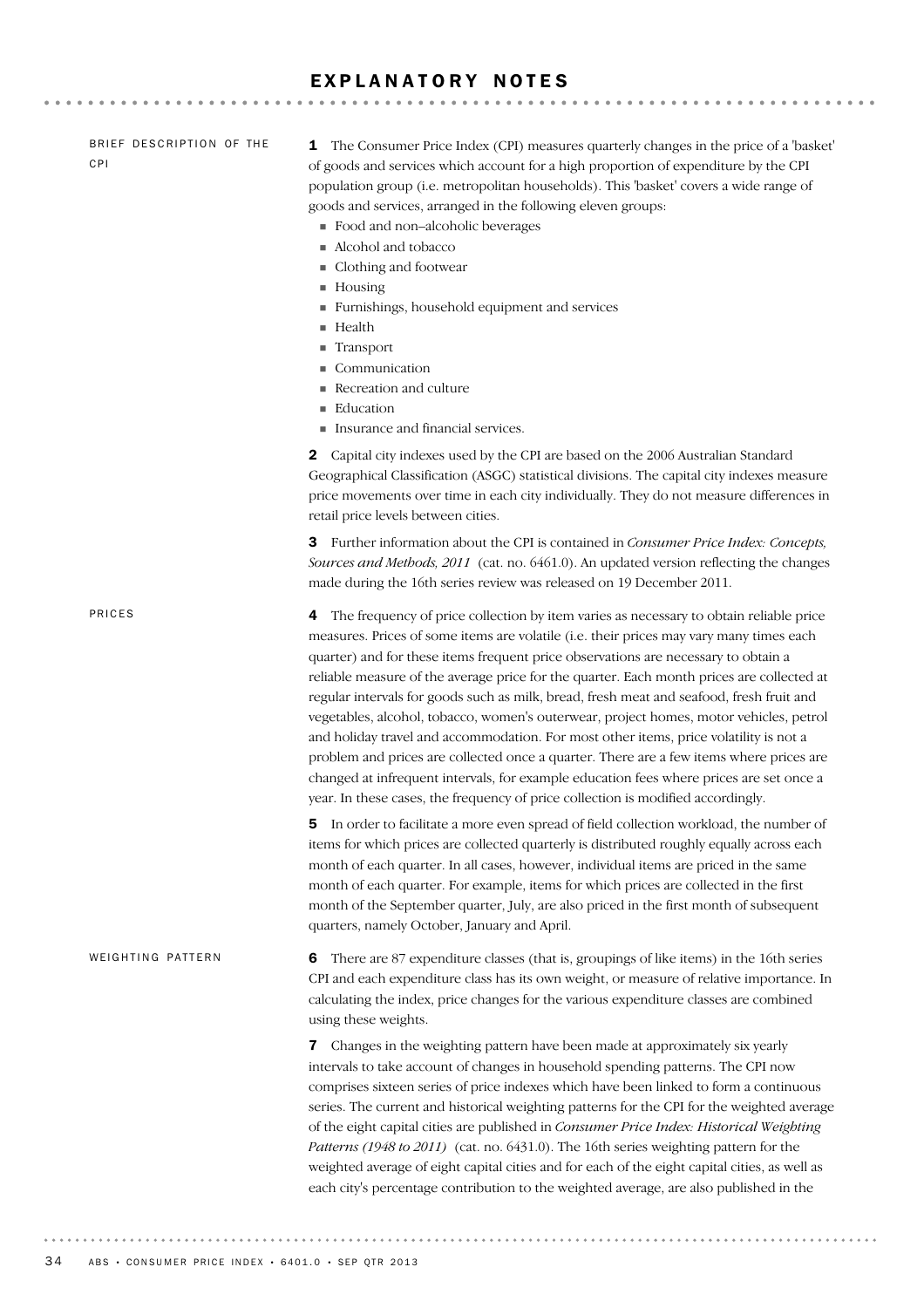# EXPLANATORY NOTES

| BRIEF DESCRIPTION OF THE<br><b>CPI</b> | The Consumer Price Index (CPI) measures quarterly changes in the price of a 'basket'<br>1<br>of goods and services which account for a high proportion of expenditure by the CPI<br>population group (i.e. metropolitan households). This 'basket' covers a wide range of<br>goods and services, arranged in the following eleven groups:<br>• Food and non-alcoholic beverages<br>Alcohol and tobacco<br>Clothing and footwear<br>$\blacksquare$ Housing<br>Furnishings, household equipment and services<br>Health<br>Transport<br>Communication<br>Recreation and culture<br>Education<br>Insurance and financial services.                                                                                                                                                                                                                                                                                                     |
|----------------------------------------|------------------------------------------------------------------------------------------------------------------------------------------------------------------------------------------------------------------------------------------------------------------------------------------------------------------------------------------------------------------------------------------------------------------------------------------------------------------------------------------------------------------------------------------------------------------------------------------------------------------------------------------------------------------------------------------------------------------------------------------------------------------------------------------------------------------------------------------------------------------------------------------------------------------------------------|
|                                        | Capital city indexes used by the CPI are based on the 2006 Australian Standard<br>2<br>Geographical Classification (ASGC) statistical divisions. The capital city indexes measure<br>price movements over time in each city individually. They do not measure differences in<br>retail price levels between cities.                                                                                                                                                                                                                                                                                                                                                                                                                                                                                                                                                                                                                |
|                                        | <b>3</b> Further information about the CPI is contained in <i>Consumer Price Index: Concepts</i> ,<br>Sources and Methods, 2011 (cat. no. 6461.0). An updated version reflecting the changes<br>made during the 16th series review was released on 19 December 2011.                                                                                                                                                                                                                                                                                                                                                                                                                                                                                                                                                                                                                                                               |
| PRICES                                 | The frequency of price collection by item varies as necessary to obtain reliable price<br>4<br>measures. Prices of some items are volatile (i.e. their prices may vary many times each<br>quarter) and for these items frequent price observations are necessary to obtain a<br>reliable measure of the average price for the quarter. Each month prices are collected at<br>regular intervals for goods such as milk, bread, fresh meat and seafood, fresh fruit and<br>vegetables, alcohol, tobacco, women's outerwear, project homes, motor vehicles, petrol<br>and holiday travel and accommodation. For most other items, price volatility is not a<br>problem and prices are collected once a quarter. There are a few items where prices are<br>changed at infrequent intervals, for example education fees where prices are set once a<br>year. In these cases, the frequency of price collection is modified accordingly. |
|                                        | In order to facilitate a more even spread of field collection workload, the number of<br>5<br>items for which prices are collected quarterly is distributed roughly equally across each<br>month of each quarter. In all cases, however, individual items are priced in the same<br>month of each quarter. For example, items for which prices are collected in the first<br>month of the September quarter, July, are also priced in the first month of subsequent<br>quarters, namely October, January and April.                                                                                                                                                                                                                                                                                                                                                                                                                |
| WEIGHTING PATTERN                      | There are 87 expenditure classes (that is, groupings of like items) in the 16th series<br>6<br>CPI and each expenditure class has its own weight, or measure of relative importance. In<br>calculating the index, price changes for the various expenditure classes are combined<br>using these weights.                                                                                                                                                                                                                                                                                                                                                                                                                                                                                                                                                                                                                           |
|                                        | Changes in the weighting pattern have been made at approximately six yearly<br>7<br>intervals to take account of changes in household spending patterns. The CPI now<br>comprises sixteen series of price indexes which have been linked to form a continuous<br>series. The current and historical weighting patterns for the CPI for the weighted average<br>of the eight capital cities are published in Consumer Price Index: Historical Weighting<br>Patterns (1948 to 2011) (cat. no. 6431.0). The 16th series weighting pattern for the<br>weighted average of eight capital cities and for each of the eight capital cities, as well as<br>each city's percentage contribution to the weighted average, are also published in the                                                                                                                                                                                          |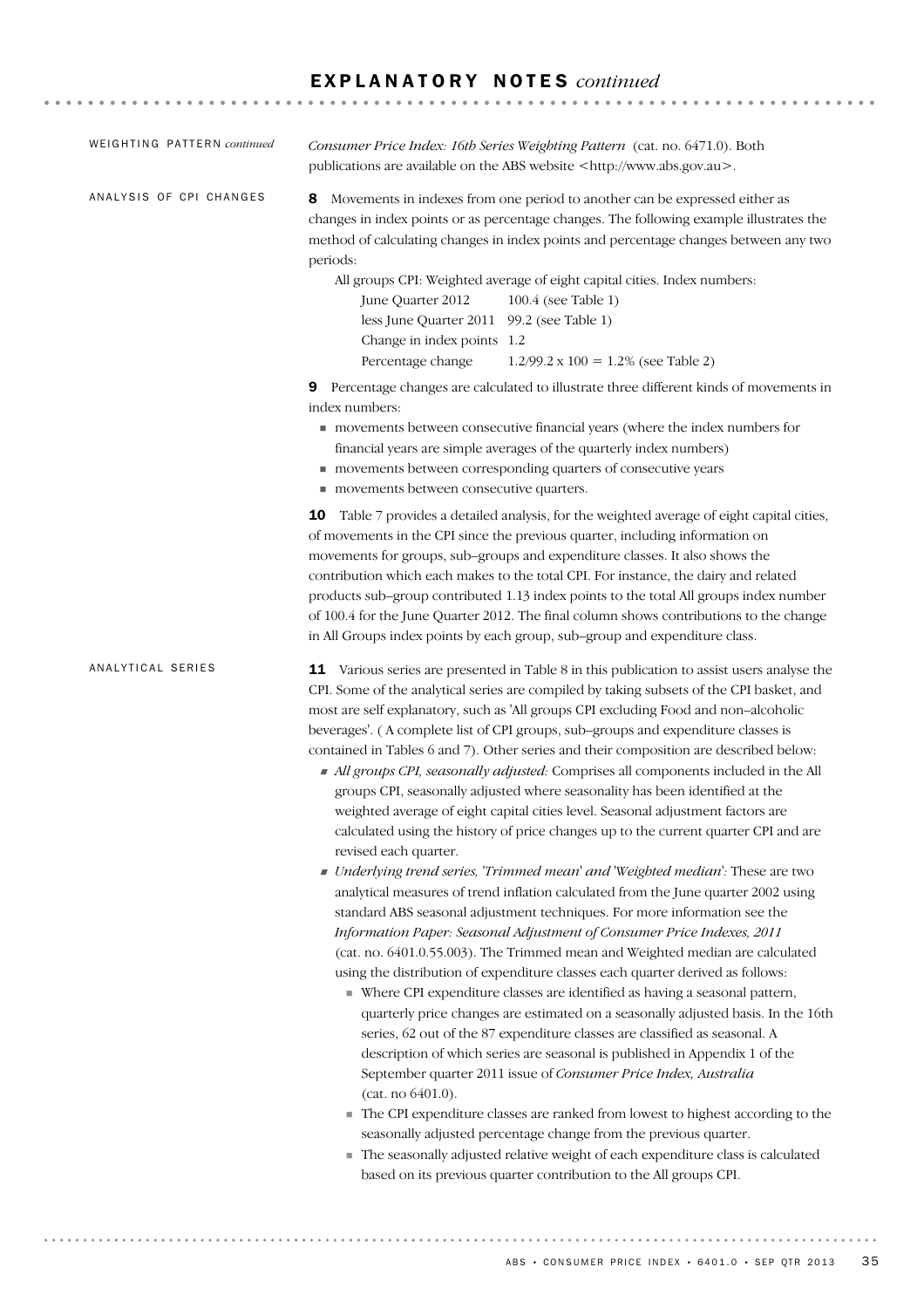| WEIGHTING PATTERN continued | Consumer Price Index: 16th Series Weighting Pattern (cat. no. 6471.0). Both<br>publications are available on the ABS website <http: www.abs.gov.au="">.</http:>                                                                                                                                                                                                                                                                                                                                                                                                                                                                                                                                                                                                                                                                                                                                                                                                                                                                                                                                                                                                                                                                                                                                                                                                                                                                                                                                                                                                                                                                                                                                                                                                                                                                                                                                                                                                                                                                                                              |
|-----------------------------|------------------------------------------------------------------------------------------------------------------------------------------------------------------------------------------------------------------------------------------------------------------------------------------------------------------------------------------------------------------------------------------------------------------------------------------------------------------------------------------------------------------------------------------------------------------------------------------------------------------------------------------------------------------------------------------------------------------------------------------------------------------------------------------------------------------------------------------------------------------------------------------------------------------------------------------------------------------------------------------------------------------------------------------------------------------------------------------------------------------------------------------------------------------------------------------------------------------------------------------------------------------------------------------------------------------------------------------------------------------------------------------------------------------------------------------------------------------------------------------------------------------------------------------------------------------------------------------------------------------------------------------------------------------------------------------------------------------------------------------------------------------------------------------------------------------------------------------------------------------------------------------------------------------------------------------------------------------------------------------------------------------------------------------------------------------------------|
| ANALYSIS OF CPI CHANGES     | Movements in indexes from one period to another can be expressed either as<br>8<br>changes in index points or as percentage changes. The following example illustrates the<br>method of calculating changes in index points and percentage changes between any two<br>periods:<br>All groups CPI: Weighted average of eight capital cities. Index numbers:<br>June Quarter 2012<br>100.4 (see Table 1)<br>less June Quarter 2011 99.2 (see Table 1)<br>Change in index points 1.2<br>Percentage change<br>$1.2/99.2 \times 100 = 1.2\%$ (see Table 2)                                                                                                                                                                                                                                                                                                                                                                                                                                                                                                                                                                                                                                                                                                                                                                                                                                                                                                                                                                                                                                                                                                                                                                                                                                                                                                                                                                                                                                                                                                                        |
|                             | Percentage changes are calculated to illustrate three different kinds of movements in<br>9<br>index numbers:<br>movements between consecutive financial years (where the index numbers for<br>financial years are simple averages of the quarterly index numbers)<br>movements between corresponding quarters of consecutive years<br>movements between consecutive quarters.                                                                                                                                                                                                                                                                                                                                                                                                                                                                                                                                                                                                                                                                                                                                                                                                                                                                                                                                                                                                                                                                                                                                                                                                                                                                                                                                                                                                                                                                                                                                                                                                                                                                                                |
|                             | <b>10</b> Table 7 provides a detailed analysis, for the weighted average of eight capital cities,<br>of movements in the CPI since the previous quarter, including information on<br>movements for groups, sub-groups and expenditure classes. It also shows the<br>contribution which each makes to the total CPI. For instance, the dairy and related<br>products sub-group contributed 1.13 index points to the total All groups index number<br>of 100.4 for the June Quarter 2012. The final column shows contributions to the change<br>in All Groups index points by each group, sub-group and expenditure class.                                                                                                                                                                                                                                                                                                                                                                                                                                                                                                                                                                                                                                                                                                                                                                                                                                                                                                                                                                                                                                                                                                                                                                                                                                                                                                                                                                                                                                                     |
| ANALYTICAL SERIES           | 11 Various series are presented in Table 8 in this publication to assist users analyse the<br>CPI. Some of the analytical series are compiled by taking subsets of the CPI basket, and<br>most are self explanatory, such as 'All groups CPI excluding Food and non-alcoholic<br>beverages'. (A complete list of CPI groups, sub-groups and expenditure classes is<br>contained in Tables 6 and 7). Other series and their composition are described below:<br>All groups CPI, seasonally adjusted: Comprises all components included in the All<br>groups CPI, seasonally adjusted where seasonality has been identified at the<br>weighted average of eight capital cities level. Seasonal adjustment factors are<br>calculated using the history of price changes up to the current quarter CPI and are<br>revised each quarter.<br>• Underlying trend series, 'Trimmed mean' and 'Weighted median': These are two<br>analytical measures of trend inflation calculated from the June quarter 2002 using<br>standard ABS seasonal adjustment techniques. For more information see the<br>Information Paper: Seasonal Adjustment of Consumer Price Indexes, 2011<br>(cat. no. 6401.0.55.003). The Trimmed mean and Weighted median are calculated<br>using the distribution of expenditure classes each quarter derived as follows:<br>• Where CPI expenditure classes are identified as having a seasonal pattern,<br>quarterly price changes are estimated on a seasonally adjusted basis. In the 16th<br>series, 62 out of the 87 expenditure classes are classified as seasonal. A<br>description of which series are seasonal is published in Appendix 1 of the<br>September quarter 2011 issue of Consumer Price Index, Australia<br>(cat. no 6401.0).<br>The CPI expenditure classes are ranked from lowest to highest according to the<br>seasonally adjusted percentage change from the previous quarter.<br>The seasonally adjusted relative weight of each expenditure class is calculated<br>based on its previous quarter contribution to the All groups CPI. |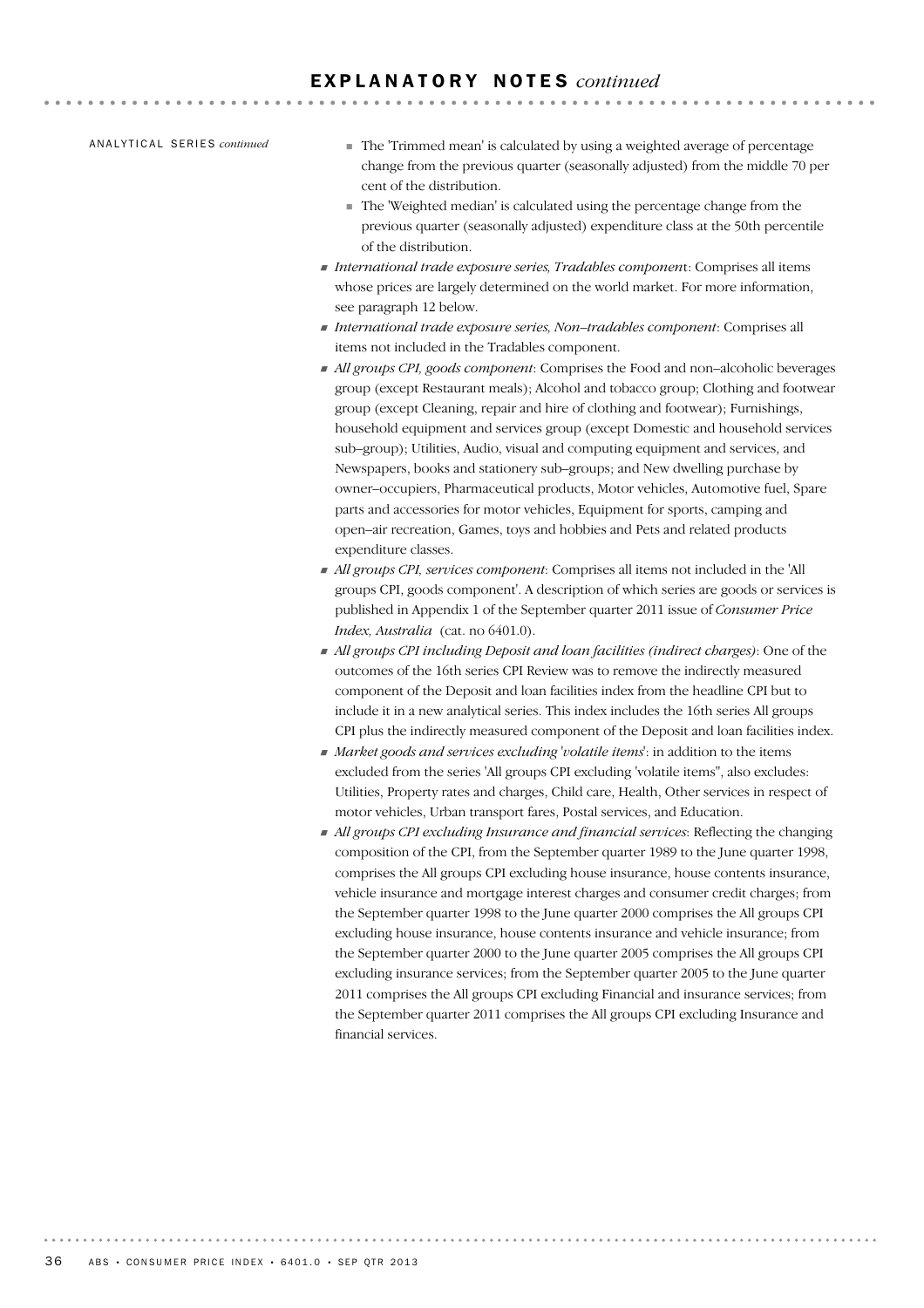AN A L Y T I C A L SE R I E S *continued*

! The 'Trimmed mean' is calculated by using a weighted average of percentage change from the previous quarter (seasonally adjusted) from the middle 70 per cent of the distribution.

**AAAAAAAAAA** 

- ! The 'Weighted median' is calculated using the percentage change from the previous quarter (seasonally adjusted) expenditure class at the 50th percentile of the distribution.
- ! *International trade exposure series, Tradables componen*t: Comprises all items whose prices are largely determined on the world market. For more information, see paragraph 12 below.
- ! *International trade exposure series, Non–tradables component*: Comprises all items not included in the Tradables component.
- ! *All groups CPI, goods component*: Comprises the Food and non–alcoholic beverages group (except Restaurant meals); Alcohol and tobacco group; Clothing and footwear group (except Cleaning, repair and hire of clothing and footwear); Furnishings, household equipment and services group (except Domestic and household services sub–group); Utilities, Audio, visual and computing equipment and services, and Newspapers, books and stationery sub–groups; and New dwelling purchase by owner–occupiers, Pharmaceutical products, Motor vehicles, Automotive fuel, Spare parts and accessories for motor vehicles, Equipment for sports, camping and open–air recreation, Games, toys and hobbies and Pets and related products expenditure classes.
- ! *All groups CPI, services component*: Comprises all items not included in the 'All groups CPI, goods component'. A description of which series are goods or services is published in Appendix 1 of the September quarter 2011 issue of *Consumer Price Index, Australia* (cat. no 6401.0).
- ! *All groups CPI including Deposit and loan facilities (indirect charges)*: One of the outcomes of the 16th series CPI Review was to remove the indirectly measured component of the Deposit and loan facilities index from the headline CPI but to include it in a new analytical series. This index includes the 16th series All groups CPI plus the indirectly measured component of the Deposit and loan facilities index.
- ! *Market goods and services excluding 'volatile items*': in addition to the items excluded from the series 'All groups CPI excluding 'volatile items'', also excludes: Utilities, Property rates and charges, Child care, Health, Other services in respect of motor vehicles, Urban transport fares, Postal services, and Education.
- ! *All groups CPI excluding Insurance and financial services*: Reflecting the changing composition of the CPI, from the September quarter 1989 to the June quarter 1998, comprises the All groups CPI excluding house insurance, house contents insurance, vehicle insurance and mortgage interest charges and consumer credit charges; from the September quarter 1998 to the June quarter 2000 comprises the All groups CPI excluding house insurance, house contents insurance and vehicle insurance; from the September quarter 2000 to the June quarter 2005 comprises the All groups CPI excluding insurance services; from the September quarter 2005 to the June quarter 2011 comprises the All groups CPI excluding Financial and insurance services; from the September quarter 2011 comprises the All groups CPI excluding Insurance and financial services.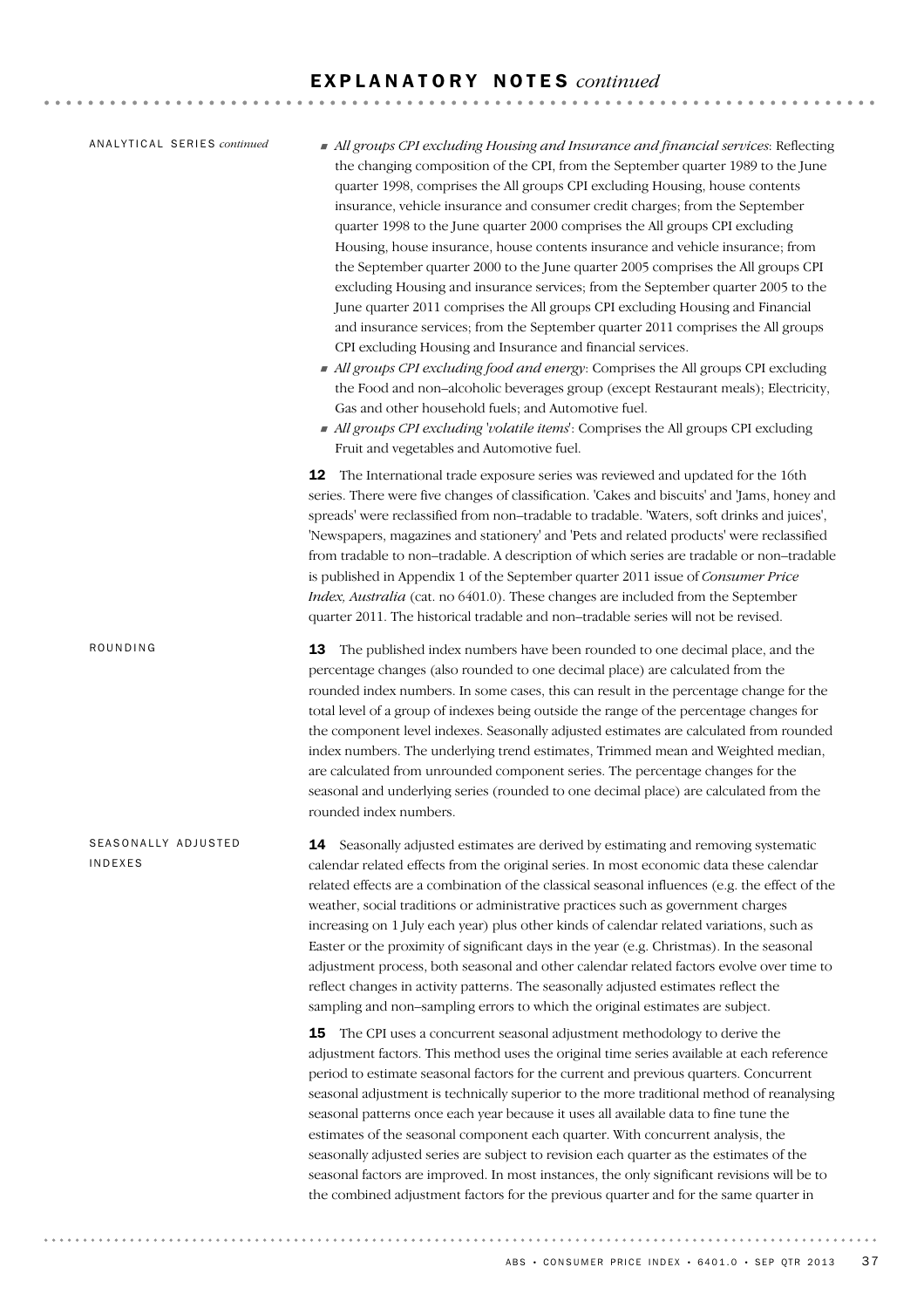14 Seasonally adjusted estimates are derived by estimating and removing systematic calendar related effects from the original series. In most economic data these calendar related effects are a combination of the classical seasonal influences (e.g. the effect of the weather, social traditions or administrative practices such as government charges increasing on 1 July each year) plus other kinds of calendar related variations, such as Easter or the proximity of significant days in the year (e.g. Christmas). In the seasonal adjustment process, both seasonal and other calendar related factors evolve over time to reflect changes in activity patterns. The seasonally adjusted estimates reflect the sampling and non–sampling errors to which the original estimates are subject. **15** The CPI uses a concurrent seasonal adjustment methodology to derive the adjustment factors. This method uses the original time series available at each reference period to estimate seasonal factors for the current and previous quarters. Concurrent seasonal adjustment is technically superior to the more traditional method of reanalysing seasonal patterns once each year because it uses all available data to fine tune the estimates of the seasonal component each quarter. With concurrent analysis, the seasonally adjusted series are subject to revision each quarter as the estimates of the seasonal factors are improved. In most instances, the only significant revisions will be to the combined adjustment factors for the previous quarter and for the same quarter in SEASONALLY ADJUSTED INDEXES **13** The published index numbers have been rounded to one decimal place, and the percentage changes (also rounded to one decimal place) are calculated from the rounded index numbers. In some cases, this can result in the percentage change for the total level of a group of indexes being outside the range of the percentage changes for the component level indexes. Seasonally adjusted estimates are calculated from rounded index numbers. The underlying trend estimates, Trimmed mean and Weighted median, are calculated from unrounded component series. The percentage changes for the seasonal and underlying series (rounded to one decimal place) are calculated from the rounded index numbers. ROUNDING ! *All groups CPI excluding Housing and Insurance and financial services*: Reflecting the changing composition of the CPI, from the September quarter 1989 to the June quarter 1998, comprises the All groups CPI excluding Housing, house contents insurance, vehicle insurance and consumer credit charges; from the September quarter 1998 to the June quarter 2000 comprises the All groups CPI excluding Housing, house insurance, house contents insurance and vehicle insurance; from the September quarter 2000 to the June quarter 2005 comprises the All groups CPI excluding Housing and insurance services; from the September quarter 2005 to the June quarter 2011 comprises the All groups CPI excluding Housing and Financial and insurance services; from the September quarter 2011 comprises the All groups CPI excluding Housing and Insurance and financial services. ! *All groups CPI excluding food and energy*: Comprises the All groups CPI excluding the Food and non–alcoholic beverages group (except Restaurant meals); Electricity, Gas and other household fuels; and Automotive fuel. ! *All groups CPI excluding 'volatile items*': Comprises the All groups CPI excluding Fruit and vegetables and Automotive fuel. 12 The International trade exposure series was reviewed and updated for the 16th series. There were five changes of classification. 'Cakes and biscuits' and 'Jams, honey and spreads' were reclassified from non–tradable to tradable. 'Waters, soft drinks and juices', 'Newspapers, magazines and stationery' and 'Pets and related products' were reclassified from tradable to non–tradable. A description of which series are tradable or non–tradable is published in Appendix 1 of the September quarter 2011 issue of *Consumer Price Index, Australia* (cat. no 6401.0). These changes are included from the September quarter 2011. The historical tradable and non–tradable series will not be revised. AN A L Y T I C A L SE R I E S *continued*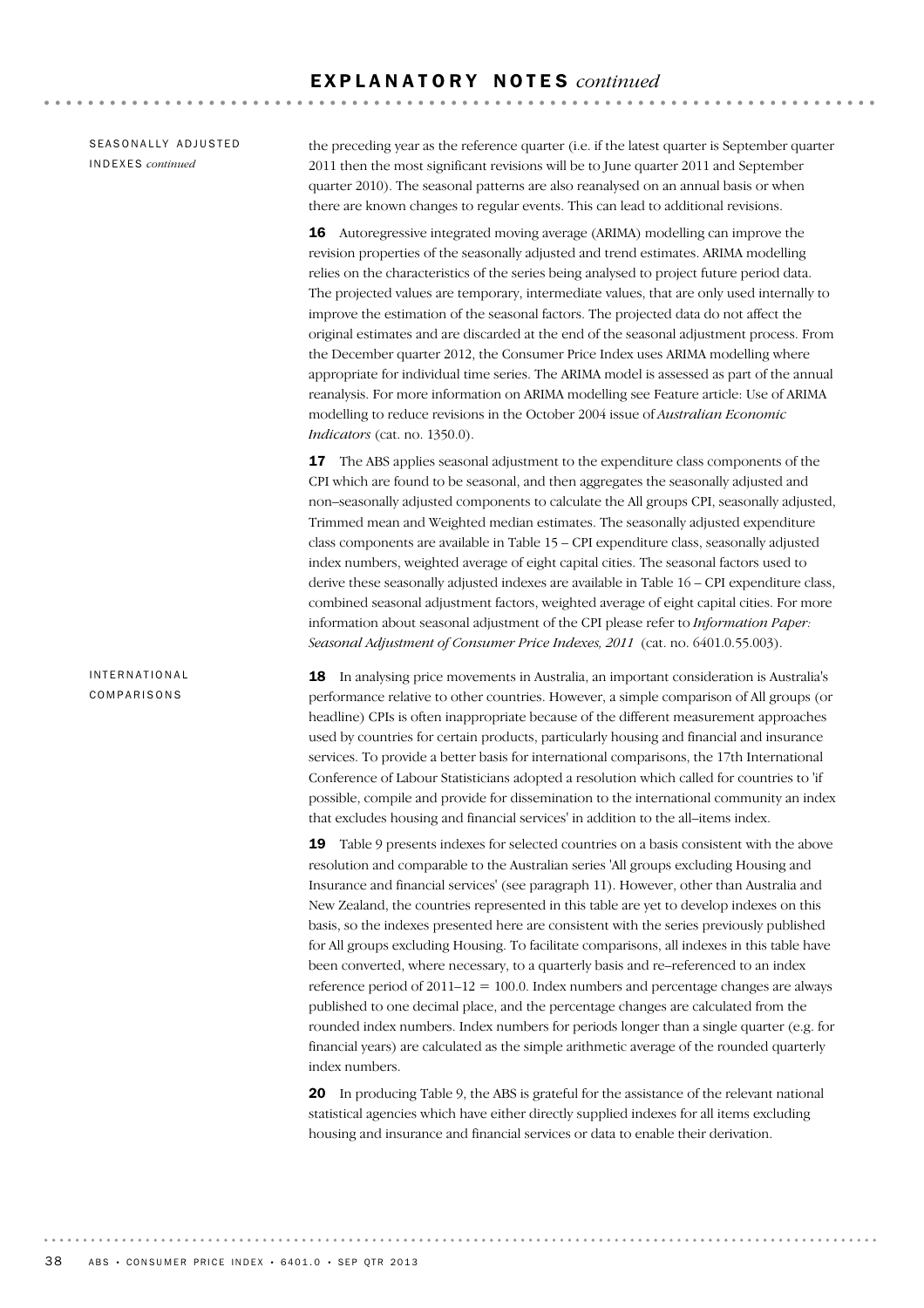SEASONALLY ADJUSTED INDEXES *continued*

the preceding year as the reference quarter (i.e. if the latest quarter is September quarter 2011 then the most significant revisions will be to June quarter 2011 and September quarter 2010). The seasonal patterns are also reanalysed on an annual basis or when there are known changes to regular events. This can lead to additional revisions.

16 Autoregressive integrated moving average (ARIMA) modelling can improve the revision properties of the seasonally adjusted and trend estimates. ARIMA modelling relies on the characteristics of the series being analysed to project future period data. The projected values are temporary, intermediate values, that are only used internally to improve the estimation of the seasonal factors. The projected data do not affect the original estimates and are discarded at the end of the seasonal adjustment process. From the December quarter 2012, the Consumer Price Index uses ARIMA modelling where appropriate for individual time series. The ARIMA model is assessed as part of the annual reanalysis. For more information on ARIMA modelling see Feature article: Use of ARIMA modelling to reduce revisions in the October 2004 issue of *Australian Economic Indicators* (cat. no. 1350.0).

**17** The ABS applies seasonal adjustment to the expenditure class components of the CPI which are found to be seasonal, and then aggregates the seasonally adjusted and non–seasonally adjusted components to calculate the All groups CPI, seasonally adjusted, Trimmed mean and Weighted median estimates. The seasonally adjusted expenditure class components are available in Table 15 – CPI expenditure class, seasonally adjusted index numbers, weighted average of eight capital cities. The seasonal factors used to derive these seasonally adjusted indexes are available in Table 16 – CPI expenditure class, combined seasonal adjustment factors, weighted average of eight capital cities. For more information about seasonal adjustment of the CPI please refer to *Information Paper: Seasonal Adjustment of Consumer Price Indexes, 2011* (cat. no. 6401.0.55.003).

18 In analysing price movements in Australia, an important consideration is Australia's performance relative to other countries. However, a simple comparison of All groups (or headline) CPIs is often inappropriate because of the different measurement approaches used by countries for certain products, particularly housing and financial and insurance services. To provide a better basis for international comparisons, the 17th International Conference of Labour Statisticians adopted a resolution which called for countries to 'if possible, compile and provide for dissemination to the international community an index that excludes housing and financial services' in addition to the all–items index.

19 Table 9 presents indexes for selected countries on a basis consistent with the above resolution and comparable to the Australian series 'All groups excluding Housing and Insurance and financial services' (see paragraph 11). However, other than Australia and New Zealand, the countries represented in this table are yet to develop indexes on this basis, so the indexes presented here are consistent with the series previously published for All groups excluding Housing. To facilitate comparisons, all indexes in this table have been converted, where necessary, to a quarterly basis and re–referenced to an index reference period of  $2011-12 = 100.0$ . Index numbers and percentage changes are always published to one decimal place, and the percentage changes are calculated from the rounded index numbers. Index numbers for periods longer than a single quarter (e.g. for financial years) are calculated as the simple arithmetic average of the rounded quarterly index numbers.

20 In producing Table 9, the ABS is grateful for the assistance of the relevant national statistical agencies which have either directly supplied indexes for all items excluding housing and insurance and financial services or data to enable their derivation.

INTERNATIONAL COMPARISONS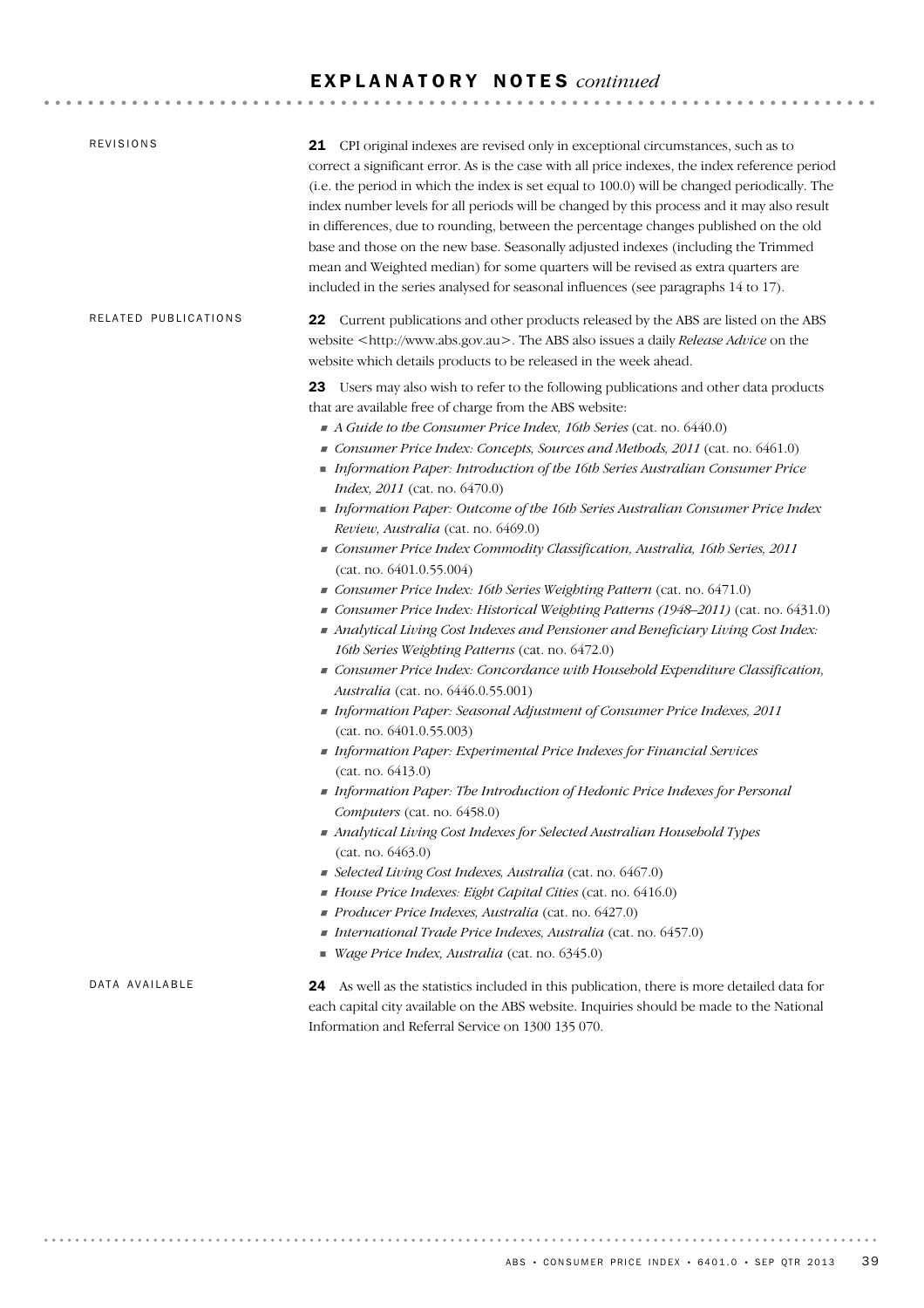|                      | 21 CPI original indexes are revised only in exceptional circumstances, such as to<br>correct a significant error. As is the case with all price indexes, the index reference period<br>(i.e. the period in which the index is set equal to 100.0) will be changed periodically. The<br>index number levels for all periods will be changed by this process and it may also result<br>in differences, due to rounding, between the percentage changes published on the old<br>base and those on the new base. Seasonally adjusted indexes (including the Trimmed<br>mean and Weighted median) for some quarters will be revised as extra quarters are<br>included in the series analysed for seasonal influences (see paragraphs 14 to 17).                                                                                                                                                                                                                                                                                                                                                                                                                                                                                                                                                                                                                                                                                                                                                                                                                                                                                                                                                                                                                                                               |
|----------------------|----------------------------------------------------------------------------------------------------------------------------------------------------------------------------------------------------------------------------------------------------------------------------------------------------------------------------------------------------------------------------------------------------------------------------------------------------------------------------------------------------------------------------------------------------------------------------------------------------------------------------------------------------------------------------------------------------------------------------------------------------------------------------------------------------------------------------------------------------------------------------------------------------------------------------------------------------------------------------------------------------------------------------------------------------------------------------------------------------------------------------------------------------------------------------------------------------------------------------------------------------------------------------------------------------------------------------------------------------------------------------------------------------------------------------------------------------------------------------------------------------------------------------------------------------------------------------------------------------------------------------------------------------------------------------------------------------------------------------------------------------------------------------------------------------------|
| RELATED PUBLICATIONS | 22 Current publications and other products released by the ABS are listed on the ABS<br>website <http: www.abs.gov.au="">. The ABS also issues a daily Release Advice on the<br/>website which details products to be released in the week ahead.</http:>                                                                                                                                                                                                                                                                                                                                                                                                                                                                                                                                                                                                                                                                                                                                                                                                                                                                                                                                                                                                                                                                                                                                                                                                                                                                                                                                                                                                                                                                                                                                                |
|                      | 23 Users may also wish to refer to the following publications and other data products<br>that are available free of charge from the ABS website:<br>A Guide to the Consumer Price Index, 16th Series (cat. no. 6440.0)<br>Consumer Price Index: Concepts, Sources and Methods, 2011 (cat. no. 6461.0)<br>Information Paper: Introduction of the 16th Series Australian Consumer Price<br>Index, 2011 (cat. no. 6470.0)<br>Information Paper: Outcome of the 16th Series Australian Consumer Price Index<br>Review, Australia (cat. no. 6469.0)<br>Consumer Price Index Commodity Classification, Australia, 16th Series, 2011<br>(cat. no. 6401.0.55.004)<br>Consumer Price Index: 16th Series Weighting Pattern (cat. no. 6471.0)<br>Consumer Price Index: Historical Weighting Patterns (1948-2011) (cat. no. 6431.0)<br>Analytical Living Cost Indexes and Pensioner and Beneficiary Living Cost Index:<br>16th Series Weighting Patterns (cat. no. 6472.0)<br>Consumer Price Index: Concordance with Household Expenditure Classification,<br>Australia (cat. no. 6446.0.55.001)<br>Information Paper: Seasonal Adjustment of Consumer Price Indexes, 2011<br>(cat. no. 6401.0.55.003)<br>Information Paper: Experimental Price Indexes for Financial Services<br>(cat. no. 6413.0)<br>Information Paper: The Introduction of Hedonic Price Indexes for Personal<br>Computers (cat. no. 6458.0)<br>Analytical Living Cost Indexes for Selected Australian Household Types<br>(cat. no. 6463.0)<br>Selected Living Cost Indexes, Australia (cat. no. 6467.0)<br>House Price Indexes: Eight Capital Cities (cat. no. 6416.0)<br>Producer Price Indexes, Australia (cat. no. 6427.0)<br>International Trade Price Indexes, Australia (cat. no. 6457.0)<br>Wage Price Index, Australia (cat. no. 6345.0) |
| DATA AVAILABLE       | 24 As well as the statistics included in this publication, there is more detailed data for<br>each capital city available on the ABS website. Inquiries should be made to the National<br>Information and Referral Service on 1300 135 070.                                                                                                                                                                                                                                                                                                                                                                                                                                                                                                                                                                                                                                                                                                                                                                                                                                                                                                                                                                                                                                                                                                                                                                                                                                                                                                                                                                                                                                                                                                                                                              |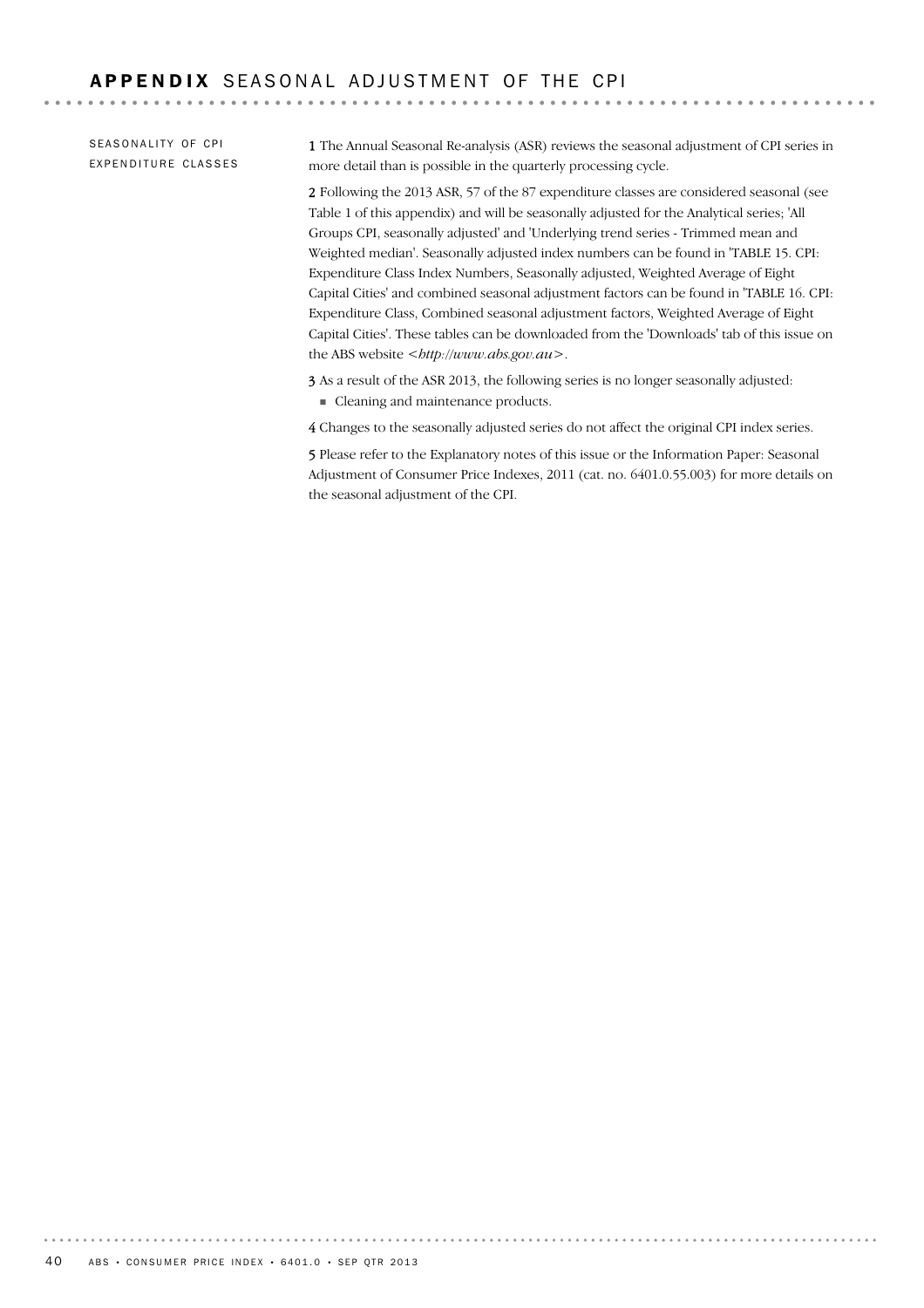SEASONALITY OF CPI EXPENDITURE CLASSES

1 The Annual Seasonal Re-analysis (ASR) reviews the seasonal adjustment of CPI series in more detail than is possible in the quarterly processing cycle.

2 Following the 2013 ASR, 57 of the 87 expenditure classes are considered seasonal (see Table 1 of this appendix) and will be seasonally adjusted for the Analytical series; 'All Groups CPI, seasonally adjusted' and 'Underlying trend series - Trimmed mean and Weighted median'. Seasonally adjusted index numbers can be found in 'TABLE 15. CPI: Expenditure Class Index Numbers, Seasonally adjusted, Weighted Average of Eight Capital Cities' and combined seasonal adjustment factors can be found in 'TABLE 16. CPI: Expenditure Class, Combined seasonal adjustment factors, Weighted Average of Eight Capital Cities'. These tables can be downloaded from the 'Downloads' tab of this issue on the ABS website *<http://www.abs.gov.au>*.

3 As a result of the ASR 2013, the following series is no longer seasonally adjusted: ! Cleaning and maintenance products.

4 Changes to the seasonally adjusted series do not affect the original CPI index series.

5 Please refer to the Explanatory notes of this issue or the Information Paper: Seasonal Adjustment of Consumer Price Indexes, 2011 (cat. no. 6401.0.55.003) for more details on the seasonal adjustment of the CPI.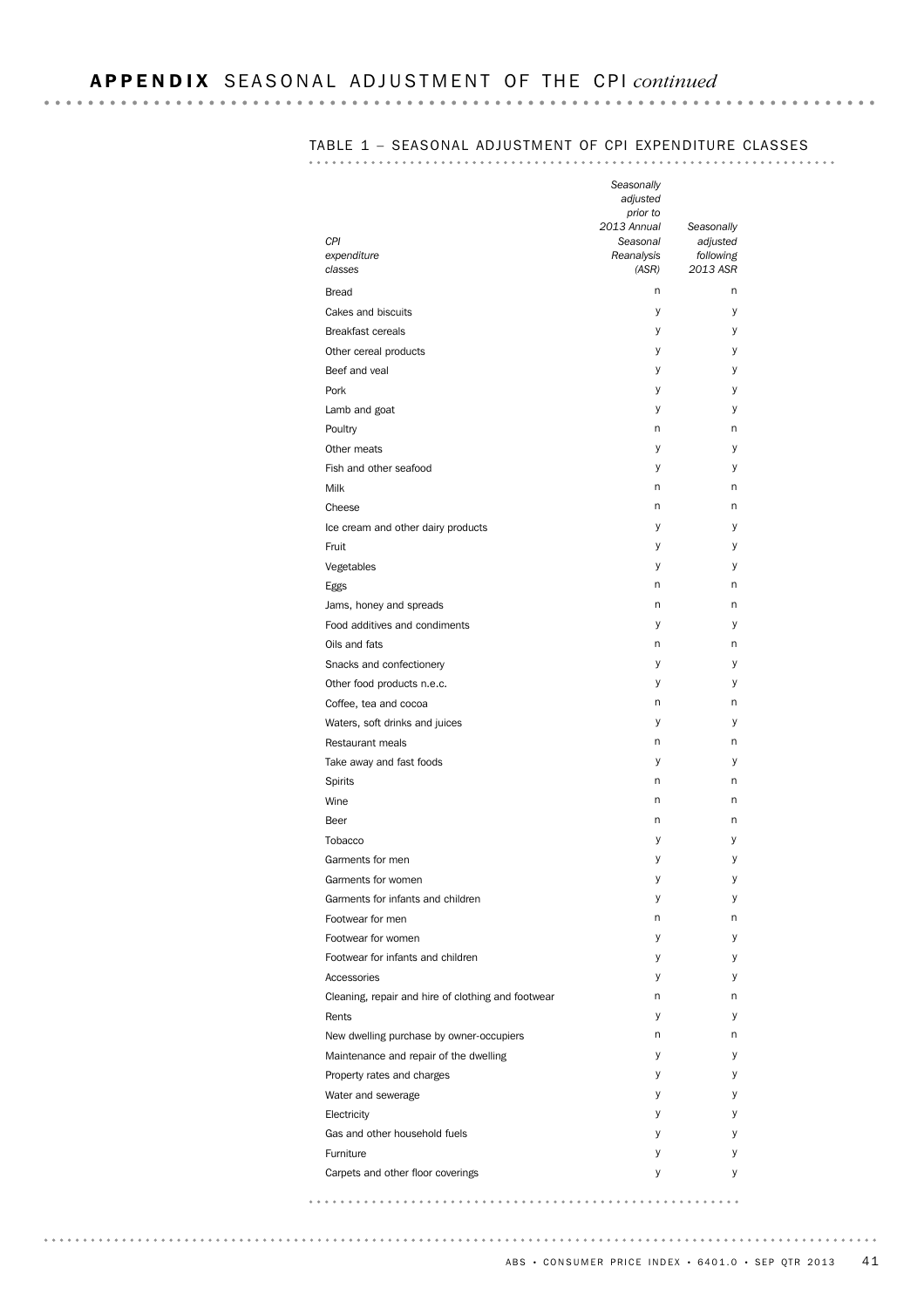. . . . . . . . .

# TABLE 1 – SEASONAL ADJUSTMENT OF CPI EXPENDITURE CLASSES

| CPI<br>expenditure<br>classes                      | Seasonally<br>adjusted<br>prior to<br>2013 Annual<br>Seasonal<br>Reanalysis<br>(ASR) | Seasonally<br>adjusted<br>following<br>2013 ASR |
|----------------------------------------------------|--------------------------------------------------------------------------------------|-------------------------------------------------|
| <b>Bread</b>                                       | n                                                                                    | n                                               |
| Cakes and biscuits                                 | У                                                                                    | у                                               |
| <b>Breakfast cereals</b>                           | У                                                                                    | у                                               |
| Other cereal products                              | У                                                                                    | у                                               |
| Beef and veal                                      | у                                                                                    | у                                               |
| Pork                                               | У                                                                                    | у                                               |
| Lamb and goat                                      | У                                                                                    | у                                               |
| Poultry                                            | n                                                                                    | n                                               |
| Other meats                                        | у                                                                                    | y                                               |
| Fish and other seafood                             |                                                                                      |                                                 |
|                                                    | У                                                                                    | у<br>n                                          |
| Milk                                               | n                                                                                    |                                                 |
| Cheese                                             | n                                                                                    | n                                               |
| Ice cream and other dairy products                 | у                                                                                    | у                                               |
| Fruit                                              | У                                                                                    | у                                               |
| Vegetables                                         | У                                                                                    | у                                               |
| Eggs                                               | n                                                                                    | n                                               |
| Jams, honey and spreads                            | n                                                                                    | n                                               |
| Food additives and condiments                      | У                                                                                    | y                                               |
| Oils and fats                                      | n                                                                                    | n                                               |
| Snacks and confectionery                           | у                                                                                    | у                                               |
| Other food products n.e.c.                         | У                                                                                    | у                                               |
| Coffee, tea and cocoa                              | n                                                                                    | n                                               |
| Waters, soft drinks and juices                     | у                                                                                    | у                                               |
| Restaurant meals                                   | n                                                                                    | n                                               |
| Take away and fast foods                           | У                                                                                    | у                                               |
| Spirits                                            | n                                                                                    | n                                               |
| Wine                                               | n                                                                                    | n                                               |
| Beer                                               | n                                                                                    | n                                               |
| Tobacco                                            | у                                                                                    | у                                               |
| Garments for men                                   | У                                                                                    | y                                               |
| Garments for women                                 | у                                                                                    | у                                               |
| Garments for infants and children                  | у                                                                                    | у                                               |
| Footwear for men                                   | n                                                                                    | n                                               |
| Footwear for women                                 |                                                                                      | у                                               |
|                                                    | у                                                                                    |                                                 |
| Footwear for infants and children                  | У                                                                                    | у                                               |
| Accessories                                        | У                                                                                    | у                                               |
| Cleaning, repair and hire of clothing and footwear | n                                                                                    | n                                               |
| Rents                                              | У                                                                                    | у                                               |
| New dwelling purchase by owner-occupiers           | n                                                                                    | n                                               |
| Maintenance and repair of the dwelling             | У                                                                                    | у                                               |
| Property rates and charges                         | У                                                                                    | у                                               |
| Water and sewerage                                 | У                                                                                    | у                                               |
| Electricity                                        | У                                                                                    | у                                               |
| Gas and other household fuels                      | У                                                                                    | у                                               |
| Furniture                                          | у                                                                                    | У                                               |
| Carpets and other floor coverings                  | У                                                                                    | у                                               |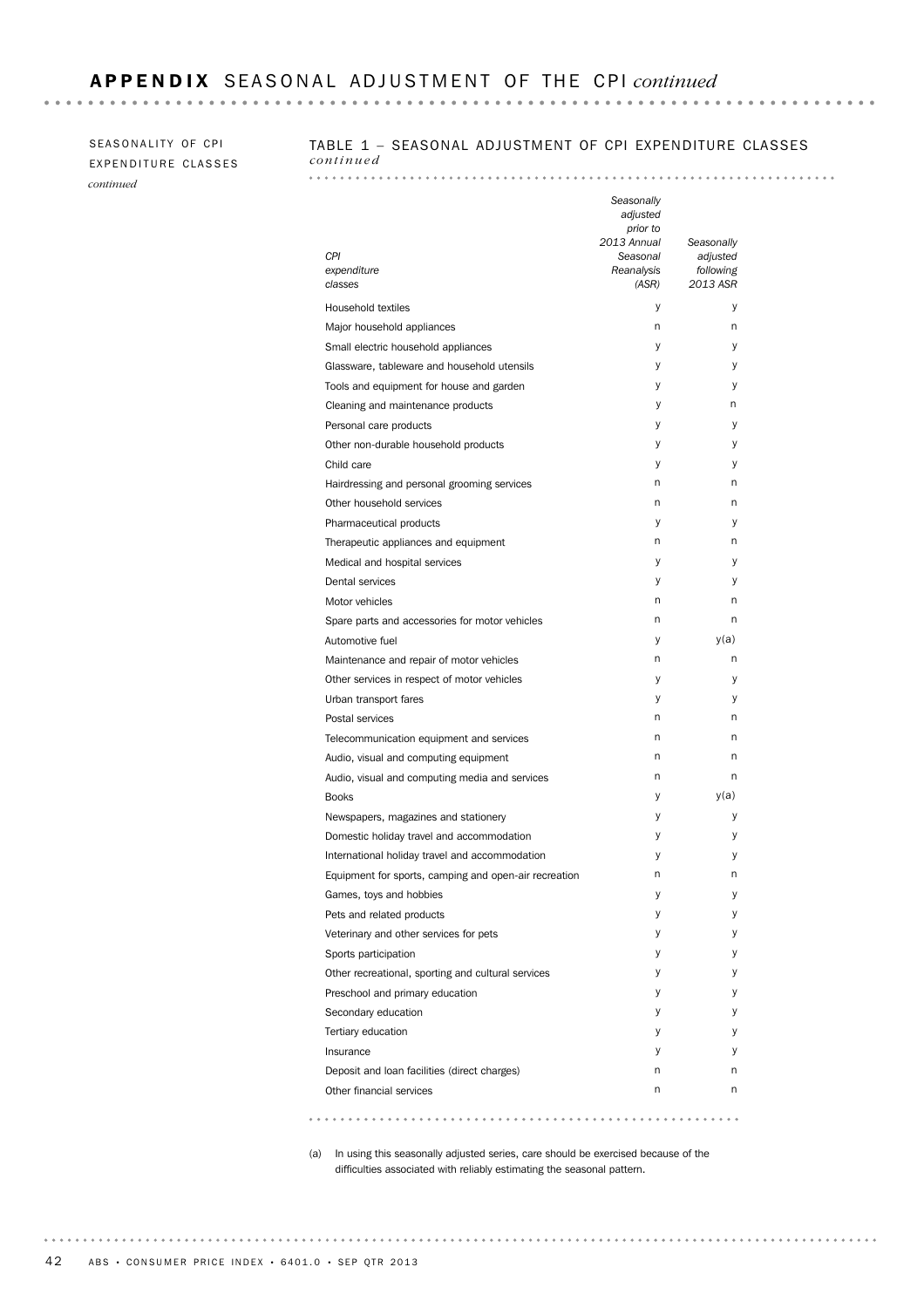### SEASONALITY OF CPI EXPENDITURE CLASSES *continued*

### TABLE 1 – SEASONAL ADJUSTMENT OF CPI EXPENDITURE CLASSES *continued*

| CPI<br>expenditure<br>classes                         | Seasonally<br>adjusted<br>prior to<br>2013 Annual<br>Seasonal<br>Reanalysis<br>(ASR) | Seasonally<br>adjusted<br>following<br>2013 ASR |
|-------------------------------------------------------|--------------------------------------------------------------------------------------|-------------------------------------------------|
| Household textiles                                    | У                                                                                    | у                                               |
| Major household appliances                            | n                                                                                    | n                                               |
| Small electric household appliances                   | у                                                                                    | у                                               |
| Glassware, tableware and household utensils           | у                                                                                    | у                                               |
| Tools and equipment for house and garden              | у                                                                                    | у                                               |
| Cleaning and maintenance products                     | у                                                                                    | n                                               |
| Personal care products                                | у                                                                                    | у                                               |
| Other non-durable household products                  | У                                                                                    | у                                               |
| Child care                                            | У                                                                                    | у                                               |
| Hairdressing and personal grooming services           | n                                                                                    | n                                               |
| Other household services                              | n                                                                                    | n                                               |
| Pharmaceutical products                               | у                                                                                    | у                                               |
| Therapeutic appliances and equipment                  | n                                                                                    | n                                               |
| Medical and hospital services                         | у                                                                                    | у                                               |
| Dental services                                       | у                                                                                    | у                                               |
| Motor vehicles                                        | n                                                                                    | n                                               |
| Spare parts and accessories for motor vehicles        | n                                                                                    | n                                               |
| Automotive fuel                                       | у                                                                                    | y(a)                                            |
| Maintenance and repair of motor vehicles              | n                                                                                    | n                                               |
| Other services in respect of motor vehicles           | у                                                                                    | у                                               |
| Urban transport fares                                 | у                                                                                    | у                                               |
| Postal services                                       | n                                                                                    | n                                               |
| Telecommunication equipment and services              | n                                                                                    | n                                               |
| Audio, visual and computing equipment                 | n                                                                                    | n                                               |
| Audio, visual and computing media and services        | n                                                                                    | n                                               |
| <b>Books</b>                                          | у                                                                                    | y(a)                                            |
| Newspapers, magazines and stationery                  | У                                                                                    | у                                               |
| Domestic holiday travel and accommodation             | у                                                                                    | у                                               |
| International holiday travel and accommodation        | у                                                                                    | у                                               |
| Equipment for sports, camping and open-air recreation | n                                                                                    | n                                               |
| Games, toys and hobbies                               | у                                                                                    | у                                               |
| Pets and related products                             | у                                                                                    | у                                               |
| Veterinary and other services for pets                | у                                                                                    | у                                               |
| Sports participation                                  | у                                                                                    | у                                               |
| Other recreational, sporting and cultural services    | у                                                                                    | у                                               |
| Preschool and primary education                       | у                                                                                    | у                                               |
| Secondary education                                   | у                                                                                    | у                                               |
| Tertiary education                                    | у                                                                                    | у                                               |
| Insurance                                             | у                                                                                    | у                                               |
| Deposit and loan facilities (direct charges)          | n                                                                                    | n                                               |
| Other financial services                              | n                                                                                    | n                                               |

(a) In using this seasonally adjusted series, care should be exercised because of the difficulties associated with reliably estimating the seasonal pattern.